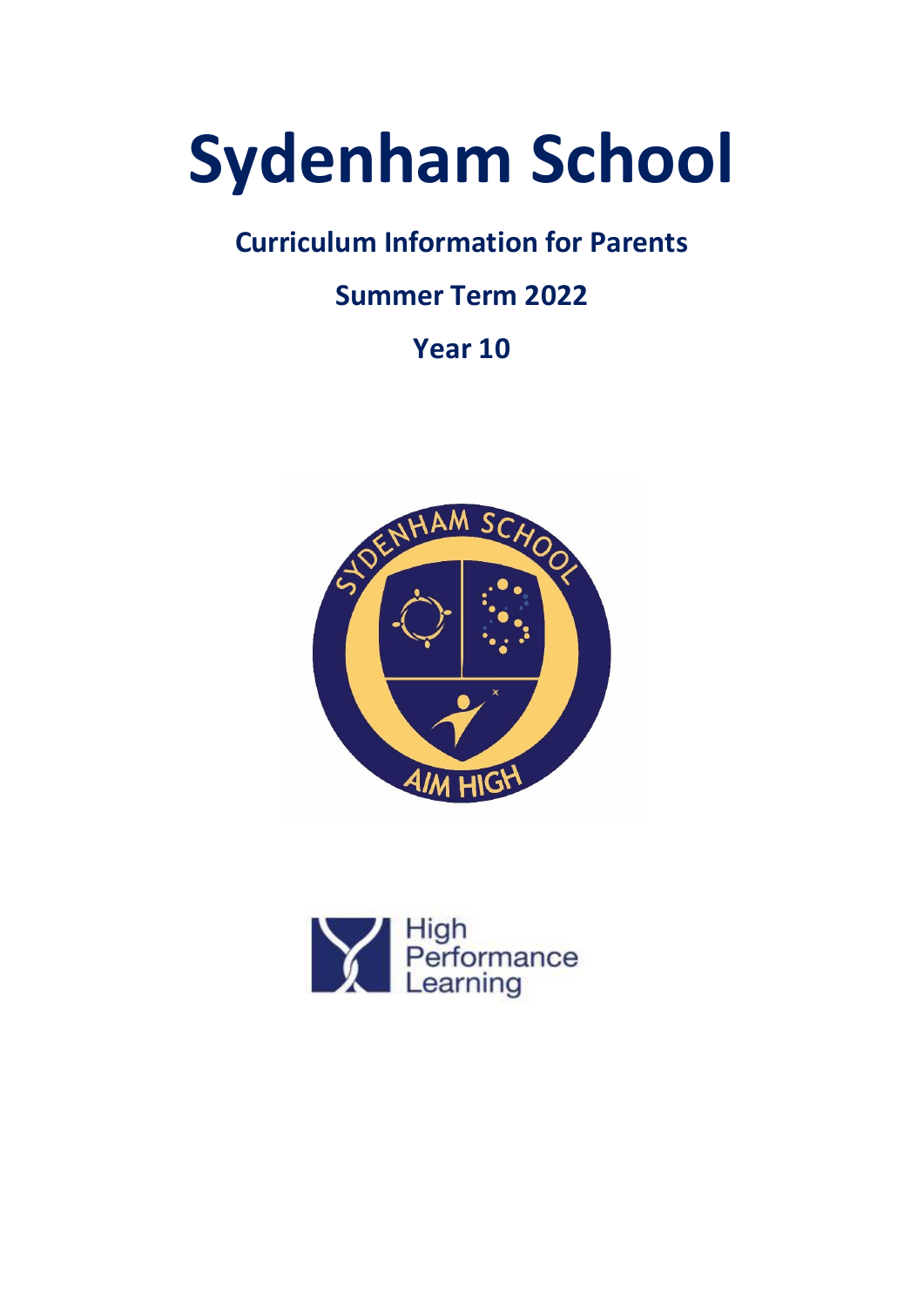# **Sydenham School**

# **Curriculum Information for Parents**

# **Summer Term 2022**

# **Year 10**



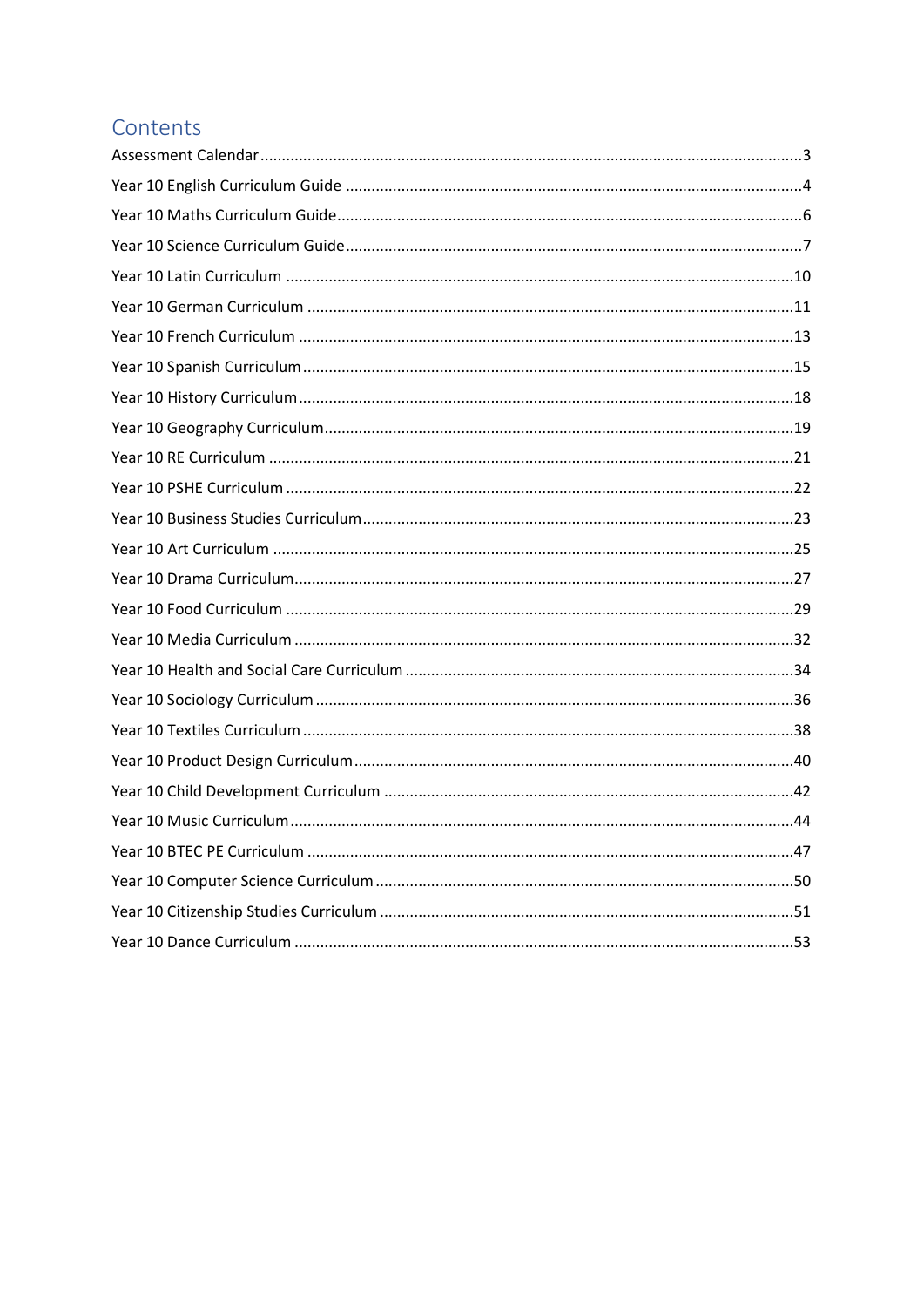# Contents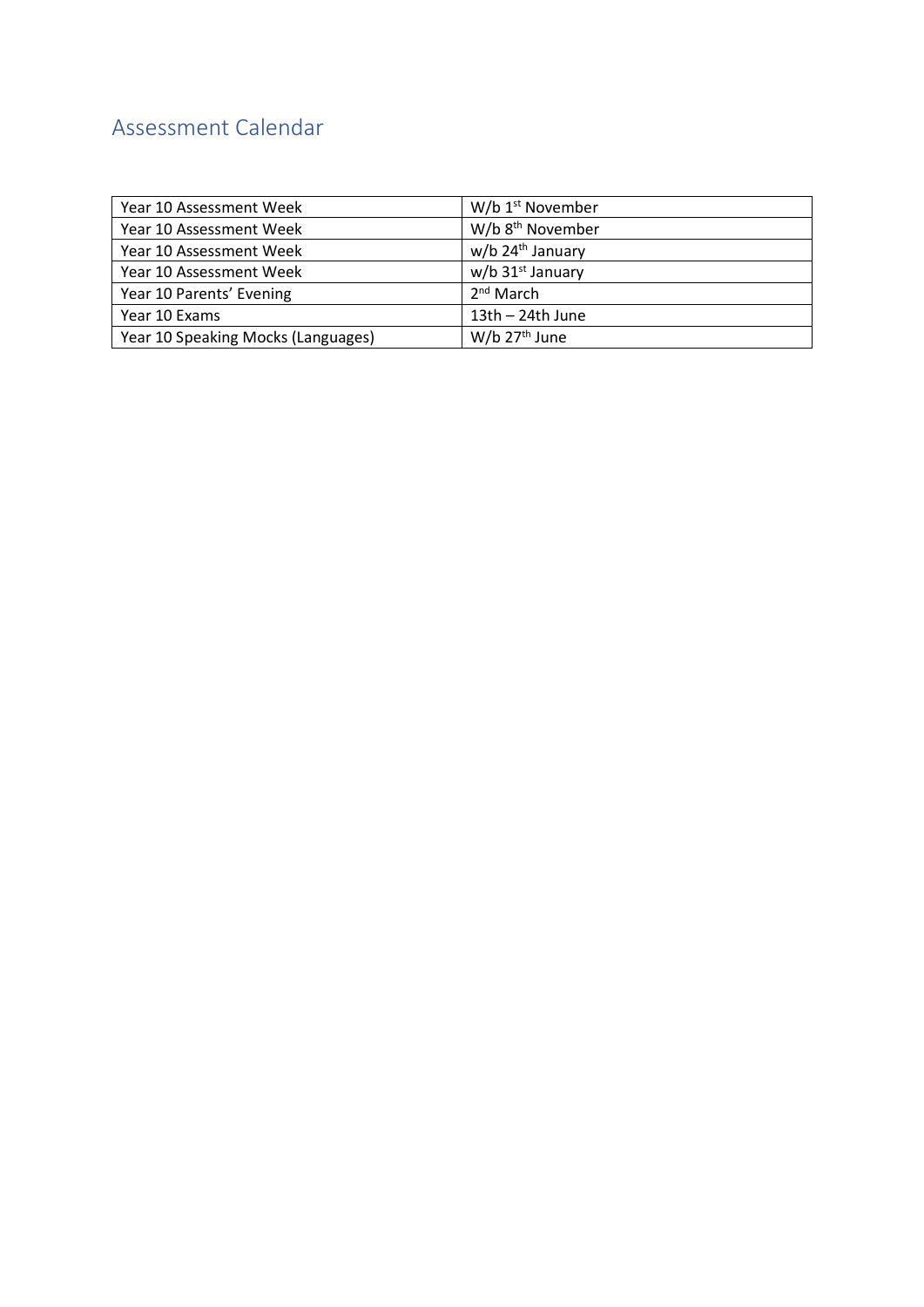# <span id="page-2-0"></span>Assessment Calendar

| Year 10 Assessment Week            | W/b 1 <sup>st</sup> November |
|------------------------------------|------------------------------|
| Year 10 Assessment Week            | W/b 8 <sup>th</sup> November |
| Year 10 Assessment Week            | w/b 24 <sup>th</sup> January |
| Year 10 Assessment Week            | $w/b$ 31st January           |
| Year 10 Parents' Evening           | $2nd$ March                  |
| Year 10 Exams                      | $13th - 24th$ June           |
| Year 10 Speaking Mocks (Languages) | W/b 27 <sup>th</sup> June    |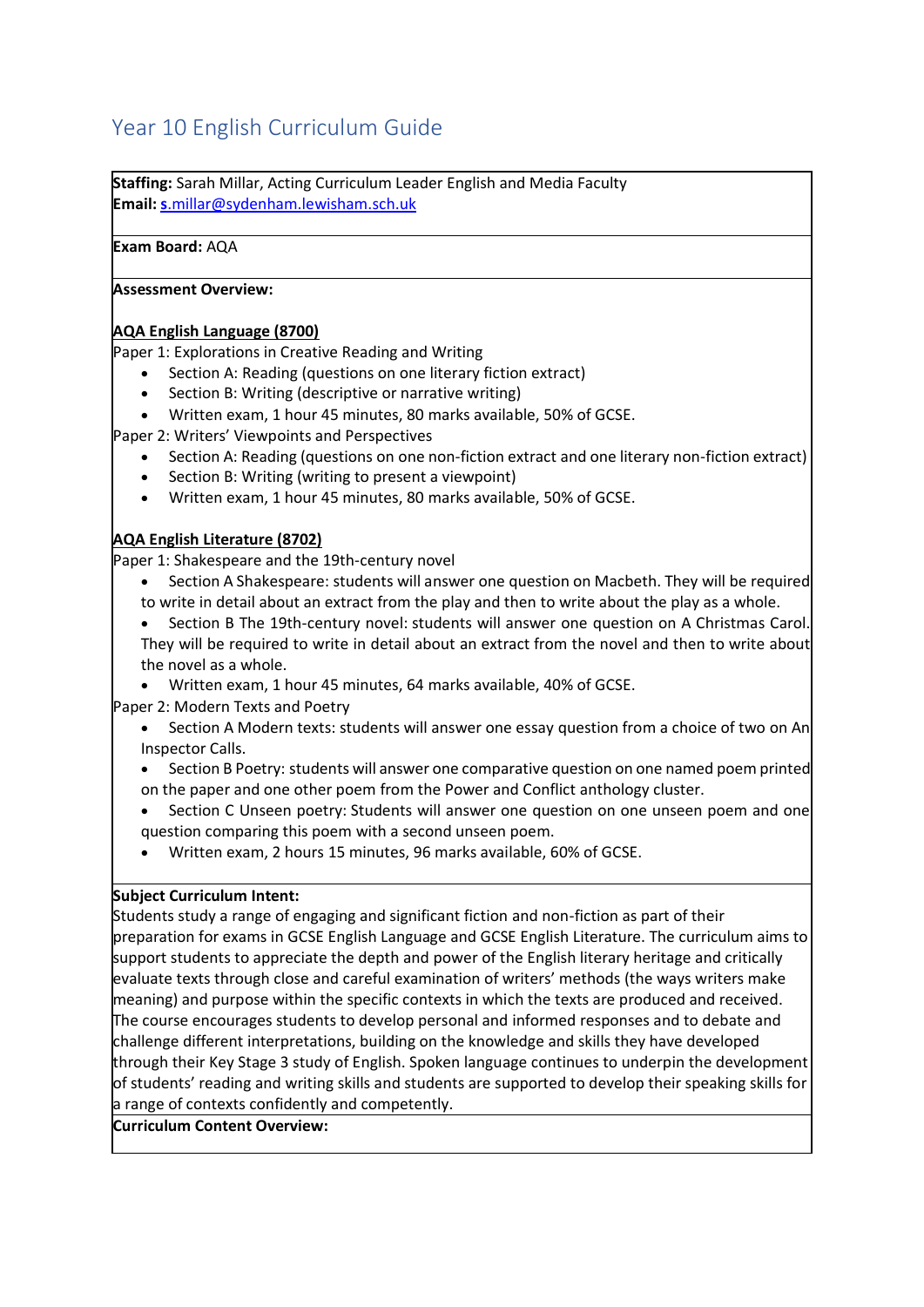# <span id="page-3-0"></span>Year 10 English Curriculum Guide

**Staffing:** Sarah Millar, Acting Curriculum Leader English and Media Faculty **Email: s**[.millar@sydenham.lewisham.sch.uk](mailto:s.millar@sydenham.lewisham.sch.uk)

#### **Exam Board:** AQA

#### **Assessment Overview:**

#### **AQA English Language (8700)**

Paper 1: Explorations in Creative Reading and Writing

- Section A: Reading (questions on one literary fiction extract)
- Section B: Writing (descriptive or narrative writing)
- Written exam, 1 hour 45 minutes, 80 marks available, 50% of GCSE.

Paper 2: Writers' Viewpoints and Perspectives

- Section A: Reading (questions on one non-fiction extract and one literary non-fiction extract)
- Section B: Writing (writing to present a viewpoint)
- Written exam, 1 hour 45 minutes, 80 marks available, 50% of GCSE.

#### **AQA English Literature (8702)**

Paper 1: Shakespeare and the 19th-century novel

- Section A Shakespeare: students will answer one question on Macbeth. They will be required to write in detail about an extract from the play and then to write about the play as a whole.
- Section B The 19th-century novel: students will answer one question on A Christmas Carol. They will be required to write in detail about an extract from the novel and then to write about the novel as a whole.
- Written exam, 1 hour 45 minutes, 64 marks available, 40% of GCSE.

Paper 2: Modern Texts and Poetry

- Section A Modern texts: students will answer one essay question from a choice of two on An Inspector Calls.
- Section B Poetry: students will answer one comparative question on one named poem printed on the paper and one other poem from the Power and Conflict anthology cluster.
- Section C Unseen poetry: Students will answer one question on one unseen poem and one question comparing this poem with a second unseen poem.
- Written exam, 2 hours 15 minutes, 96 marks available, 60% of GCSE.

#### **Subject Curriculum Intent:**

Students study a range of engaging and significant fiction and non-fiction as part of their preparation for exams in GCSE English Language and GCSE English Literature. The curriculum aims to support students to appreciate the depth and power of the English literary heritage and critically evaluate texts through close and careful examination of writers' methods (the ways writers make meaning) and purpose within the specific contexts in which the texts are produced and received. The course encourages students to develop personal and informed responses and to debate and challenge different interpretations, building on the knowledge and skills they have developed through their Key Stage 3 study of English. Spoken language continues to underpin the development of students' reading and writing skills and students are supported to develop their speaking skills for a range of contexts confidently and competently.

#### **Curriculum Content Overview:**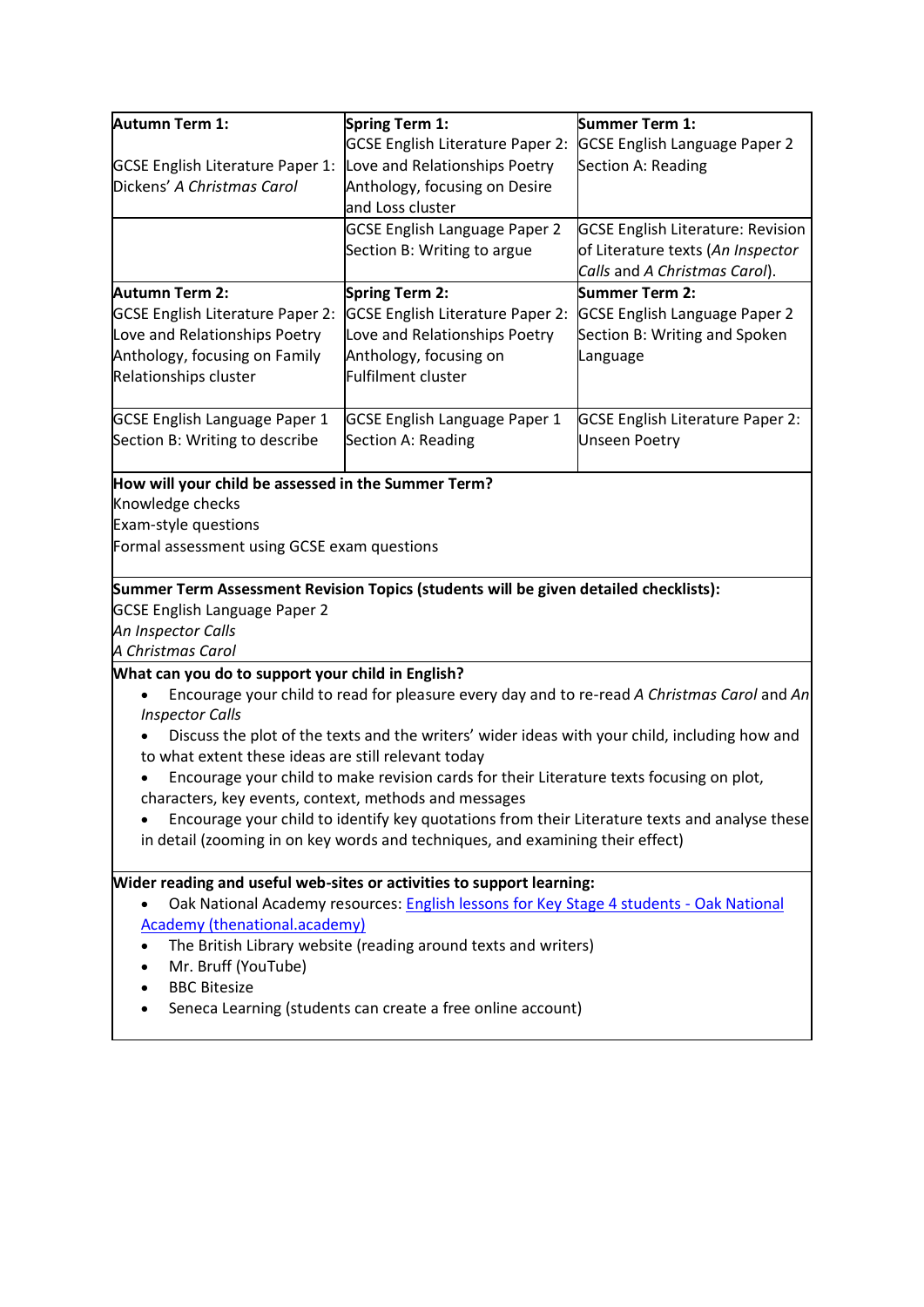| Autumn Term 1:                                                                                                        | Spring Term 1:                                                                                | Summer Term 1:                                                                                |  |  |
|-----------------------------------------------------------------------------------------------------------------------|-----------------------------------------------------------------------------------------------|-----------------------------------------------------------------------------------------------|--|--|
|                                                                                                                       | <b>GCSE English Literature Paper 2:</b>                                                       | <b>GCSE English Language Paper 2</b>                                                          |  |  |
| <b>GCSE English Literature Paper 1:</b>                                                                               | Love and Relationships Poetry                                                                 | Section A: Reading                                                                            |  |  |
| Dickens' A Christmas Carol                                                                                            | Anthology, focusing on Desire                                                                 |                                                                                               |  |  |
|                                                                                                                       | and Loss cluster                                                                              |                                                                                               |  |  |
|                                                                                                                       | <b>GCSE English Language Paper 2</b>                                                          | <b>GCSE English Literature: Revision</b>                                                      |  |  |
|                                                                                                                       | Section B: Writing to argue                                                                   | of Literature texts (An Inspector                                                             |  |  |
|                                                                                                                       |                                                                                               | Calls and A Christmas Carol).                                                                 |  |  |
| Autumn Term 2:                                                                                                        | Spring Term 2:                                                                                | <b>Summer Term 2:</b>                                                                         |  |  |
| <b>GCSE English Literature Paper 2:</b>                                                                               | GCSE English Literature Paper 2:                                                              | <b>GCSE English Language Paper 2</b>                                                          |  |  |
| Love and Relationships Poetry                                                                                         | Love and Relationships Poetry                                                                 | Section B: Writing and Spoken                                                                 |  |  |
| Anthology, focusing on Family                                                                                         | Anthology, focusing on                                                                        | Language                                                                                      |  |  |
| Relationships cluster                                                                                                 | Fulfilment cluster                                                                            |                                                                                               |  |  |
| <b>GCSE English Language Paper 1</b>                                                                                  | <b>GCSE English Language Paper 1</b>                                                          | <b>GCSE English Literature Paper 2:</b>                                                       |  |  |
| Section B: Writing to describe                                                                                        | Section A: Reading                                                                            | <b>Unseen Poetry</b>                                                                          |  |  |
| How will your child be assessed in the Summer Term?<br>Knowledge checks<br>Exam-style questions                       |                                                                                               |                                                                                               |  |  |
| Formal assessment using GCSE exam questions                                                                           |                                                                                               |                                                                                               |  |  |
|                                                                                                                       |                                                                                               |                                                                                               |  |  |
|                                                                                                                       | Summer Term Assessment Revision Topics (students will be given detailed checklists):          |                                                                                               |  |  |
| <b>GCSE English Language Paper 2</b>                                                                                  |                                                                                               |                                                                                               |  |  |
| An Inspector Calls                                                                                                    |                                                                                               |                                                                                               |  |  |
| A Christmas Carol                                                                                                     |                                                                                               |                                                                                               |  |  |
| What can you do to support your child in English?                                                                     |                                                                                               |                                                                                               |  |  |
| Encourage your child to read for pleasure every day and to re-read A Christmas Carol and An<br><b>Inspector Calls</b> |                                                                                               |                                                                                               |  |  |
|                                                                                                                       | Discuss the plot of the texts and the writers' wider ideas with your child, including how and |                                                                                               |  |  |
| to what extent these ideas are still relevant today                                                                   |                                                                                               |                                                                                               |  |  |
|                                                                                                                       | Encourage your child to make revision cards for their Literature texts focusing on plot,      |                                                                                               |  |  |
|                                                                                                                       | characters, key events, context, methods and messages                                         |                                                                                               |  |  |
|                                                                                                                       |                                                                                               | Encourage your child to identify key quotations from their Literature texts and analyse these |  |  |
| in detail (zooming in on key words and techniques, and examining their effect)                                        |                                                                                               |                                                                                               |  |  |
| Wider reading and useful web-sites or activities to support learning:                                                 |                                                                                               |                                                                                               |  |  |
|                                                                                                                       | Oak National Academy resources: English lessons for Key Stage 4 students - Oak National       |                                                                                               |  |  |
| <b>Academy (thenational.academy)</b>                                                                                  |                                                                                               |                                                                                               |  |  |
| The British Library website (reading around texts and writers)                                                        |                                                                                               |                                                                                               |  |  |
| Mr. Bruff (YouTube)                                                                                                   |                                                                                               |                                                                                               |  |  |
| <b>BBC Bitesize</b>                                                                                                   |                                                                                               |                                                                                               |  |  |
| Seneca Learning (students can create a free online account)                                                           |                                                                                               |                                                                                               |  |  |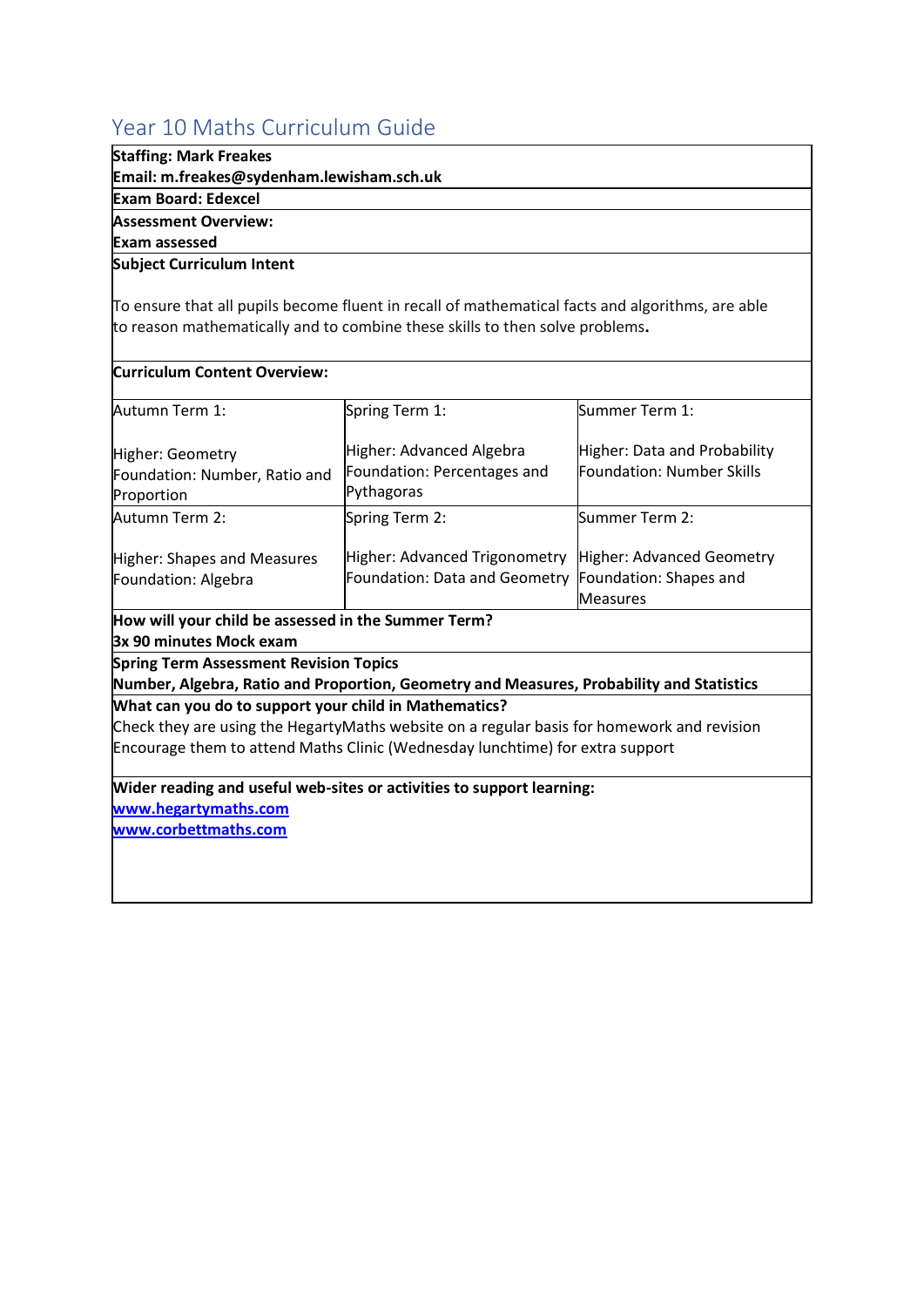# <span id="page-5-0"></span>Year 10 Maths Curriculum Guide

### **Staffing: Mark Freakes**

**Email: m.freakes@sydenham.lewisham.sch.uk**

#### **Exam Board: Edexcel**

**Assessment Overview:**

**Exam assessed**

#### **Subject Curriculum Intent**

To ensure that all pupils become fluent in recall of mathematical facts and algorithms, are able to reason mathematically and to combine these skills to then solve problems**.**

| <b>Curriculum Content Overview:</b>                                                   |                                                                                                                                                                             |                                                                        |
|---------------------------------------------------------------------------------------|-----------------------------------------------------------------------------------------------------------------------------------------------------------------------------|------------------------------------------------------------------------|
| Autumn Term 1:                                                                        | Spring Term 1:                                                                                                                                                              | Summer Term 1:                                                         |
| Higher: Geometry<br>Foundation: Number, Ratio and<br>Proportion                       | Higher: Advanced Algebra<br>Foundation: Percentages and<br>Pythagoras                                                                                                       | Higher: Data and Probability<br><b>Foundation: Number Skills</b>       |
| Autumn Term 2:                                                                        | Spring Term 2:                                                                                                                                                              | Summer Term 2:                                                         |
| Higher: Shapes and Measures<br>Foundation: Algebra                                    | Higher: Advanced Trigonometry<br>Foundation: Data and Geometry                                                                                                              | Higher: Advanced Geometry<br>Foundation: Shapes and<br><b>Measures</b> |
| How will your child be assessed in the Summer Term?<br><b>3x 90 minutes Mock exam</b> |                                                                                                                                                                             |                                                                        |
| <b>Spring Term Assessment Revision Topics</b>                                         | Number, Algebra, Ratio and Proportion, Geometry and Measures, Probability and Statistics                                                                                    |                                                                        |
| What can you do to support your child in Mathematics?                                 |                                                                                                                                                                             |                                                                        |
|                                                                                       | Check they are using the HegartyMaths website on a regular basis for homework and revision<br>Encourage them to attend Maths Clinic (Wednesday lunchtime) for extra support |                                                                        |
| www.hegartymaths.com                                                                  | Wider reading and useful web-sites or activities to support learning:                                                                                                       |                                                                        |
| www.corbettmaths.com                                                                  |                                                                                                                                                                             |                                                                        |
|                                                                                       |                                                                                                                                                                             |                                                                        |
|                                                                                       |                                                                                                                                                                             |                                                                        |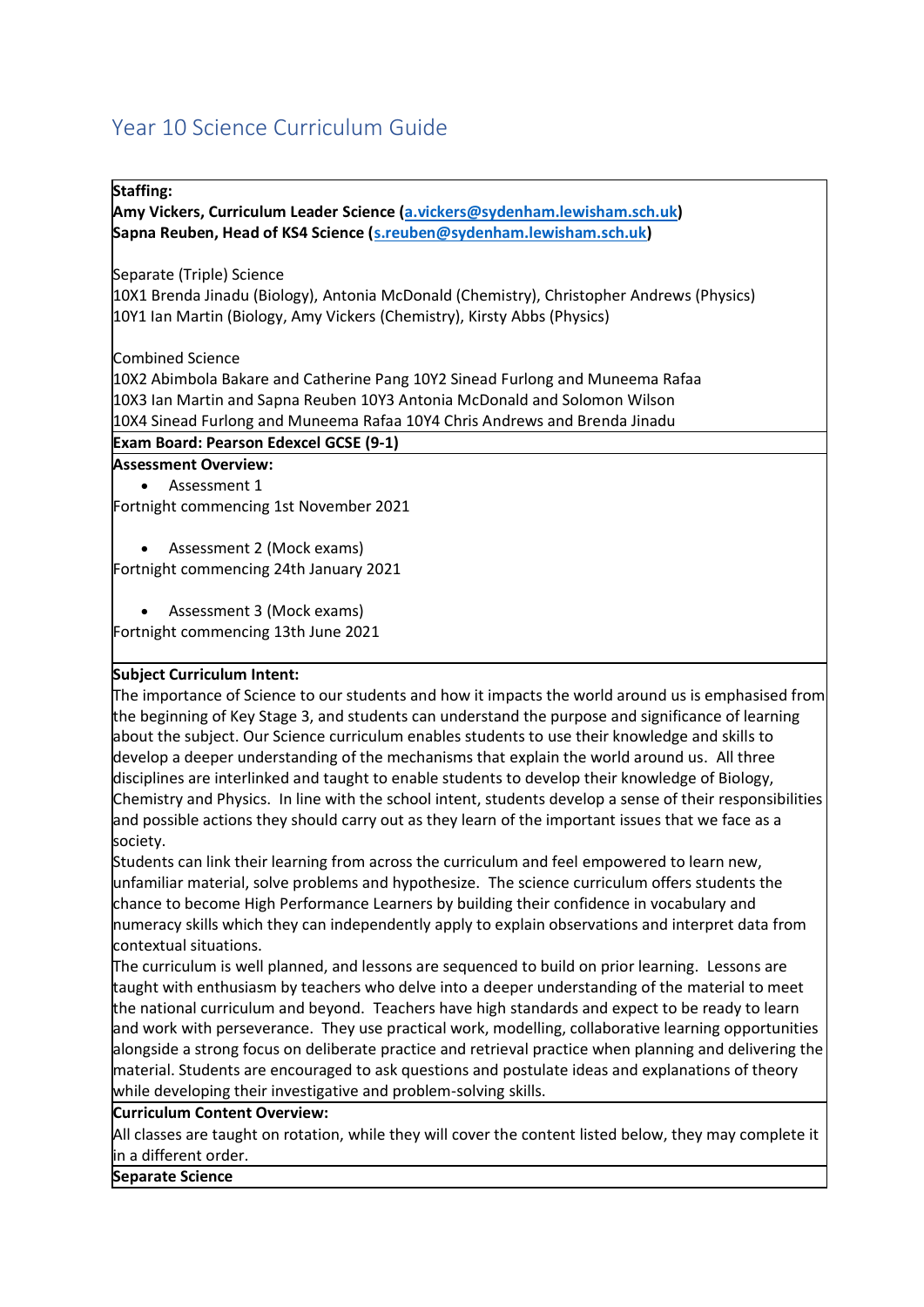# <span id="page-6-0"></span>Year 10 Science Curriculum Guide

#### **Staffing:**

**Amy Vickers, Curriculum Leader Science [\(a.vickers@sydenham.lewisham.sch.uk\)](mailto:a.vickers@sydenham.lewisham.sch.uk) Sapna Reuben, Head of KS4 Science [\(s.reuben@sydenham.lewisham.sch.uk\)](mailto:s.reuben@sydenham.lewisham.sch.uk)**

Separate (Triple) Science

10X1 Brenda Jinadu (Biology), Antonia McDonald (Chemistry), Christopher Andrews (Physics) 10Y1 Ian Martin (Biology, Amy Vickers (Chemistry), Kirsty Abbs (Physics)

Combined Science

10X2 Abimbola Bakare and Catherine Pang 10Y2 Sinead Furlong and Muneema Rafaa 10X3 Ian Martin and Sapna Reuben 10Y3 Antonia McDonald and Solomon Wilson 10X4 Sinead Furlong and Muneema Rafaa 10Y4 Chris Andrews and Brenda Jinadu

#### **Exam Board: Pearson Edexcel GCSE (9-1)**

#### **Assessment Overview:**

Assessment 1

Fortnight commencing 1st November 2021

• Assessment 2 (Mock exams) Fortnight commencing 24th January 2021

• Assessment 3 (Mock exams)

Fortnight commencing 13th June 2021

#### **Subject Curriculum Intent:**

The importance of Science to our students and how it impacts the world around us is emphasised from the beginning of Key Stage 3, and students can understand the purpose and significance of learning about the subject. Our Science curriculum enables students to use their knowledge and skills to develop a deeper understanding of the mechanisms that explain the world around us. All three disciplines are interlinked and taught to enable students to develop their knowledge of Biology, Chemistry and Physics. In line with the school intent, students develop a sense of their responsibilities and possible actions they should carry out as they learn of the important issues that we face as a society.

Students can link their learning from across the curriculum and feel empowered to learn new, unfamiliar material, solve problems and hypothesize. The science curriculum offers students the chance to become High Performance Learners by building their confidence in vocabulary and numeracy skills which they can independently apply to explain observations and interpret data from contextual situations.

The curriculum is well planned, and lessons are sequenced to build on prior learning. Lessons are taught with enthusiasm by teachers who delve into a deeper understanding of the material to meet the national curriculum and beyond. Teachers have high standards and expect to be ready to learn and work with perseverance. They use practical work, modelling, collaborative learning opportunities alongside a strong focus on deliberate practice and retrieval practice when planning and delivering the material. Students are encouraged to ask questions and postulate ideas and explanations of theory while developing their investigative and problem-solving skills.

#### **Curriculum Content Overview:**

All classes are taught on rotation, while they will cover the content listed below, they may complete it in a different order.

#### **Separate Science**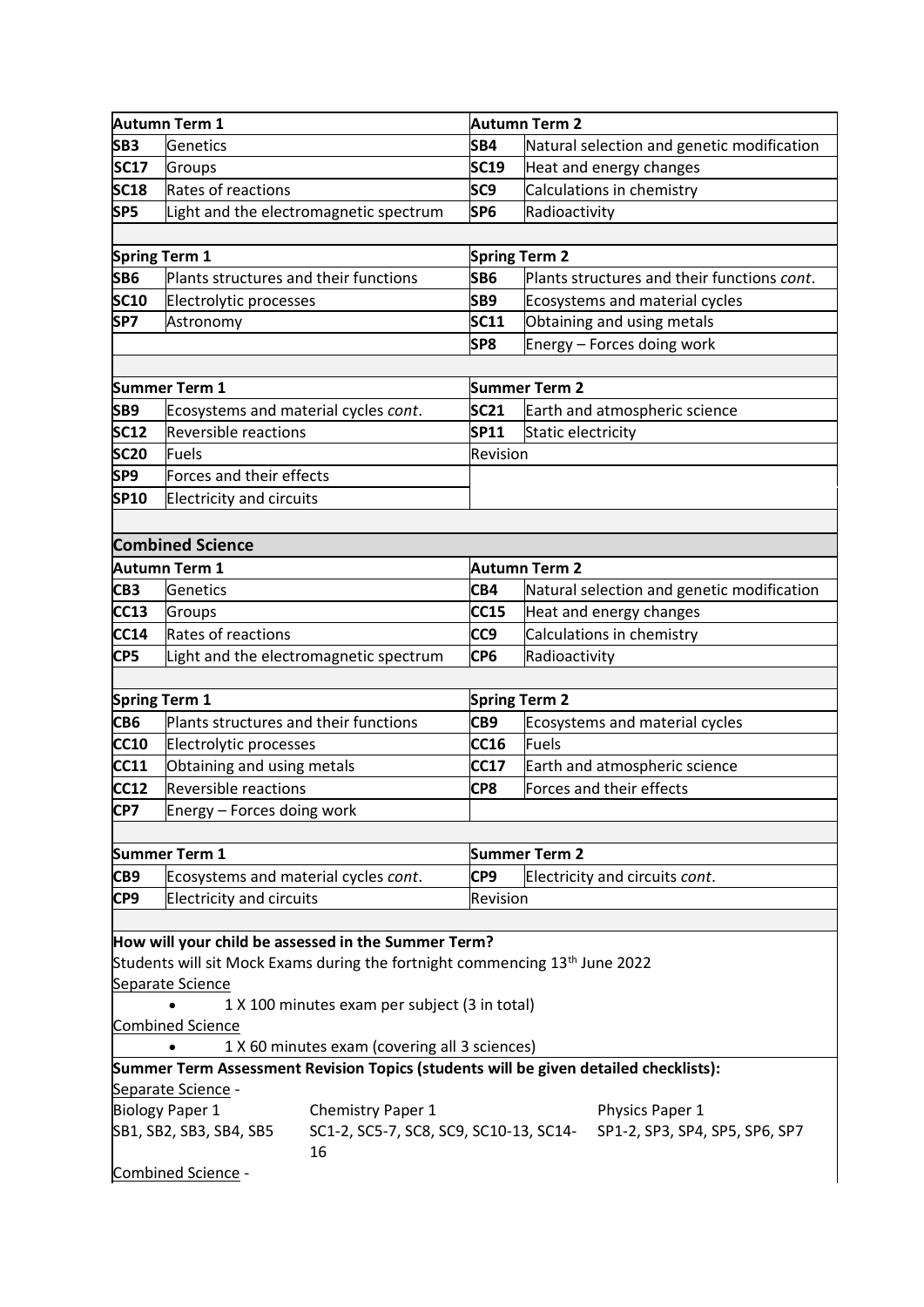|                                                                                                                                       | Autumn Term 1                                                                          |                                                                                         |                 | Autumn Term 2                                     |
|---------------------------------------------------------------------------------------------------------------------------------------|----------------------------------------------------------------------------------------|-----------------------------------------------------------------------------------------|-----------------|---------------------------------------------------|
| SB <sub>3</sub>                                                                                                                       | Genetics                                                                               |                                                                                         | SB4             | Natural selection and genetic modification        |
| <b>SC17</b>                                                                                                                           | Groups                                                                                 |                                                                                         | <b>SC19</b>     | Heat and energy changes                           |
| <b>SC18</b>                                                                                                                           | Rates of reactions                                                                     |                                                                                         | SC <sub>9</sub> | Calculations in chemistry                         |
| SP5                                                                                                                                   |                                                                                        | Light and the electromagnetic spectrum                                                  | SP <sub>6</sub> | Radioactivity                                     |
|                                                                                                                                       |                                                                                        |                                                                                         |                 |                                                   |
|                                                                                                                                       | <b>Spring Term 1</b>                                                                   |                                                                                         |                 | <b>Spring Term 2</b>                              |
| SB6                                                                                                                                   | Plants structures and their functions                                                  |                                                                                         | SB6             | Plants structures and their functions cont.       |
| <b>SC10</b>                                                                                                                           | Electrolytic processes                                                                 |                                                                                         | SB <sub>9</sub> | Ecosystems and material cycles                    |
| SP7                                                                                                                                   | Astronomy                                                                              |                                                                                         | <b>SC11</b>     | Obtaining and using metals                        |
|                                                                                                                                       |                                                                                        |                                                                                         | SP8             | Energy - Forces doing work                        |
|                                                                                                                                       |                                                                                        |                                                                                         |                 |                                                   |
|                                                                                                                                       | Summer Term 1                                                                          |                                                                                         |                 | <b>Summer Term 2</b>                              |
| SB9                                                                                                                                   | Ecosystems and material cycles cont.                                                   |                                                                                         | <b>SC21</b>     | Earth and atmospheric science                     |
| <b>SC12</b>                                                                                                                           | <b>Reversible reactions</b>                                                            |                                                                                         | SP11            | Static electricity                                |
| <b>SC20</b>                                                                                                                           | <b>Fuels</b>                                                                           |                                                                                         | Revision        |                                                   |
| SP9                                                                                                                                   | Forces and their effects                                                               |                                                                                         |                 |                                                   |
| <b>SP10</b>                                                                                                                           | <b>Electricity and circuits</b>                                                        |                                                                                         |                 |                                                   |
|                                                                                                                                       |                                                                                        |                                                                                         |                 |                                                   |
|                                                                                                                                       | <b>Combined Science</b>                                                                |                                                                                         |                 |                                                   |
|                                                                                                                                       | <b>Autumn Term 1</b>                                                                   |                                                                                         |                 | <b>Autumn Term 2</b>                              |
| CB <sub>3</sub>                                                                                                                       | Genetics                                                                               |                                                                                         | CB4             | Natural selection and genetic modification        |
| <b>CC13</b>                                                                                                                           | Groups                                                                                 |                                                                                         | <b>CC15</b>     | Heat and energy changes                           |
| <b>CC14</b>                                                                                                                           | Rates of reactions                                                                     |                                                                                         | CC <sub>9</sub> | Calculations in chemistry                         |
| CP5                                                                                                                                   |                                                                                        |                                                                                         | CP <sub>6</sub> |                                                   |
|                                                                                                                                       |                                                                                        | Light and the electromagnetic spectrum                                                  |                 | Radioactivity                                     |
|                                                                                                                                       |                                                                                        |                                                                                         |                 |                                                   |
|                                                                                                                                       | <b>Spring Term 1</b><br>Plants structures and their functions                          |                                                                                         |                 | <b>Spring Term 2</b>                              |
| CB <sub>6</sub>                                                                                                                       |                                                                                        |                                                                                         | CB9             | Ecosystems and material cycles                    |
| <b>CC10</b>                                                                                                                           | Electrolytic processes                                                                 |                                                                                         | CC16            | <b>Fuels</b>                                      |
| <b>CC11</b>                                                                                                                           | Obtaining and using metals                                                             |                                                                                         | <b>CC17</b>     | Earth and atmospheric science                     |
| <b>CC12</b>                                                                                                                           | <b>Reversible reactions</b>                                                            |                                                                                         | CP8             | Forces and their effects                          |
| CP7                                                                                                                                   | Energy - Forces doing work                                                             |                                                                                         |                 |                                                   |
|                                                                                                                                       |                                                                                        |                                                                                         |                 |                                                   |
|                                                                                                                                       | <b>Summer Term 1</b>                                                                   |                                                                                         |                 | <b>Summer Term 2</b>                              |
| CB9                                                                                                                                   | Ecosystems and material cycles cont.                                                   |                                                                                         | CP9             | Electricity and circuits cont.                    |
| CP9<br><b>Electricity and circuits</b><br>Revision                                                                                    |                                                                                        |                                                                                         |                 |                                                   |
|                                                                                                                                       |                                                                                        |                                                                                         |                 |                                                   |
|                                                                                                                                       |                                                                                        | How will your child be assessed in the Summer Term?                                     |                 |                                                   |
|                                                                                                                                       |                                                                                        | Students will sit Mock Exams during the fortnight commencing 13 <sup>th</sup> June 2022 |                 |                                                   |
|                                                                                                                                       | Separate Science                                                                       |                                                                                         |                 |                                                   |
| 1 X 100 minutes exam per subject (3 in total)                                                                                         |                                                                                        |                                                                                         |                 |                                                   |
| <b>Combined Science</b>                                                                                                               |                                                                                        |                                                                                         |                 |                                                   |
| 1 X 60 minutes exam (covering all 3 sciences)<br>Summer Term Assessment Revision Topics (students will be given detailed checklists): |                                                                                        |                                                                                         |                 |                                                   |
|                                                                                                                                       |                                                                                        |                                                                                         |                 |                                                   |
| Separate Science -<br><b>Biology Paper 1</b>                                                                                          |                                                                                        |                                                                                         |                 |                                                   |
|                                                                                                                                       | Chemistry Paper 1<br>SB1, SB2, SB3, SB4, SB5<br>SC1-2, SC5-7, SC8, SC9, SC10-13, SC14- |                                                                                         |                 | Physics Paper 1<br>SP1-2, SP3, SP4, SP5, SP6, SP7 |
|                                                                                                                                       |                                                                                        | 16                                                                                      |                 |                                                   |
|                                                                                                                                       | Combined Science -                                                                     |                                                                                         |                 |                                                   |
|                                                                                                                                       |                                                                                        |                                                                                         |                 |                                                   |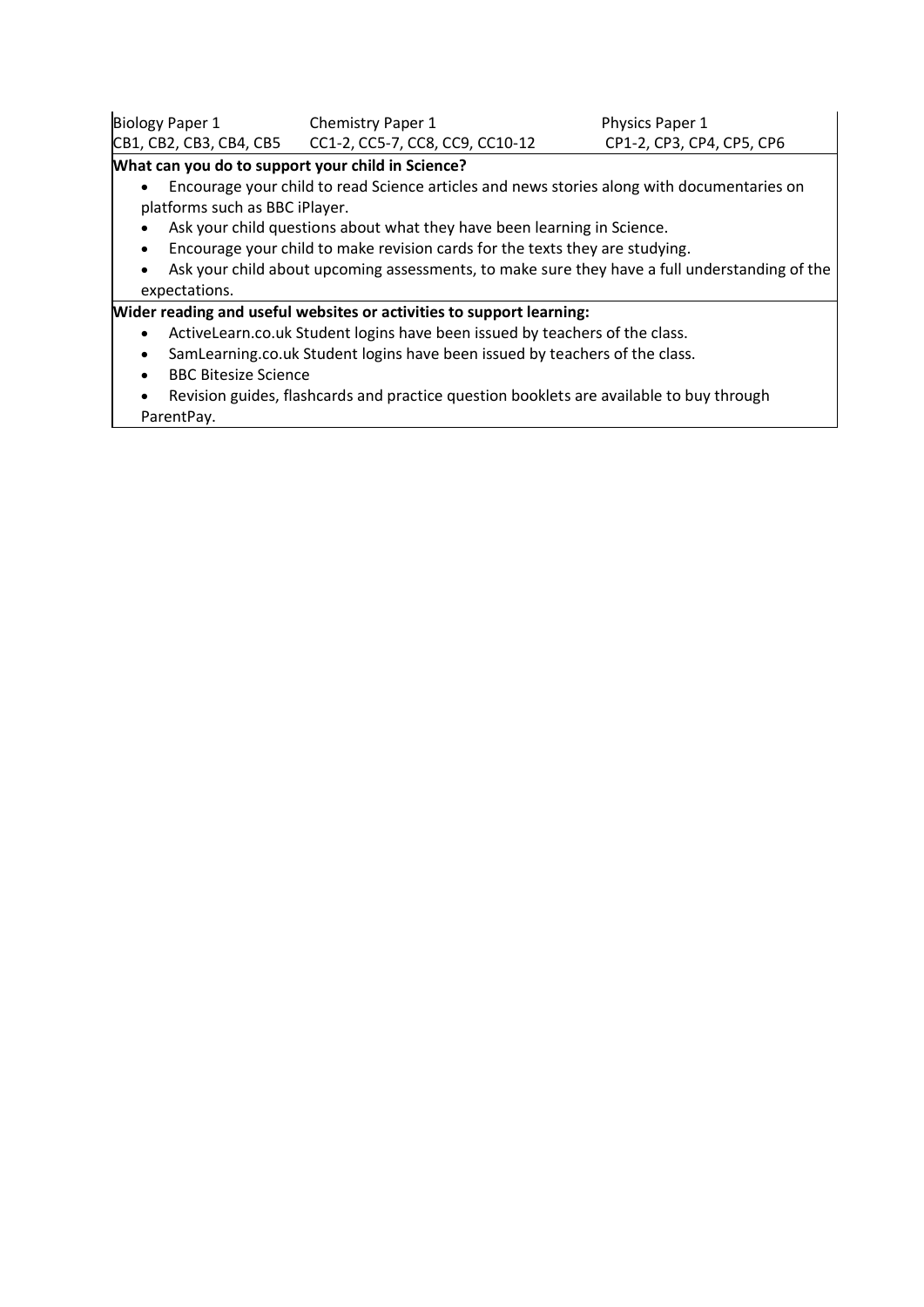| Biology Paper 1         | <b>Chemistry Paper 1</b>        | <b>Physics Paper 1</b>    |  |
|-------------------------|---------------------------------|---------------------------|--|
| CB1, CB2, CB3, CB4, CB5 | CC1-2, CC5-7, CC8, CC9, CC10-12 | CP1-2, CP3, CP4, CP5, CP6 |  |

#### **What can you do to support your child in Science?**

- Encourage your child to read Science articles and news stories along with documentaries on platforms such as BBC iPlayer.
- Ask your child questions about what they have been learning in Science.
- Encourage your child to make revision cards for the texts they are studying.
- Ask your child about upcoming assessments, to make sure they have a full understanding of the expectations.

#### **Wider reading and useful websites or activities to support learning:**

- ActiveLearn.co.uk Student logins have been issued by teachers of the class.
- SamLearning.co.uk Student logins have been issued by teachers of the class.
- BBC Bitesize Science
- Revision guides, flashcards and practice question booklets are available to buy through ParentPay.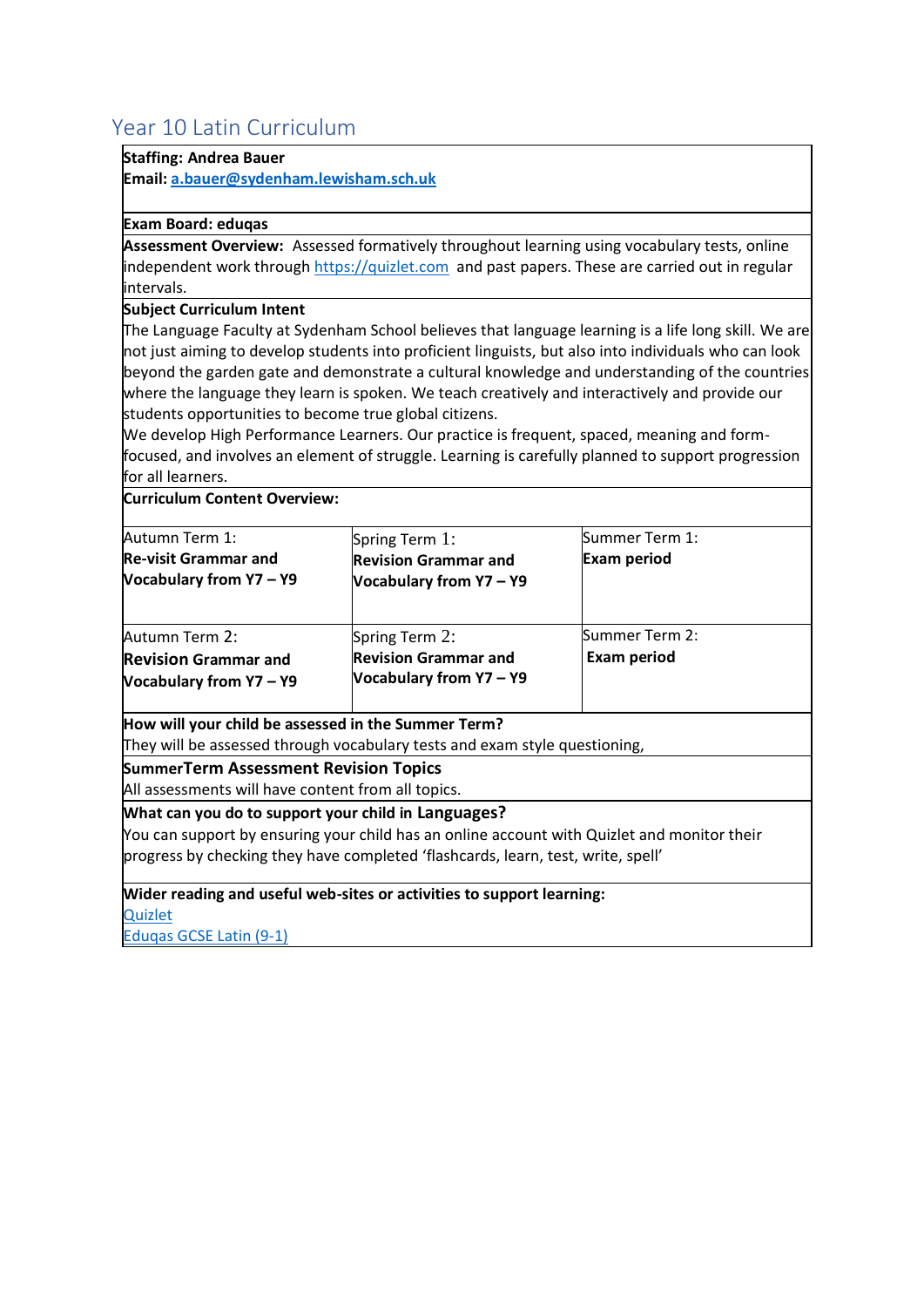# <span id="page-9-0"></span>Year 10 Latin Curriculum

#### **Staffing: Andrea Bauer**

**Email[: a.bauer@sydenham.lewisham.sch.uk](mailto:a.bauer@sydenham.lewisham.sch.uk)**

#### **Exam Board: eduqas**

**Assessment Overview:** Assessed formatively throughout learning using vocabulary tests, online independent work throug[h https://quizlet.com](https://quizlet.com/join/NAypGaNMD) and past papers. These are carried out in regular intervals.

#### **Subject Curriculum Intent**

The Language Faculty at Sydenham School believes that language learning is a life long skill. We are not just aiming to develop students into proficient linguists, but also into individuals who can look beyond the garden gate and demonstrate a cultural knowledge and understanding of the countries where the language they learn is spoken. We teach creatively and interactively and provide our students opportunities to become true global citizens.

We develop High Performance Learners. Our practice is frequent, spaced, meaning and formfocused, and involves an element of struggle. Learning is carefully planned to support progression for all learners.

**Curriculum Content Overview:**

| Autumn Term 1:                                                                                     | Spring Term 1:                                                             | Summer Term 1:                       |
|----------------------------------------------------------------------------------------------------|----------------------------------------------------------------------------|--------------------------------------|
| <b>Re-visit Grammar and</b><br>Vocabulary from Y7 - Y9                                             | <b>Revision Grammar and</b><br>Vocabulary from Y7 - Y9                     | <b>Exam period</b>                   |
| Autumn Term 2:<br><b>Revision Grammar and</b><br>Vocabulary from Y7 - Y9                           | Spring Term 2:<br><b>Revision Grammar and</b><br>Vocabulary from Y7 - Y9   | Summer Term 2:<br><b>Exam period</b> |
| How will your child be assessed in the Summer Term?                                                | They will be assessed through vocabulary tests and exam style questioning, |                                      |
| <b>SummerTerm Assessment Revision Topics</b><br>All assessments will have content from all topics. |                                                                            |                                      |

**What can you do to support your child in Languages?**

You can support by ensuring your child has an online account with Quizlet and monitor their progress by checking they have completed 'flashcards, learn, test, write, spell'

#### **Wider reading and useful web-sites or activities to support learning:**

**[Quizlet](https://quizlet.com/join/NAypGaNMD)** 

[Eduqas GCSE Latin \(9-1\)](https://www.exams.cambridgescp.com/Array/eduqas-gcse-latin-9-1)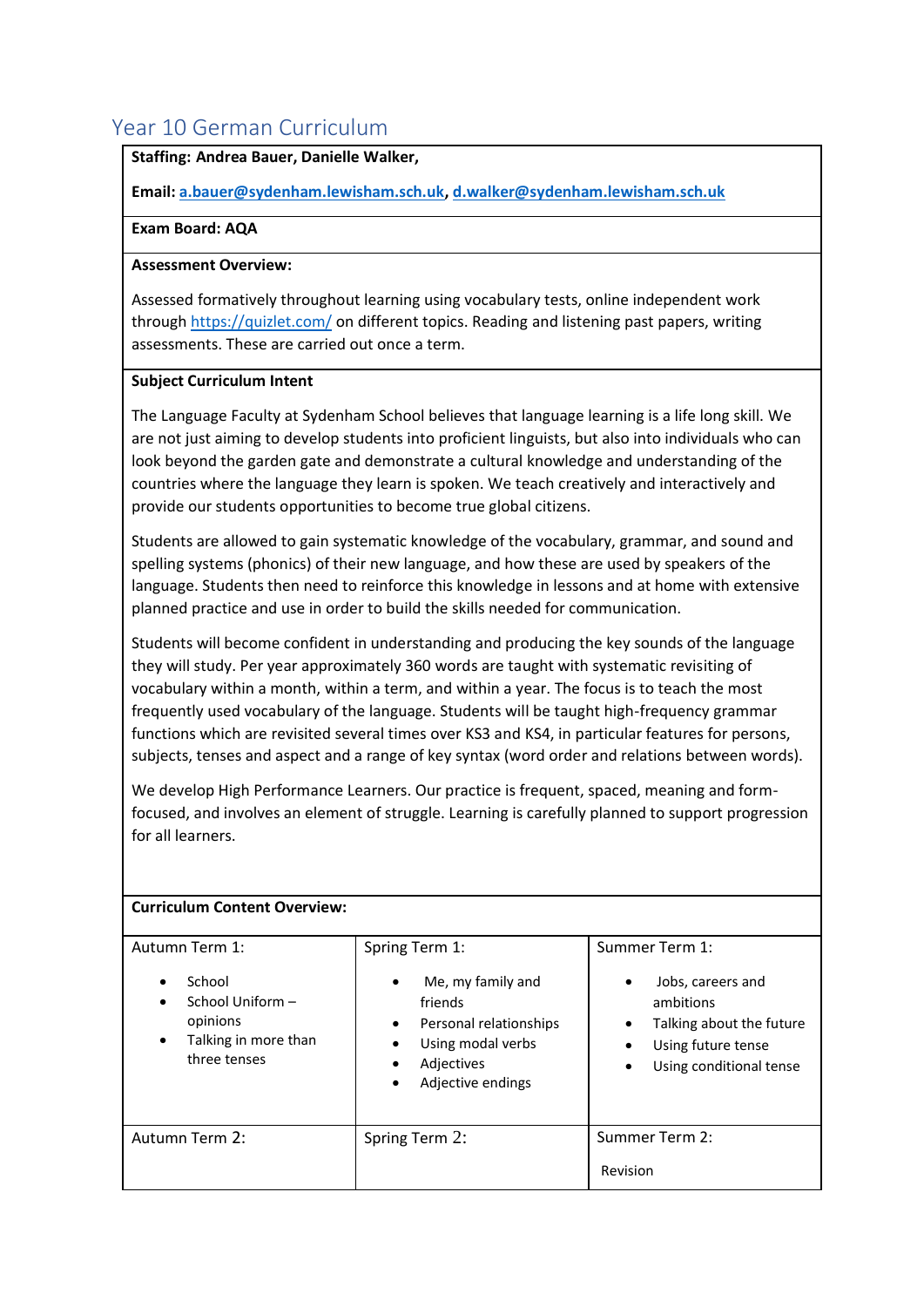### <span id="page-10-0"></span>Year 10 German Curriculum

#### **Staffing: Andrea Bauer, Danielle Walker,**

**Email[: a.bauer@sydenham.lewisham.sch.uk,](mailto:a.bauer@sydenham.lewisham.sch.uk) [d.walker@sydenham.lewisham.sch.uk](mailto:d.walker@sydenham.lewisham.sch.uk)**

#### **Exam Board: AQA**

#### **Assessment Overview:**

Assessed formatively throughout learning using vocabulary tests, online independent work through<https://quizlet.com/> on different topics. Reading and listening past papers, writing assessments. These are carried out once a term.

#### **Subject Curriculum Intent**

The Language Faculty at Sydenham School believes that language learning is a life long skill. We are not just aiming to develop students into proficient linguists, but also into individuals who can look beyond the garden gate and demonstrate a cultural knowledge and understanding of the countries where the language they learn is spoken. We teach creatively and interactively and provide our students opportunities to become true global citizens.

Students are allowed to gain systematic knowledge of the vocabulary, grammar, and sound and spelling systems (phonics) of their new language, and how these are used by speakers of the language. Students then need to reinforce this knowledge in lessons and at home with extensive planned practice and use in order to build the skills needed for communication.

Students will become confident in understanding and producing the key sounds of the language they will study. Per year approximately 360 words are taught with systematic revisiting of vocabulary within a month, within a term, and within a year. The focus is to teach the most frequently used vocabulary of the language. Students will be taught high-frequency grammar functions which are revisited several times over KS3 and KS4, in particular features for persons, subjects, tenses and aspect and a range of key syntax (word order and relations between words).

We develop High Performance Learners. Our practice is frequent, spaced, meaning and formfocused, and involves an element of struggle. Learning is carefully planned to support progression for all learners.

| <b>Curriculum Content Overview:</b>                                            |                                                                                                                                                    |                                                                                                             |
|--------------------------------------------------------------------------------|----------------------------------------------------------------------------------------------------------------------------------------------------|-------------------------------------------------------------------------------------------------------------|
| Autumn Term 1:                                                                 | Spring Term 1:                                                                                                                                     | Summer Term 1:                                                                                              |
| School<br>School Uniform -<br>opinions<br>Talking in more than<br>three tenses | Me, my family and<br>$\bullet$<br>friends<br>Personal relationships<br>$\bullet$<br>Using modal verbs<br>Adjectives<br>٠<br>Adjective endings<br>٠ | Jobs, careers and<br>ambitions<br>Talking about the future<br>Using future tense<br>Using conditional tense |
| Autumn Term 2:                                                                 | Spring Term 2:                                                                                                                                     | Summer Term 2:                                                                                              |
|                                                                                |                                                                                                                                                    | Revision                                                                                                    |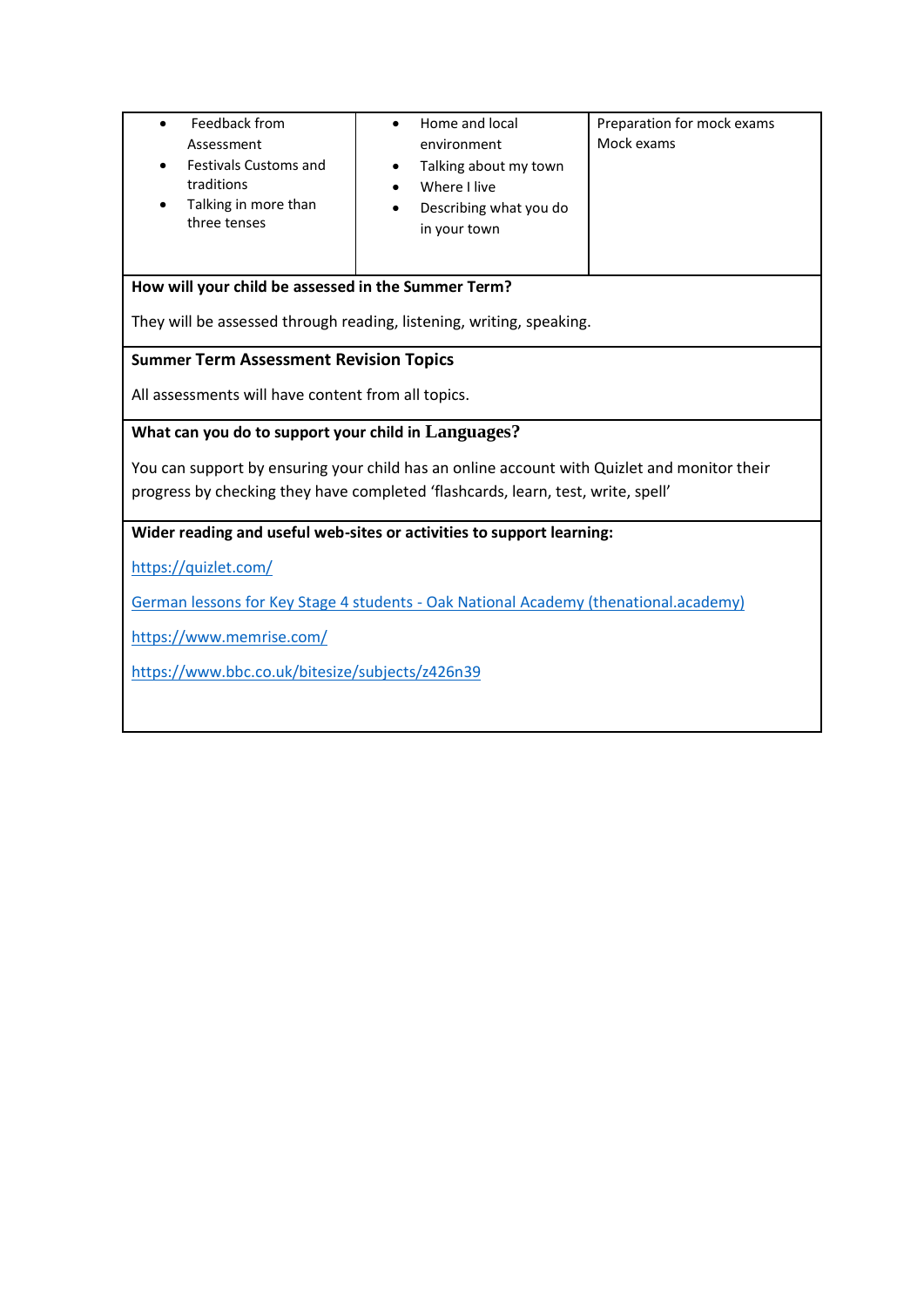| Feedback from<br>$\bullet$<br>Assessment<br><b>Festivals Customs and</b><br>traditions<br>Talking in more than<br>three tenses                                                  | Home and local<br>٠<br>environment<br>Talking about my town<br>٠<br>Where I live<br>Describing what you do<br>in your town | Preparation for mock exams<br>Mock exams |  |
|---------------------------------------------------------------------------------------------------------------------------------------------------------------------------------|----------------------------------------------------------------------------------------------------------------------------|------------------------------------------|--|
| How will your child be assessed in the Summer Term?                                                                                                                             |                                                                                                                            |                                          |  |
|                                                                                                                                                                                 | They will be assessed through reading, listening, writing, speaking.                                                       |                                          |  |
| <b>Summer Term Assessment Revision Topics</b>                                                                                                                                   |                                                                                                                            |                                          |  |
| All assessments will have content from all topics.                                                                                                                              |                                                                                                                            |                                          |  |
| What can you do to support your child in Languages?                                                                                                                             |                                                                                                                            |                                          |  |
| You can support by ensuring your child has an online account with Quizlet and monitor their<br>progress by checking they have completed 'flashcards, learn, test, write, spell' |                                                                                                                            |                                          |  |
|                                                                                                                                                                                 | Wider reading and useful web-sites or activities to support learning:                                                      |                                          |  |
| https://quizlet.com/                                                                                                                                                            |                                                                                                                            |                                          |  |
| <b>German lessons for Key Stage 4 students - Oak National Academy (thenational.academy)</b>                                                                                     |                                                                                                                            |                                          |  |
| https://www.memrise.com/                                                                                                                                                        |                                                                                                                            |                                          |  |
| https://www.bbc.co.uk/bitesize/subjects/z426n39                                                                                                                                 |                                                                                                                            |                                          |  |
|                                                                                                                                                                                 |                                                                                                                            |                                          |  |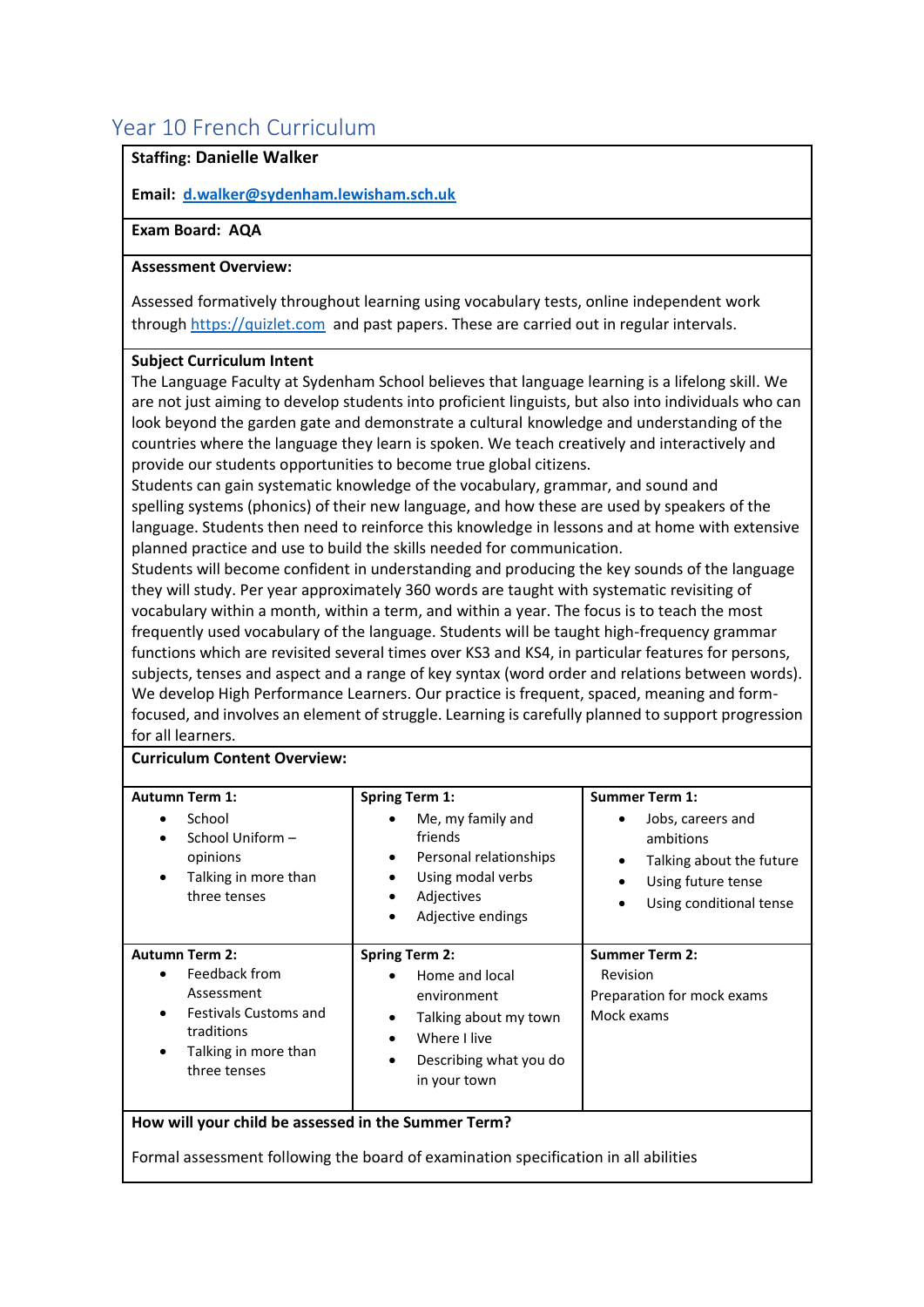# <span id="page-12-0"></span>Year 10 French Curriculum

#### **Staffing: Danielle Walker**

**Email: [d.walker@sydenham.lewisham.sch.uk](mailto:d.walker@sydenham.lewisham.sch.uk)**

#### **Exam Board: AQA**

#### **Assessment Overview:**

Assessed formatively throughout learning using vocabulary tests, online independent work through [https://quizlet.com](https://quizlet.com/join/NAypGaNMD) and past papers. These are carried out in regular intervals.

#### **Subject Curriculum Intent**

The Language Faculty at Sydenham School believes that language learning is a lifelong skill. We are not just aiming to develop students into proficient linguists, but also into individuals who can look beyond the garden gate and demonstrate a cultural knowledge and understanding of the countries where the language they learn is spoken. We teach creatively and interactively and provide our students opportunities to become true global citizens.

Students can gain systematic knowledge of the vocabulary, grammar, and sound and spelling systems (phonics) of their new language, and how these are used by speakers of the language. Students then need to reinforce this knowledge in lessons and at home with extensive planned practice and use to build the skills needed for communication.

Students will become confident in understanding and producing the key sounds of the language they will study. Per year approximately 360 words are taught with systematic revisiting of vocabulary within a month, within a term, and within a year. The focus is to teach the most frequently used vocabulary of the language. Students will be taught high-frequency grammar functions which are revisited several times over KS3 and KS4, in particular features for persons, subjects, tenses and aspect and a range of key syntax (word order and relations between words). We develop High Performance Learners. Our practice is frequent, spaced, meaning and formfocused, and involves an element of struggle. Learning is carefully planned to support progression for all learners.

#### **Curriculum Content Overview:**

| <b>Autumn Term 1:</b><br>School<br>٠<br>School Uniform -<br>opinions<br>Talking in more than<br>٠<br>three tenses                                         | <b>Spring Term 1:</b><br>Me, my family and<br>friends<br>Personal relationships<br>$\bullet$<br>Using modal verbs<br>٠<br>Adjectives<br>Adjective endings<br>$\bullet$           | <b>Summer Term 1:</b><br>Jobs, careers and<br>٠<br>ambitions<br>Talking about the future<br>٠<br>Using future tense<br>٠<br>Using conditional tense<br>$\bullet$ |
|-----------------------------------------------------------------------------------------------------------------------------------------------------------|----------------------------------------------------------------------------------------------------------------------------------------------------------------------------------|------------------------------------------------------------------------------------------------------------------------------------------------------------------|
| <b>Autumn Term 2:</b><br>Feedback from<br>٠<br>Assessment<br><b>Festivals Customs and</b><br>٠<br>traditions<br>Talking in more than<br>٠<br>three tenses | <b>Spring Term 2:</b><br>Home and local<br>$\bullet$<br>environment<br>Talking about my town<br>$\bullet$<br>Where I live<br>Describing what you do<br>$\bullet$<br>in your town | <b>Summer Term 2:</b><br>Revision<br>Preparation for mock exams<br>Mock exams                                                                                    |
| How will your child be assessed in the Summer Term?                                                                                                       |                                                                                                                                                                                  |                                                                                                                                                                  |

Formal assessment following the board of examination specification in all abilities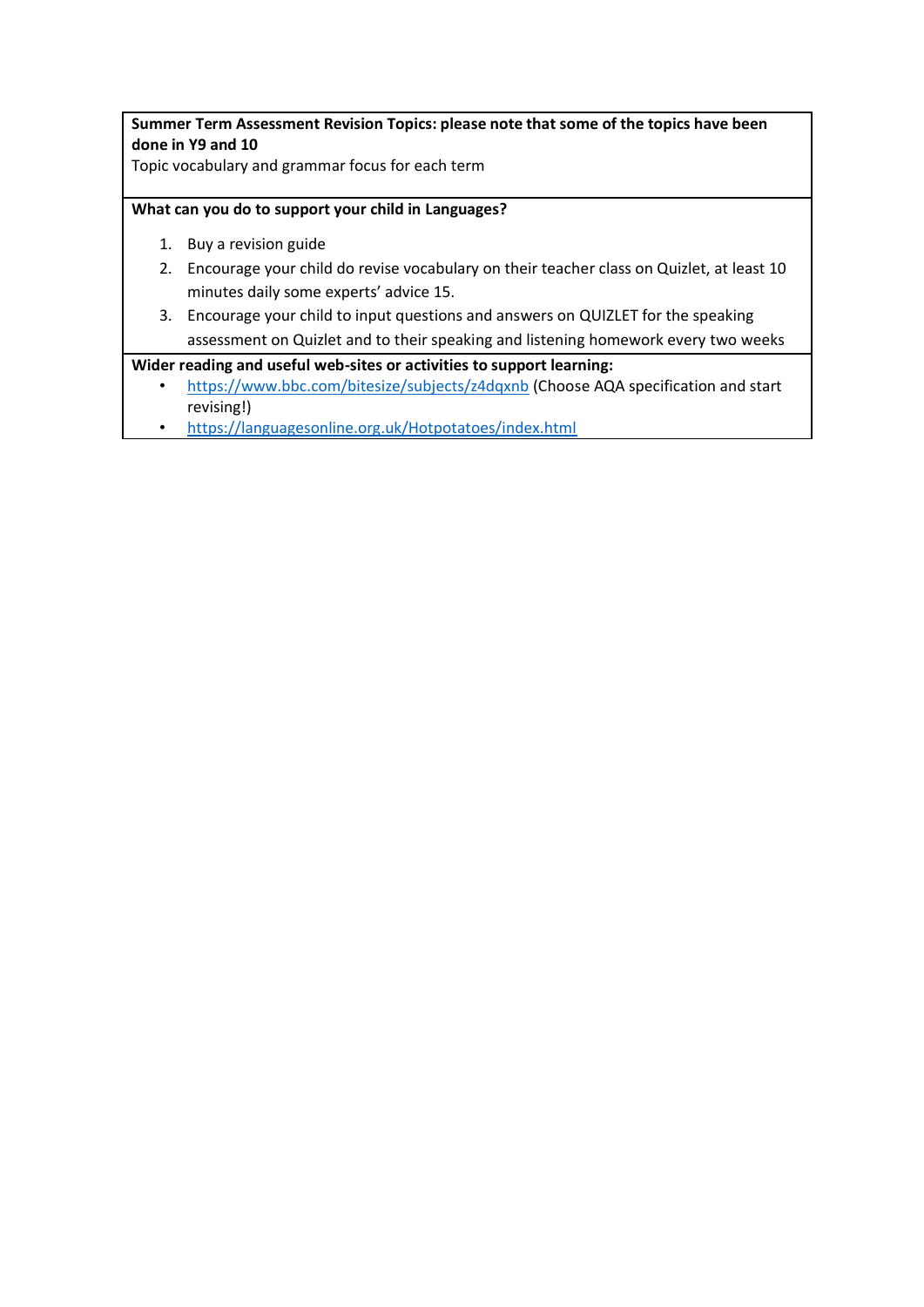**Summer Term Assessment Revision Topics: please note that some of the topics have been done in Y9 and 10** 

Topic vocabulary and grammar focus for each term

#### **What can you do to support your child in Languages?**

- 1. Buy a revision guide
- 2. Encourage your child do revise vocabulary on their teacher class on Quizlet, at least 10 minutes daily some experts' advice 15.
- 3. Encourage your child to input questions and answers on QUIZLET for the speaking assessment on Quizlet and to their speaking and listening homework every two weeks

#### **Wider reading and useful web-sites or activities to support learning:**

- <https://www.bbc.com/bitesize/subjects/z4dqxnb> (Choose AQA specification and start revising!)
- <https://languagesonline.org.uk/Hotpotatoes/index.html>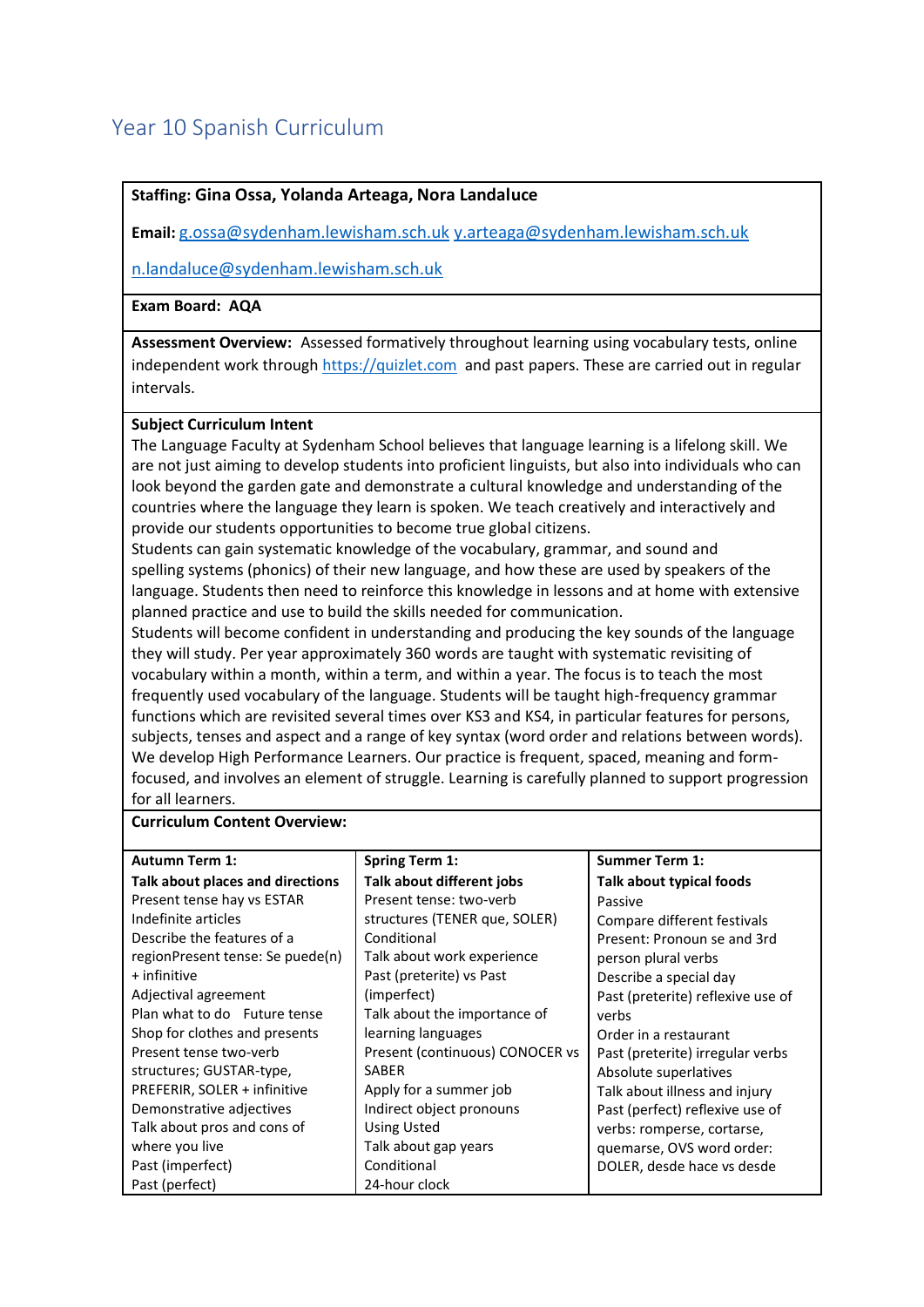# <span id="page-14-0"></span>Year 10 Spanish Curriculum

#### **Staffing: Gina Ossa, Yolanda Arteaga, Nora Landaluce**

**Email:** [g.ossa@sydenham.lewisham.sch.uk](mailto:g.ossa@sydenham.lewisham.sch.uk) [y.arteaga@sydenham.lewisham.sch.uk](mailto:y.arteaga@sydenham.lewisham.sch.uk)

[n.landaluce@sydenham.lewisham.sch.uk](mailto:n.landaluce@sydenham.lewisham.sch.uk)

**Exam Board: AQA**

**Assessment Overview:** Assessed formatively throughout learning using vocabulary tests, online independent work through [https://quizlet.com](https://quizlet.com/join/NAypGaNMD) and past papers. These are carried out in regular intervals.

#### **Subject Curriculum Intent**

The Language Faculty at Sydenham School believes that language learning is a lifelong skill. We are not just aiming to develop students into proficient linguists, but also into individuals who can look beyond the garden gate and demonstrate a cultural knowledge and understanding of the countries where the language they learn is spoken. We teach creatively and interactively and provide our students opportunities to become true global citizens.

Students can gain systematic knowledge of the vocabulary, grammar, and sound and spelling systems (phonics) of their new language, and how these are used by speakers of the language. Students then need to reinforce this knowledge in lessons and at home with extensive planned practice and use to build the skills needed for communication.

Students will become confident in understanding and producing the key sounds of the language they will study. Per year approximately 360 words are taught with systematic revisiting of vocabulary within a month, within a term, and within a year. The focus is to teach the most frequently used vocabulary of the language. Students will be taught high-frequency grammar functions which are revisited several times over KS3 and KS4, in particular features for persons, subjects, tenses and aspect and a range of key syntax (word order and relations between words). We develop High Performance Learners. Our practice is frequent, spaced, meaning and formfocused, and involves an element of struggle. Learning is carefully planned to support progression for all learners.

#### **Curriculum Content Overview:**

| <b>Autumn Term 1:</b>            | <b>Spring Term 1:</b>           | <b>Summer Term 1:</b>             |
|----------------------------------|---------------------------------|-----------------------------------|
| Talk about places and directions | Talk about different jobs       | Talk about typical foods          |
| Present tense hay vs ESTAR       | Present tense: two-verb         | Passive                           |
| Indefinite articles              | structures (TENER que, SOLER)   | Compare different festivals       |
| Describe the features of a       | Conditional                     | Present: Pronoun se and 3rd       |
| regionPresent tense: Se puede(n) | Talk about work experience      | person plural verbs               |
| + infinitive                     | Past (preterite) vs Past        | Describe a special day            |
| Adjectival agreement             | (imperfect)                     | Past (preterite) reflexive use of |
| Plan what to do Future tense     | Talk about the importance of    | verbs                             |
| Shop for clothes and presents    | learning languages              | Order in a restaurant             |
| Present tense two-verb           | Present (continuous) CONOCER vs | Past (preterite) irregular verbs  |
| structures; GUSTAR-type,         | <b>SABER</b>                    | Absolute superlatives             |
| PREFERIR, SOLER + infinitive     | Apply for a summer job          | Talk about illness and injury     |
| Demonstrative adjectives         | Indirect object pronouns        | Past (perfect) reflexive use of   |
| Talk about pros and cons of      | <b>Using Usted</b>              | verbs: romperse, cortarse,        |
| where you live                   | Talk about gap years            | quemarse, OVS word order:         |
| Past (imperfect)                 | Conditional                     | DOLER, desde hace vs desde        |
| Past (perfect)                   | 24-hour clock                   |                                   |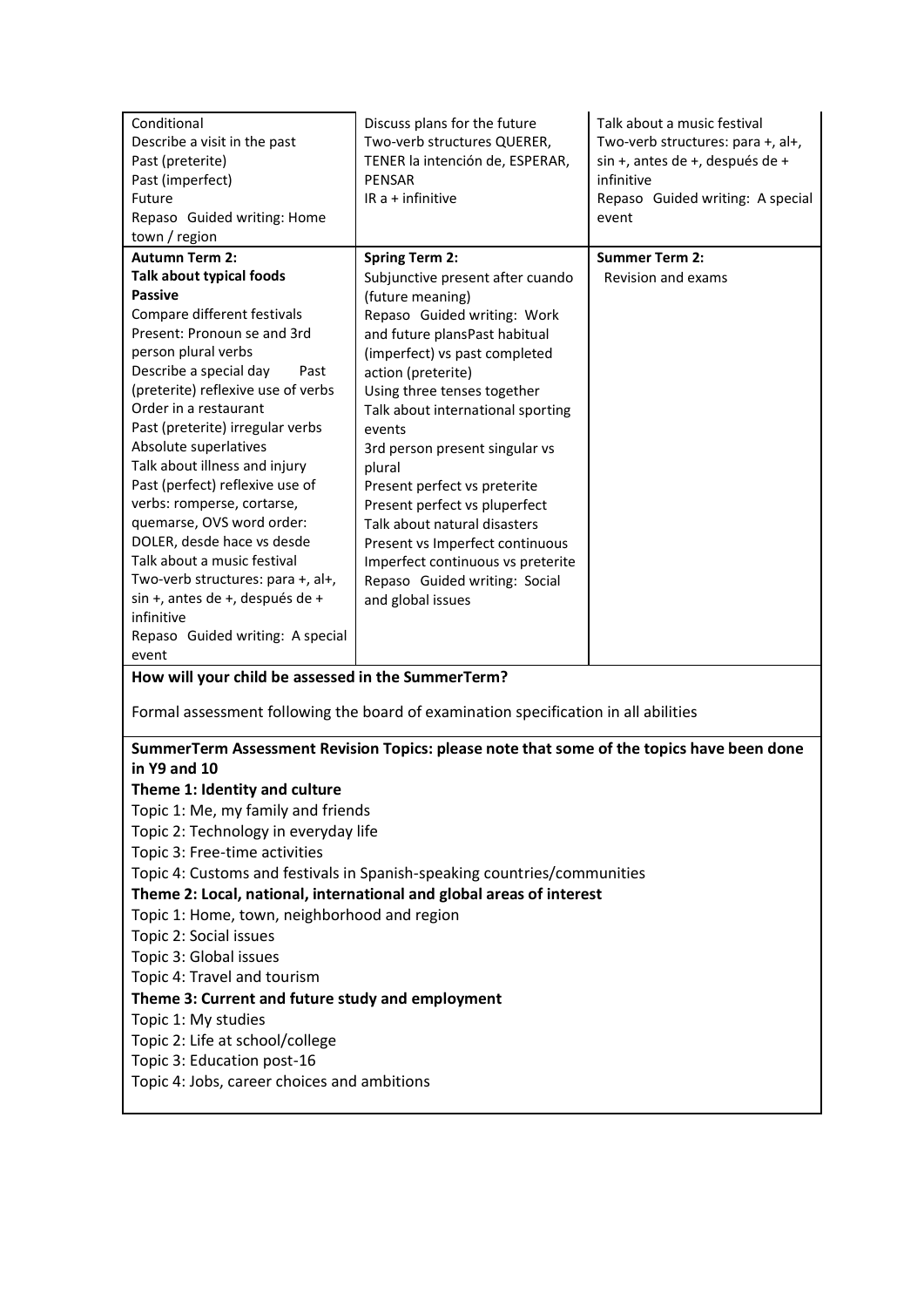| Conditional<br>Describe a visit in the past<br>Past (preterite)<br>Past (imperfect)<br>Future<br>Repaso Guided writing: Home<br>town / region | Discuss plans for the future<br>Two-verb structures QUERER,<br>TENER la intención de, ESPERAR,<br><b>PENSAR</b><br>IR $a +$ infinitive | Talk about a music festival<br>Two-verb structures: para +, al+,<br>sin +, antes de +, después de +<br>infinitive<br>Repaso Guided writing: A special<br>event |  |  |
|-----------------------------------------------------------------------------------------------------------------------------------------------|----------------------------------------------------------------------------------------------------------------------------------------|----------------------------------------------------------------------------------------------------------------------------------------------------------------|--|--|
| <b>Autumn Term 2:</b>                                                                                                                         | <b>Spring Term 2:</b>                                                                                                                  | <b>Summer Term 2:</b>                                                                                                                                          |  |  |
| <b>Talk about typical foods</b>                                                                                                               | Subjunctive present after cuando                                                                                                       | Revision and exams                                                                                                                                             |  |  |
| <b>Passive</b>                                                                                                                                | (future meaning)                                                                                                                       |                                                                                                                                                                |  |  |
| Compare different festivals<br>Present: Pronoun se and 3rd                                                                                    | Repaso Guided writing: Work<br>and future plansPast habitual                                                                           |                                                                                                                                                                |  |  |
| person plural verbs                                                                                                                           | (imperfect) vs past completed                                                                                                          |                                                                                                                                                                |  |  |
| Describe a special day<br>Past                                                                                                                | action (preterite)                                                                                                                     |                                                                                                                                                                |  |  |
| (preterite) reflexive use of verbs                                                                                                            | Using three tenses together                                                                                                            |                                                                                                                                                                |  |  |
| Order in a restaurant                                                                                                                         | Talk about international sporting                                                                                                      |                                                                                                                                                                |  |  |
| Past (preterite) irregular verbs                                                                                                              | events                                                                                                                                 |                                                                                                                                                                |  |  |
| Absolute superlatives                                                                                                                         | 3rd person present singular vs                                                                                                         |                                                                                                                                                                |  |  |
| Talk about illness and injury                                                                                                                 | plural                                                                                                                                 |                                                                                                                                                                |  |  |
| Past (perfect) reflexive use of                                                                                                               | Present perfect vs preterite                                                                                                           |                                                                                                                                                                |  |  |
| verbs: romperse, cortarse,<br>quemarse, OVS word order:                                                                                       | Present perfect vs pluperfect<br>Talk about natural disasters                                                                          |                                                                                                                                                                |  |  |
| DOLER, desde hace vs desde                                                                                                                    | Present vs Imperfect continuous                                                                                                        |                                                                                                                                                                |  |  |
| Talk about a music festival                                                                                                                   | Imperfect continuous vs preterite                                                                                                      |                                                                                                                                                                |  |  |
| Two-verb structures: para +, al+,                                                                                                             | Repaso Guided writing: Social                                                                                                          |                                                                                                                                                                |  |  |
| sin +, antes de +, después de +                                                                                                               | and global issues                                                                                                                      |                                                                                                                                                                |  |  |
| infinitive                                                                                                                                    |                                                                                                                                        |                                                                                                                                                                |  |  |
| Repaso Guided writing: A special                                                                                                              |                                                                                                                                        |                                                                                                                                                                |  |  |
| event<br>How will your child be assessed in the SummerTerm?                                                                                   |                                                                                                                                        |                                                                                                                                                                |  |  |
|                                                                                                                                               |                                                                                                                                        |                                                                                                                                                                |  |  |
|                                                                                                                                               | Formal assessment following the board of examination specification in all abilities                                                    |                                                                                                                                                                |  |  |
|                                                                                                                                               | SummerTerm Assessment Revision Topics: please note that some of the topics have been done                                              |                                                                                                                                                                |  |  |
| in Y9 and 10                                                                                                                                  |                                                                                                                                        |                                                                                                                                                                |  |  |
| Theme 1: Identity and culture                                                                                                                 |                                                                                                                                        |                                                                                                                                                                |  |  |
| Topic 1: Me, my family and friends                                                                                                            |                                                                                                                                        |                                                                                                                                                                |  |  |
| Topic 2: Technology in everyday life                                                                                                          |                                                                                                                                        |                                                                                                                                                                |  |  |
| Topic 3: Free-time activities                                                                                                                 |                                                                                                                                        |                                                                                                                                                                |  |  |
|                                                                                                                                               | Topic 4: Customs and festivals in Spanish-speaking countries/communities                                                               |                                                                                                                                                                |  |  |
|                                                                                                                                               | Theme 2: Local, national, international and global areas of interest                                                                   |                                                                                                                                                                |  |  |
| Topic 1: Home, town, neighborhood and region                                                                                                  |                                                                                                                                        |                                                                                                                                                                |  |  |
| Topic 2: Social issues                                                                                                                        |                                                                                                                                        |                                                                                                                                                                |  |  |
| Topic 3: Global issues                                                                                                                        |                                                                                                                                        |                                                                                                                                                                |  |  |
| Topic 4: Travel and tourism                                                                                                                   |                                                                                                                                        |                                                                                                                                                                |  |  |
| Theme 3: Current and future study and employment                                                                                              |                                                                                                                                        |                                                                                                                                                                |  |  |
|                                                                                                                                               | Topic 1: My studies                                                                                                                    |                                                                                                                                                                |  |  |
| Topic 2: Life at school/college                                                                                                               |                                                                                                                                        |                                                                                                                                                                |  |  |
| Topic 3: Education post-16<br>Topic 4: Jobs, career choices and ambitions                                                                     |                                                                                                                                        |                                                                                                                                                                |  |  |
|                                                                                                                                               |                                                                                                                                        |                                                                                                                                                                |  |  |
|                                                                                                                                               |                                                                                                                                        |                                                                                                                                                                |  |  |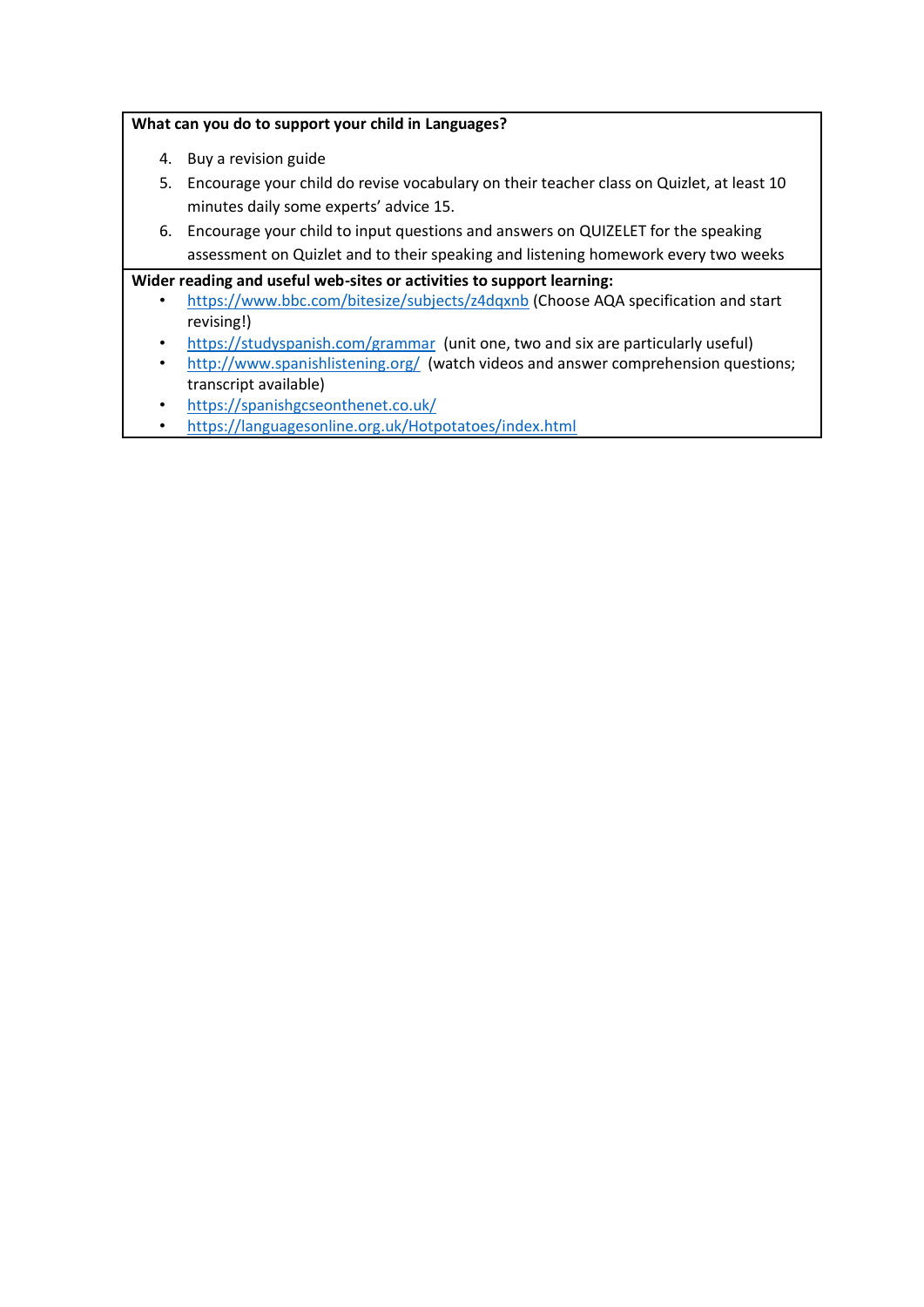#### **What can you do to support your child in Languages?**

- 4. Buy a revision guide
- 5. Encourage your child do revise vocabulary on their teacher class on Quizlet, at least 10 minutes daily some experts' advice 15.
- 6. Encourage your child to input questions and answers on QUIZELET for the speaking assessment on Quizlet and to their speaking and listening homework every two weeks

#### **Wider reading and useful web-sites or activities to support learning:**

- <https://www.bbc.com/bitesize/subjects/z4dqxnb> (Choose AQA specification and start revising!)
- <https://studyspanish.com/grammar>(unit one, two and six are particularly useful)
- <http://www.spanishlistening.org/>(watch videos and answer comprehension questions; transcript available)
- <https://spanishgcseonthenet.co.uk/>
- <https://languagesonline.org.uk/Hotpotatoes/index.html>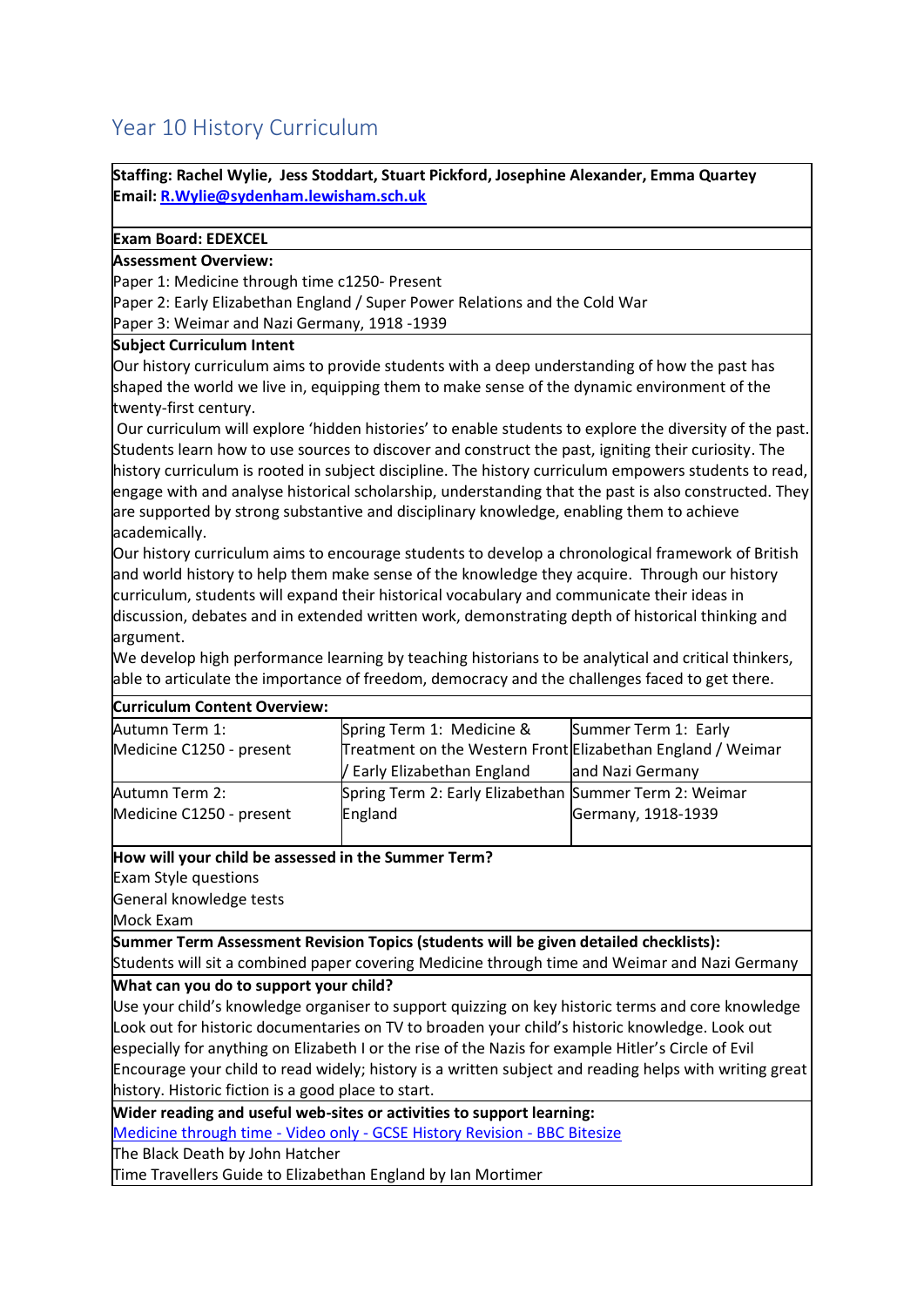# <span id="page-17-0"></span>Year 10 History Curriculum

**Staffing: Rachel Wylie, Jess Stoddart, Stuart Pickford, Josephine Alexander, Emma Quartey Email[: R.Wylie@sydenham.lewisham.sch.uk](mailto:R.Wylie@sydenham.lewisham.sch.uk)**

#### **Exam Board: EDEXCEL**

#### **Assessment Overview:**

Paper 1: Medicine through time c1250- Present

Paper 2: Early Elizabethan England / Super Power Relations and the Cold War

Paper 3: Weimar and Nazi Germany, 1918 -1939

#### **Subject Curriculum Intent**

Our history curriculum aims to provide students with a deep understanding of how the past has shaped the world we live in, equipping them to make sense of the dynamic environment of the twenty-first century.

Our curriculum will explore 'hidden histories' to enable students to explore the diversity of the past. Students learn how to use sources to discover and construct the past, igniting their curiosity. The history curriculum is rooted in subject discipline. The history curriculum empowers students to read, engage with and analyse historical scholarship, understanding that the past is also constructed. They are supported by strong substantive and disciplinary knowledge, enabling them to achieve academically.

Our history curriculum aims to encourage students to develop a chronological framework of British and world history to help them make sense of the knowledge they acquire. Through our history curriculum, students will expand their historical vocabulary and communicate their ideas in discussion, debates and in extended written work, demonstrating depth of historical thinking and argument.

We develop high performance learning by teaching historians to be analytical and critical thinkers, able to articulate the importance of freedom, democracy and the challenges faced to get there.

| <b>Curriculum Content Overview:</b> |                                                             |                      |
|-------------------------------------|-------------------------------------------------------------|----------------------|
| Autumn Term 1:                      | Spring Term 1: Medicine &                                   | Summer Term 1: Early |
| Medicine C1250 - present            | Treatment on the Western Front Elizabethan England / Weimar |                      |
|                                     | / Early Elizabethan England                                 | and Nazi Germany     |
| Autumn Term 2:                      | Spring Term 2: Early Elizabethan Summer Term 2: Weimar      |                      |
| Medicine C1250 - present            | England                                                     | Germany, 1918-1939   |
|                                     |                                                             |                      |

**How will your child be assessed in the Summer Term?**

Exam Style questions

General knowledge tests

Mock Exam

**Summer Term Assessment Revision Topics (students will be given detailed checklists):** Students will sit a combined paper covering Medicine through time and Weimar and Nazi Germany

**What can you do to support your child?**

Use your child's knowledge organiser to support quizzing on key historic terms and core knowledge Look out for historic documentaries on TV to broaden your child's historic knowledge. Look out especially for anything on Elizabeth I or the rise of the Nazis for example Hitler's Circle of Evil Encourage your child to read widely; history is a written subject and reading helps with writing great history. Historic fiction is a good place to start.

**Wider reading and useful web-sites or activities to support learning:**

[Medicine through time -](https://www.bbc.co.uk/bitesize/topics/zhphvcw) Video only - GCSE History Revision - BBC Bitesize

The Black Death by John Hatcher

Time Travellers Guide to Elizabethan England by Ian Mortimer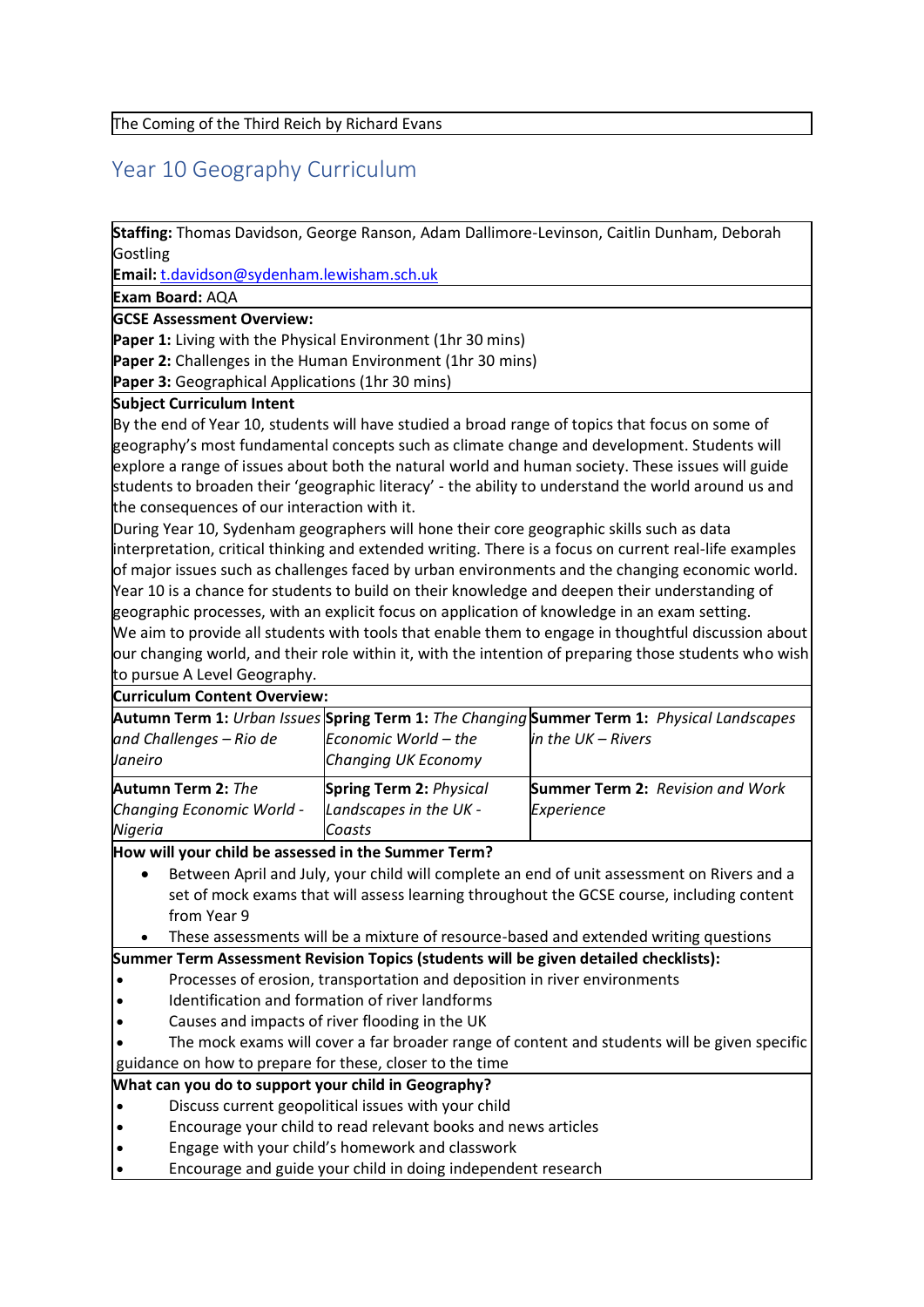The Coming of the Third Reich by Richard Evans

# <span id="page-18-0"></span>Year 10 Geography Curriculum

**Staffing:** Thomas Davidson, George Ranson, Adam Dallimore-Levinson, Caitlin Dunham, Deborah **Gostling** 

**Email:** [t.davidson@sydenham.lewisham.sch.uk](mailto:t.davidson@sydenham.lewisham.sch.uk)

**Exam Board:** AQA

**GCSE Assessment Overview:**

**Paper 1:** Living with the Physical Environment (1hr 30 mins)

**Paper 2:** Challenges in the Human Environment (1hr 30 mins)

Paper 3: Geographical Applications (1hr 30 mins)

#### **Subject Curriculum Intent**

By the end of Year 10, students will have studied a broad range of topics that focus on some of geography's most fundamental concepts such as climate change and development. Students will explore a range of issues about both the natural world and human society. These issues will guide students to broaden their 'geographic literacy' - the ability to understand the world around us and the consequences of our interaction with it.  

During Year 10, Sydenham geographers will hone their core geographic skills such as data interpretation, critical thinking and extended writing. There is a focus on current real-life examples of major issues such as challenges faced by urban environments and the changing economic world. Year 10 is a chance for students to build on their knowledge and deepen their understanding of geographic processes, with an explicit focus on application of knowledge in an exam setting. We aim to provide all students with tools that enable them to engage in thoughtful discussion about our changing world, and their role within it, with the intention of preparing those students who wish to pursue A Level Geography.

#### **Curriculum Content Overview:**

|                           |                                | Autumn Term 1: Urban Issues Spring Term 1: The Changing Summer Term 1: Physical Landscapes |
|---------------------------|--------------------------------|--------------------------------------------------------------------------------------------|
| and Challenges - Rio de   | Economic World - the           | in the $UK - Rivers$                                                                       |
| Janeiro                   | Changing UK Economy            |                                                                                            |
| <b>Autumn Term 2: The</b> | <b>Spring Term 2: Physical</b> | <b>Summer Term 2: Revision and Work</b>                                                    |
| Changing Economic World - | Landscapes in the UK -         | Experience                                                                                 |
| Nigeria                   | Coasts                         |                                                                                            |

#### **How will your child be assessed in the Summer Term?**

- Between April and July, your child will complete an end of unit assessment on Rivers and a set of mock exams that will assess learning throughout the GCSE course, including content from Year 9
- These assessments will be a mixture of resource-based and extended writing questions

#### **Summer Term Assessment Revision Topics (students will be given detailed checklists):**

- Processes of erosion, transportation and deposition in river environments
- Identification and formation of river landforms
- Causes and impacts of river flooding in the UK
- The mock exams will cover a far broader range of content and students will be given specific guidance on how to prepare for these, closer to the time

### **What can you do to support your child in Geography?**

- Discuss current geopolitical issues with your child
- Encourage your child to read relevant books and news articles
- Engage with your child's homework and classwork
- Encourage and guide your child in doing independent research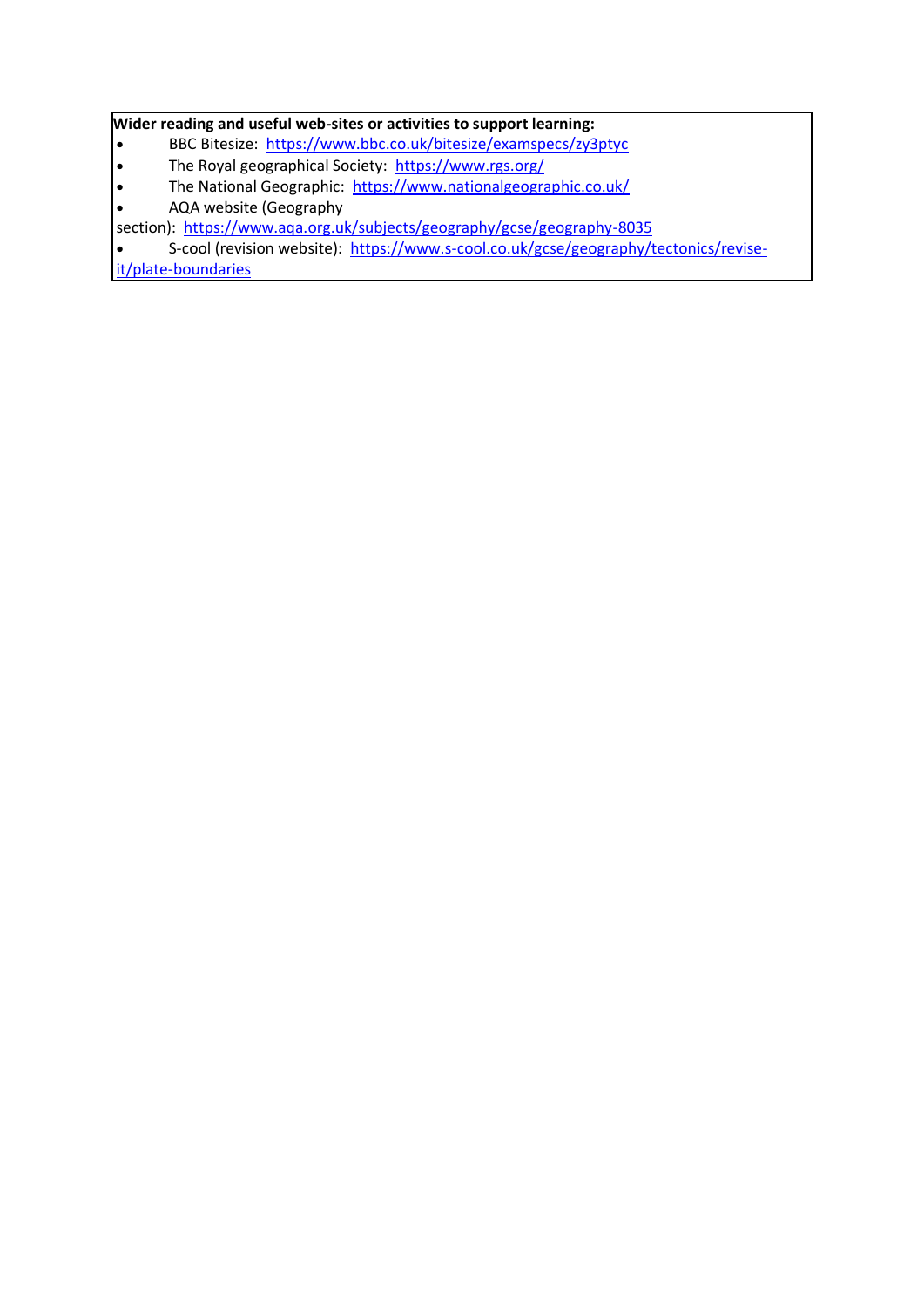#### **Wider reading and useful web-sites or activities to support learning:**

- BBC Bitesize: <https://www.bbc.co.uk/bitesize/examspecs/zy3ptyc>
- The Royal geographical Society: <https://www.rgs.org/>
- The National Geographic: <https://www.nationalgeographic.co.uk/>
- AQA website (Geography

section): <https://www.aqa.org.uk/subjects/geography/gcse/geography-8035>

• S-cool (revision website): [https://www.s-cool.co.uk/gcse/geography/tectonics/revise-](https://www.s-cool.co.uk/gcse/geography/tectonics/revise-it/plate-boundaries)

[it/plate-boundaries](https://www.s-cool.co.uk/gcse/geography/tectonics/revise-it/plate-boundaries)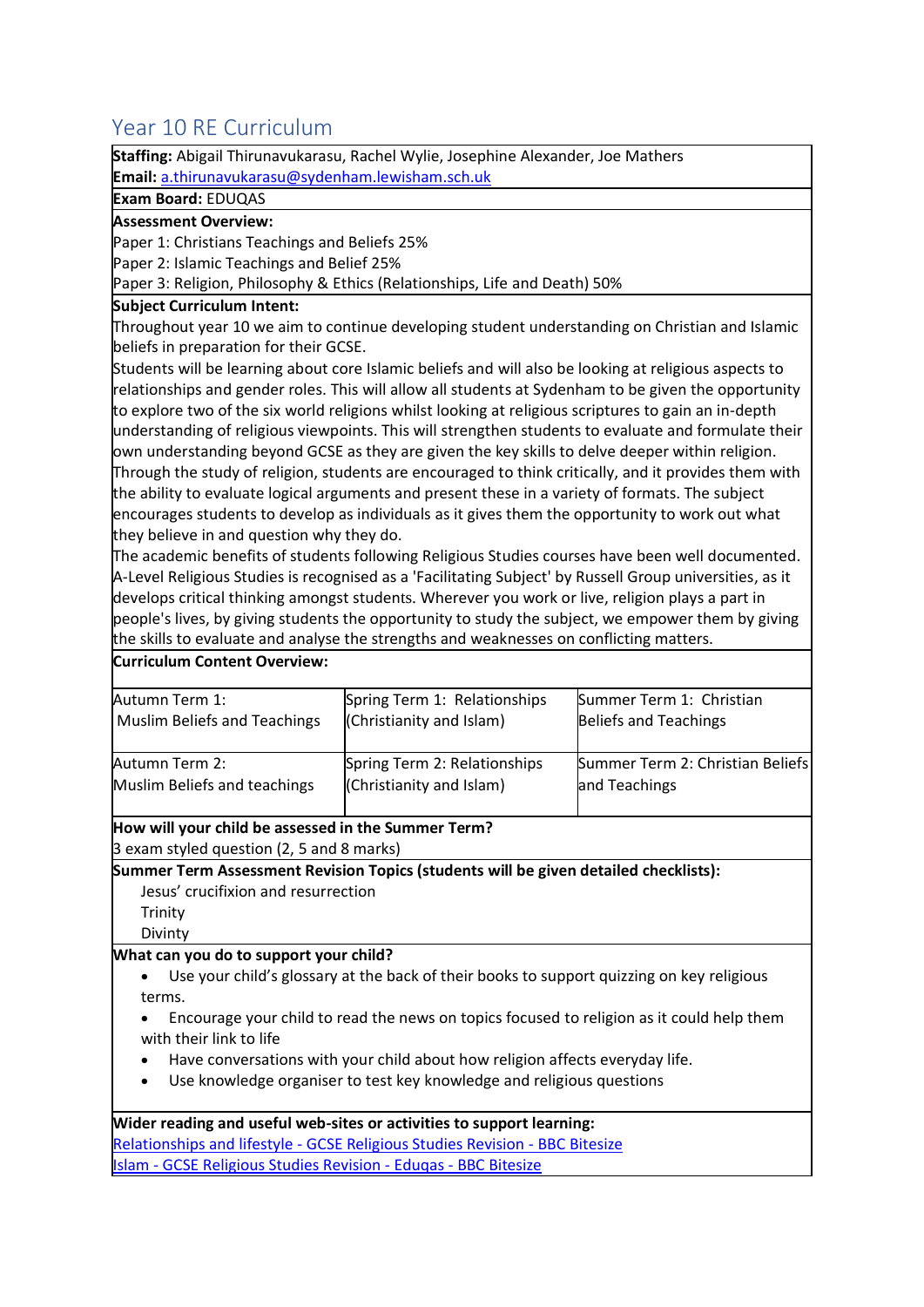# <span id="page-20-0"></span>Year 10 RE Curriculum

**Staffing:** Abigail Thirunavukarasu, Rachel Wylie, Josephine Alexander, Joe Mathers **Email:** [a.thirunavukarasu@sydenham.lewisham.sch.uk](mailto:a.thirunavukarasu@sydenham.lewisham.sch.uk)

**Exam Board:** EDUQAS

#### **Assessment Overview:**

Paper 1: Christians Teachings and Beliefs 25%

Paper 2: Islamic Teachings and Belief 25%

Paper 3: Religion, Philosophy & Ethics (Relationships, Life and Death) 50%

#### **Subject Curriculum Intent:**

Throughout year 10 we aim to continue developing student understanding on Christian and Islamic beliefs in preparation for their GCSE.

Students will be learning about core Islamic beliefs and will also be looking at religious aspects to relationships and gender roles. This will allow all students at Sydenham to be given the opportunity to explore two of the six world religions whilst looking at religious scriptures to gain an in-depth understanding of religious viewpoints. This will strengthen students to evaluate and formulate their own understanding beyond GCSE as they are given the key skills to delve deeper within religion. Through the study of religion, students are encouraged to think critically, and it provides them with the ability to evaluate logical arguments and present these in a variety of formats. The subject encourages students to develop as individuals as it gives them the opportunity to work out what they believe in and question why they do.

The academic benefits of students following Religious Studies courses have been well documented. A-Level Religious Studies is recognised as a 'Facilitating Subject' by Russell Group universities, as it develops critical thinking amongst students. Wherever you work or live, religion plays a part in people's lives, by giving students the opportunity to study the subject, we empower them by giving the skills to evaluate and analyse the strengths and weaknesses on conflicting matters.

#### **Curriculum Content Overview:**

| Autumn Term 1:                      | Spring Term 1: Relationships | Summer Term 1: Christian         |
|-------------------------------------|------------------------------|----------------------------------|
| <b>Muslim Beliefs and Teachings</b> | (Christianity and Islam)     | <b>Beliefs and Teachings</b>     |
|                                     |                              |                                  |
| Autumn Term 2:                      | Spring Term 2: Relationships | Summer Term 2: Christian Beliefs |
| Muslim Beliefs and teachings        | (Christianity and Islam)     | and Teachings                    |
|                                     |                              |                                  |

**How will your child be assessed in the Summer Term?** 3 exam styled question (2, 5 and 8 marks)

**Summer Term Assessment Revision Topics (students will be given detailed checklists):**

Jesus' crucifixion and resurrection

Trinity

Divinty

#### **What can you do to support your child?**

• Use your child's glossary at the back of their books to support quizzing on key religious terms.

• Encourage your child to read the news on topics focused to religion as it could help them with their link to life

- Have conversations with your child about how religion affects everyday life.
- Use knowledge organiser to test key knowledge and religious questions

**Wider reading and useful web-sites or activities to support learning:** Relationships and lifestyle - [GCSE Religious Studies Revision -](https://www.bbc.co.uk/bitesize/topics/zwqvrdm) BBC Bitesize slam - [GCSE Religious Studies Revision -](https://www.bbc.co.uk/bitesize/topics/z78sjhv) Eduqas - BBC Bitesize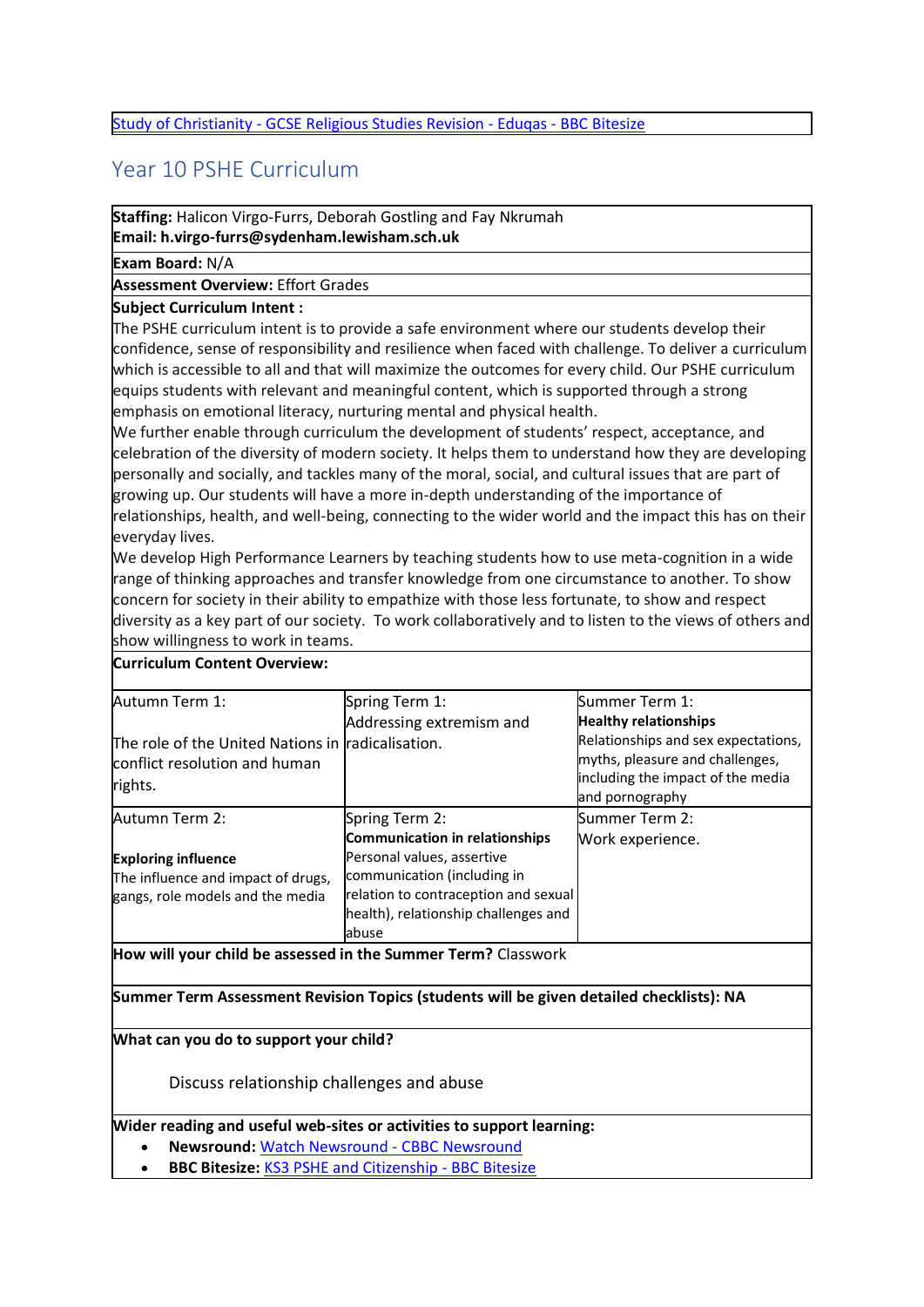#### <span id="page-21-0"></span>Study of Christianity - [GCSE Religious Studies Revision -](https://www.bbc.co.uk/bitesize/topics/zryqbdm) Eduqas - BBC Bitesize

### Year 10 PSHE Curriculum

**Staffing:** Halicon Virgo-Furrs, Deborah Gostling and Fay Nkrumah **Email: h.virgo-furrs@sydenham.lewisham.sch.uk**

**Exam Board:** N/A

#### **Assessment Overview:** Effort Grades

#### **Subject Curriculum Intent :**

The PSHE curriculum intent is to provide a safe environment where our students develop their confidence, sense of responsibility and resilience when faced with challenge. To deliver a curriculum which is accessible to all and that will maximize the outcomes for every child. Our PSHE curriculum equips students with relevant and meaningful content, which is supported through a strong emphasis on emotional literacy, nurturing mental and physical health.

We further enable through curriculum the development of students' respect, acceptance, and celebration of the diversity of modern society. It helps them to understand how they are developing personally and socially, and tackles many of the moral, social, and cultural issues that are part of growing up. Our students will have a more in-depth understanding of the importance of relationships, health, and well-being, connecting to the wider world and the impact this has on their everyday lives.

We develop High Performance Learners by teaching students how to use meta-cognition in a wide range of thinking approaches and transfer knowledge from one circumstance to another. To show concern for society in their ability to empathize with those less fortunate, to show and respect diversity as a key part of our society. To work collaboratively and to listen to the views of others and show willingness to work in teams.

#### **Curriculum Content Overview:**

| Autumn Term 1:                                                                                | Spring Term 1:                       | Summer Term 1:                                                                                                                 |
|-----------------------------------------------------------------------------------------------|--------------------------------------|--------------------------------------------------------------------------------------------------------------------------------|
|                                                                                               | Addressing extremism and             | <b>Healthy relationships</b>                                                                                                   |
| The role of the United Nations in radicalisation.<br>conflict resolution and human<br>rights. |                                      | Relationships and sex expectations,<br>myths, pleasure and challenges,<br>including the impact of the media<br>and pornography |
| Autumn Term 2:                                                                                | Spring Term 2:                       | Summer Term 2:                                                                                                                 |
|                                                                                               | Communication in relationships       | Work experience.                                                                                                               |
| <b>Exploring influence</b>                                                                    | Personal values, assertive           |                                                                                                                                |
| The influence and impact of drugs,                                                            | communication (including in          |                                                                                                                                |
| gangs, role models and the media                                                              | relation to contraception and sexual |                                                                                                                                |
|                                                                                               | health), relationship challenges and |                                                                                                                                |
|                                                                                               | abuse                                |                                                                                                                                |

**How will your child be assessed in the Summer Term?** Classwork

#### **Summer Term Assessment Revision Topics (students will be given detailed checklists): NA**

**What can you do to support your child?**

Discuss relationship challenges and abuse

#### **Wider reading and useful web-sites or activities to support learning:**

- **Newsround:** [Watch Newsround -](https://www.bbc.co.uk/newsround/news/watch_newsround) CBBC Newsround
- **BBC Bitesize:** [KS3 PSHE and Citizenship -](https://www.bbc.co.uk/bitesize/subjects/ztvg9j6) BBC Bitesize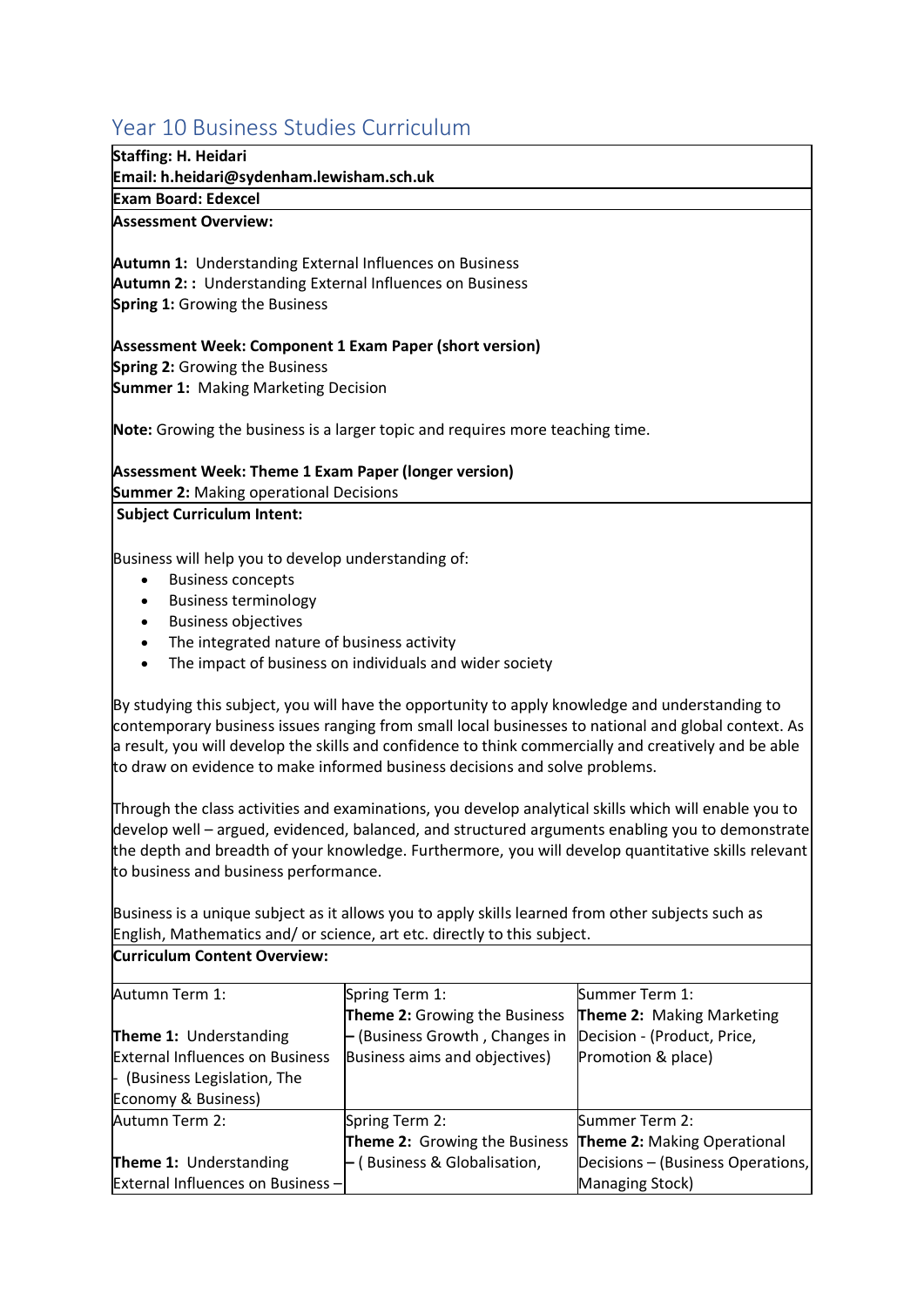# <span id="page-22-0"></span>Year 10 Business Studies Curriculum

| Staffing: H. Heidari<br>Email: h.heidari@sydenham.lewisham.sch.uk |                                                                                                       |                                                                                                                                                                                                         |
|-------------------------------------------------------------------|-------------------------------------------------------------------------------------------------------|---------------------------------------------------------------------------------------------------------------------------------------------------------------------------------------------------------|
| <b>Exam Board: Edexcel</b>                                        |                                                                                                       |                                                                                                                                                                                                         |
| <b>Assessment Overview:</b>                                       |                                                                                                       |                                                                                                                                                                                                         |
| <b>Autumn 1: Understanding External Influences on Business</b>    |                                                                                                       |                                                                                                                                                                                                         |
| <b>Autumn 2:: Understanding External Influences on Business</b>   |                                                                                                       |                                                                                                                                                                                                         |
| <b>Spring 1: Growing the Business</b>                             |                                                                                                       |                                                                                                                                                                                                         |
| Assessment Week: Component 1 Exam Paper (short version)           |                                                                                                       |                                                                                                                                                                                                         |
| <b>Spring 2: Growing the Business</b>                             |                                                                                                       |                                                                                                                                                                                                         |
| <b>Summer 1: Making Marketing Decision</b>                        |                                                                                                       |                                                                                                                                                                                                         |
|                                                                   | Note: Growing the business is a larger topic and requires more teaching time.                         |                                                                                                                                                                                                         |
| <b>Assessment Week: Theme 1 Exam Paper (longer version)</b>       |                                                                                                       |                                                                                                                                                                                                         |
| <b>Summer 2: Making operational Decisions</b>                     |                                                                                                       |                                                                                                                                                                                                         |
| <b>Subject Curriculum Intent:</b>                                 |                                                                                                       |                                                                                                                                                                                                         |
| Business will help you to develop understanding of:               |                                                                                                       |                                                                                                                                                                                                         |
| <b>Business concepts</b><br>$\bullet$                             |                                                                                                       |                                                                                                                                                                                                         |
| <b>Business terminology</b><br>$\bullet$                          |                                                                                                       |                                                                                                                                                                                                         |
| <b>Business objectives</b>                                        |                                                                                                       |                                                                                                                                                                                                         |
| The integrated nature of business activity<br>$\bullet$           |                                                                                                       |                                                                                                                                                                                                         |
| $\bullet$                                                         | The impact of business on individuals and wider society                                               |                                                                                                                                                                                                         |
|                                                                   | By studying this subject, you will have the opportunity to apply knowledge and understanding to       |                                                                                                                                                                                                         |
|                                                                   | contemporary business issues ranging from small local businesses to national and global context. As   |                                                                                                                                                                                                         |
|                                                                   | a result, you will develop the skills and confidence to think commercially and creatively and be able |                                                                                                                                                                                                         |
|                                                                   | to draw on evidence to make informed business decisions and solve problems.                           |                                                                                                                                                                                                         |
|                                                                   |                                                                                                       |                                                                                                                                                                                                         |
|                                                                   | Through the class activities and examinations, you develop analytical skills which will enable you to |                                                                                                                                                                                                         |
|                                                                   |                                                                                                       | develop well - argued, evidenced, balanced, and structured arguments enabling you to demonstrate<br>the depth and breadth of your knowledge. Furthermore, you will develop quantitative skills relevant |
| to business and business performance.                             |                                                                                                       |                                                                                                                                                                                                         |
|                                                                   |                                                                                                       |                                                                                                                                                                                                         |
|                                                                   | Business is a unique subject as it allows you to apply skills learned from other subjects such as     |                                                                                                                                                                                                         |
|                                                                   | English, Mathematics and/ or science, art etc. directly to this subject.                              |                                                                                                                                                                                                         |
| <b>Curriculum Content Overview:</b>                               |                                                                                                       |                                                                                                                                                                                                         |
| Autumn Term 1:                                                    | Spring Term 1:                                                                                        | Summer Term 1:                                                                                                                                                                                          |
|                                                                   | Theme 2: Growing the Business                                                                         | Theme 2: Making Marketing                                                                                                                                                                               |
| Theme 1: Understanding                                            | - (Business Growth, Changes in                                                                        | Decision - (Product, Price,                                                                                                                                                                             |
| <b>External Influences on Business</b>                            | Business aims and objectives)                                                                         | Promotion & place)                                                                                                                                                                                      |
| - (Business Legislation, The                                      |                                                                                                       |                                                                                                                                                                                                         |
| Economy & Business)                                               |                                                                                                       |                                                                                                                                                                                                         |
| Autumn Term 2:                                                    | Spring Term 2:                                                                                        | Summer Term 2:                                                                                                                                                                                          |
|                                                                   | Theme 2: Growing the Business                                                                         | Theme 2: Making Operational                                                                                                                                                                             |
| Theme 1: Understanding                                            | - (Business & Globalisation,                                                                          | Decisions - (Business Operations,                                                                                                                                                                       |
| <b>External Influences on Business -</b>                          |                                                                                                       | Managing Stock)                                                                                                                                                                                         |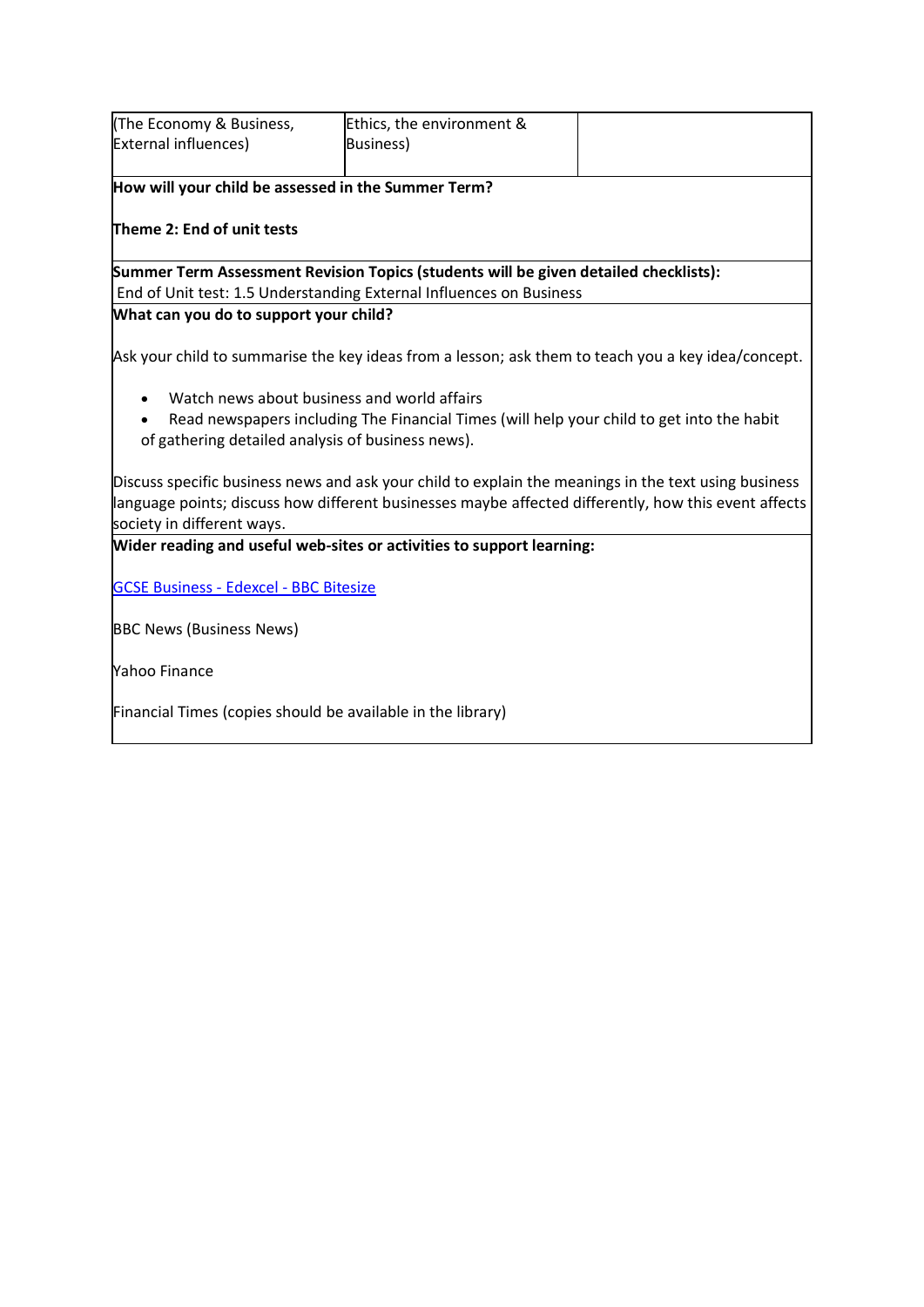| (The Economy & Business,                                                                             | Ethics, the environment &                                                                            |  |
|------------------------------------------------------------------------------------------------------|------------------------------------------------------------------------------------------------------|--|
| <b>External influences)</b>                                                                          | <b>Business</b> )                                                                                    |  |
|                                                                                                      |                                                                                                      |  |
| How will your child be assessed in the Summer Term?                                                  |                                                                                                      |  |
|                                                                                                      |                                                                                                      |  |
| Theme 2: End of unit tests                                                                           |                                                                                                      |  |
|                                                                                                      | Summer Term Assessment Revision Topics (students will be given detailed checklists):                 |  |
|                                                                                                      | End of Unit test: 1.5 Understanding External Influences on Business                                  |  |
| What can you do to support your child?                                                               |                                                                                                      |  |
|                                                                                                      |                                                                                                      |  |
|                                                                                                      | Ask your child to summarise the key ideas from a lesson; ask them to teach you a key idea/concept.   |  |
|                                                                                                      |                                                                                                      |  |
|                                                                                                      | Watch news about business and world affairs                                                          |  |
|                                                                                                      | Read newspapers including The Financial Times (will help your child to get into the habit            |  |
| of gathering detailed analysis of business news).                                                    |                                                                                                      |  |
|                                                                                                      |                                                                                                      |  |
|                                                                                                      | Discuss specific business news and ask your child to explain the meanings in the text using business |  |
| language points; discuss how different businesses maybe affected differently, how this event affects |                                                                                                      |  |
| society in different ways.                                                                           |                                                                                                      |  |
|                                                                                                      | Wider reading and useful web-sites or activities to support learning:                                |  |
|                                                                                                      |                                                                                                      |  |
| <b>GCSE Business - Edexcel - BBC Bitesize</b>                                                        |                                                                                                      |  |
|                                                                                                      |                                                                                                      |  |
| <b>BBC News (Business News)</b>                                                                      |                                                                                                      |  |
| <b>Yahoo Finance</b>                                                                                 |                                                                                                      |  |
|                                                                                                      |                                                                                                      |  |
| Financial Times (copies should be available in the library)                                          |                                                                                                      |  |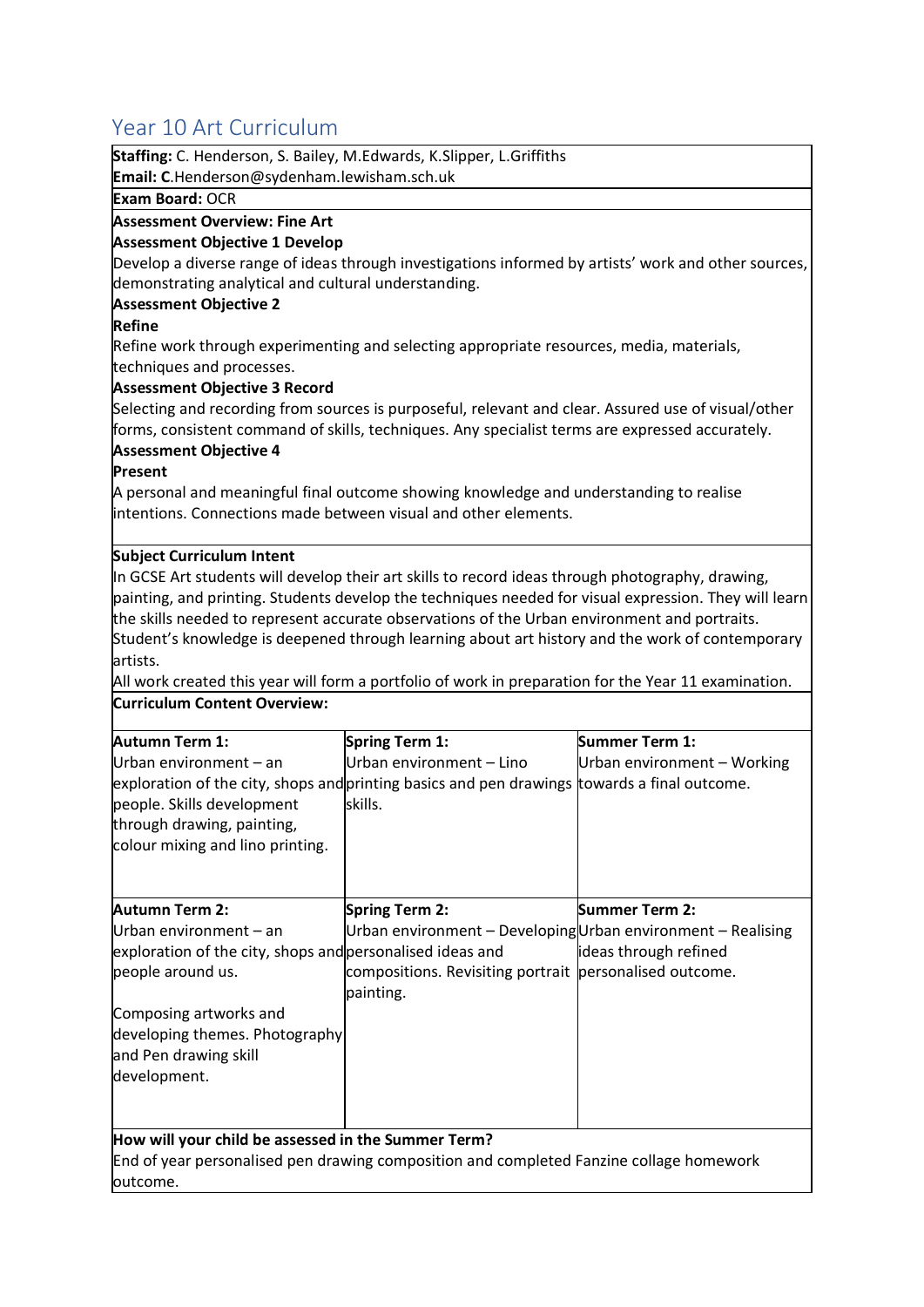# <span id="page-24-0"></span>Year 10 Art Curriculum

| Staffing: C. Henderson, S. Bailey, M. Edwards, K. Slipper, L. Griffiths |                                                                                                       |                             |
|-------------------------------------------------------------------------|-------------------------------------------------------------------------------------------------------|-----------------------------|
| Email: C.Henderson@sydenham.lewisham.sch.uk                             |                                                                                                       |                             |
| <b>Exam Board: OCR</b>                                                  |                                                                                                       |                             |
| <b>Assessment Overview: Fine Art</b>                                    |                                                                                                       |                             |
| <b>Assessment Objective 1 Develop</b>                                   |                                                                                                       |                             |
|                                                                         | Develop a diverse range of ideas through investigations informed by artists' work and other sources,  |                             |
| demonstrating analytical and cultural understanding.                    |                                                                                                       |                             |
| <b>Assessment Objective 2</b>                                           |                                                                                                       |                             |
| Refine                                                                  |                                                                                                       |                             |
|                                                                         | Refine work through experimenting and selecting appropriate resources, media, materials,              |                             |
| techniques and processes.                                               |                                                                                                       |                             |
| <b>Assessment Objective 3 Record</b>                                    |                                                                                                       |                             |
|                                                                         | Selecting and recording from sources is purposeful, relevant and clear. Assured use of visual/other   |                             |
|                                                                         | forms, consistent command of skills, techniques. Any specialist terms are expressed accurately.       |                             |
| <b>Assessment Objective 4</b>                                           |                                                                                                       |                             |
| Present                                                                 |                                                                                                       |                             |
|                                                                         | A personal and meaningful final outcome showing knowledge and understanding to realise                |                             |
| intentions. Connections made between visual and other elements.         |                                                                                                       |                             |
|                                                                         |                                                                                                       |                             |
| Subject Curriculum Intent                                               |                                                                                                       |                             |
|                                                                         | In GCSE Art students will develop their art skills to record ideas through photography, drawing,      |                             |
|                                                                         | painting, and printing. Students develop the techniques needed for visual expression. They will learn |                             |
|                                                                         | the skills needed to represent accurate observations of the Urban environment and portraits.          |                             |
|                                                                         | Student's knowledge is deepened through learning about art history and the work of contemporary       |                             |
| artists.                                                                |                                                                                                       |                             |
|                                                                         | All work created this year will form a portfolio of work in preparation for the Year 11 examination.  |                             |
| <b>Curriculum Content Overview:</b>                                     |                                                                                                       |                             |
|                                                                         |                                                                                                       |                             |
| Autumn Term 1:                                                          | Spring Term 1:                                                                                        | Summer Term 1:              |
| Urban environment - an                                                  | Urban environment - Lino                                                                              | Urban environment - Working |
|                                                                         | exploration of the city, shops and printing basics and pen drawings towards a final outcome.          |                             |
| people. Skills development                                              | skills.                                                                                               |                             |
| through drawing, painting,                                              |                                                                                                       |                             |
| colour mixing and lino printing.                                        |                                                                                                       |                             |
|                                                                         |                                                                                                       |                             |
|                                                                         |                                                                                                       |                             |
| Autumn Term 2:                                                          | Spring Term 2:                                                                                        | <b>Summer Term 2:</b>       |
| Urban environment - an                                                  | Urban environment - Developing Urban environment - Realising                                          |                             |
| exploration of the city, shops and personalised ideas and               |                                                                                                       | ideas through refined       |
| people around us.                                                       | compositions. Revisiting portrait personalised outcome.                                               |                             |
|                                                                         |                                                                                                       |                             |
|                                                                         | painting.                                                                                             |                             |
| Composing artworks and                                                  |                                                                                                       |                             |
| developing themes. Photography                                          |                                                                                                       |                             |
| and Pen drawing skill                                                   |                                                                                                       |                             |
| development.                                                            |                                                                                                       |                             |
|                                                                         |                                                                                                       |                             |
|                                                                         |                                                                                                       |                             |
| How will your child be assessed in the Summer Term?                     |                                                                                                       |                             |
|                                                                         | End of year personalised pen drawing composition and completed Fanzine collage homework               |                             |
| outcome.                                                                |                                                                                                       |                             |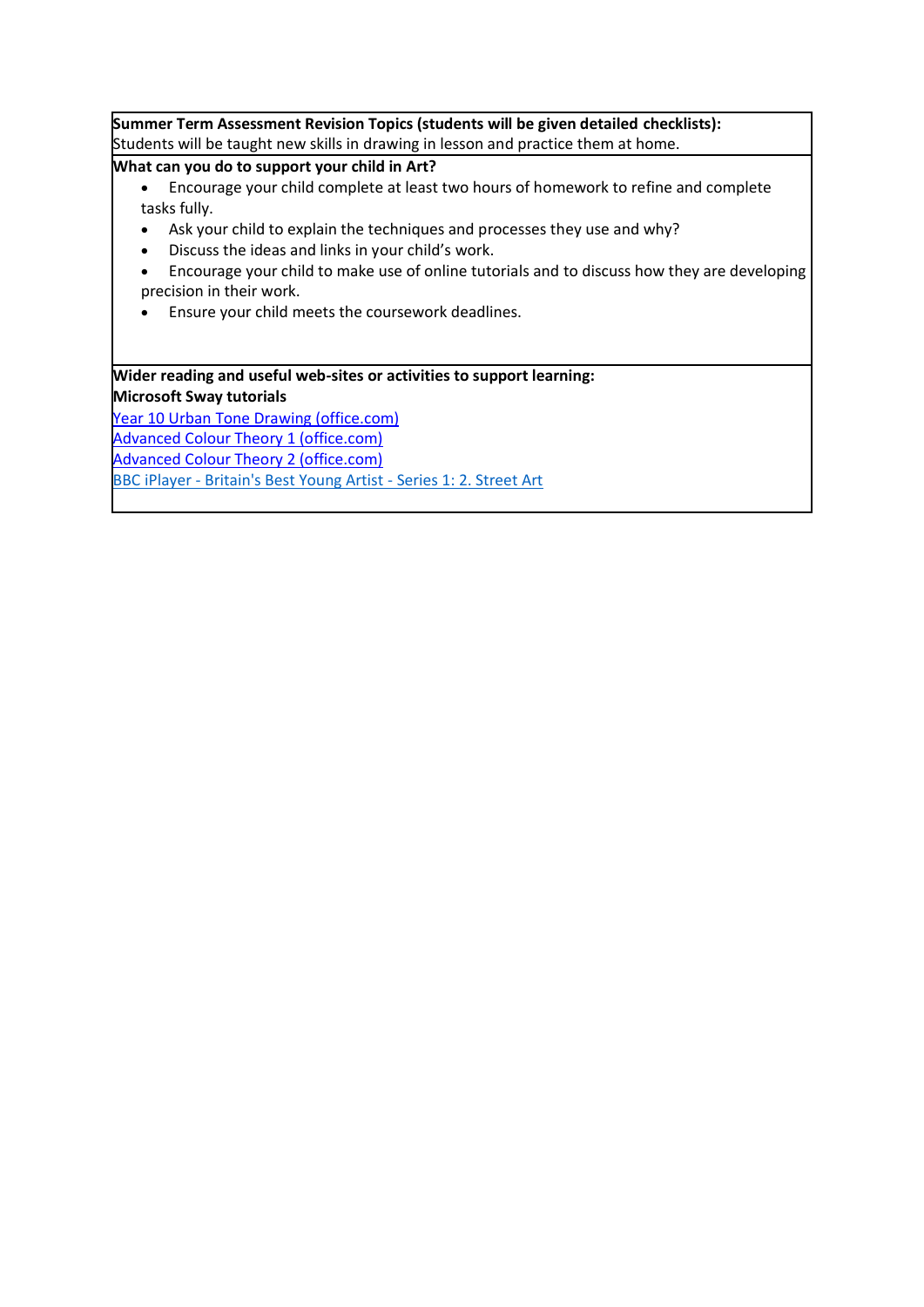**Summer Term Assessment Revision Topics (students will be given detailed checklists):** Students will be taught new skills in drawing in lesson and practice them at home.

**What can you do to support your child in Art?**

- Encourage your child complete at least two hours of homework to refine and complete tasks fully.
- Ask your child to explain the techniques and processes they use and why?
- Discuss the ideas and links in your child's work.
- Encourage your child to make use of online tutorials and to discuss how they are developing precision in their work.
- Ensure your child meets the coursework deadlines.

**Wider reading and useful web-sites or activities to support learning: Microsoft Sway tutorials** [Year 10 Urban Tone Drawing \(office.com\)](https://sway.office.com/FF85BINxZ4aZyYOF) [Advanced Colour Theory 1 \(office.com\)](https://sway.office.com/Gwp4BOnxoTDMmFZo)

[Advanced Colour Theory 2 \(office.com\)](https://sway.office.com/CbBTudCwog17FP8r)

BBC iPlayer - [Britain's Best Young Artist -](https://www.bbc.co.uk/iplayer/episode/m0014984/britains-best-young-artist-series-1-2-street-art) Series 1: 2. Street Art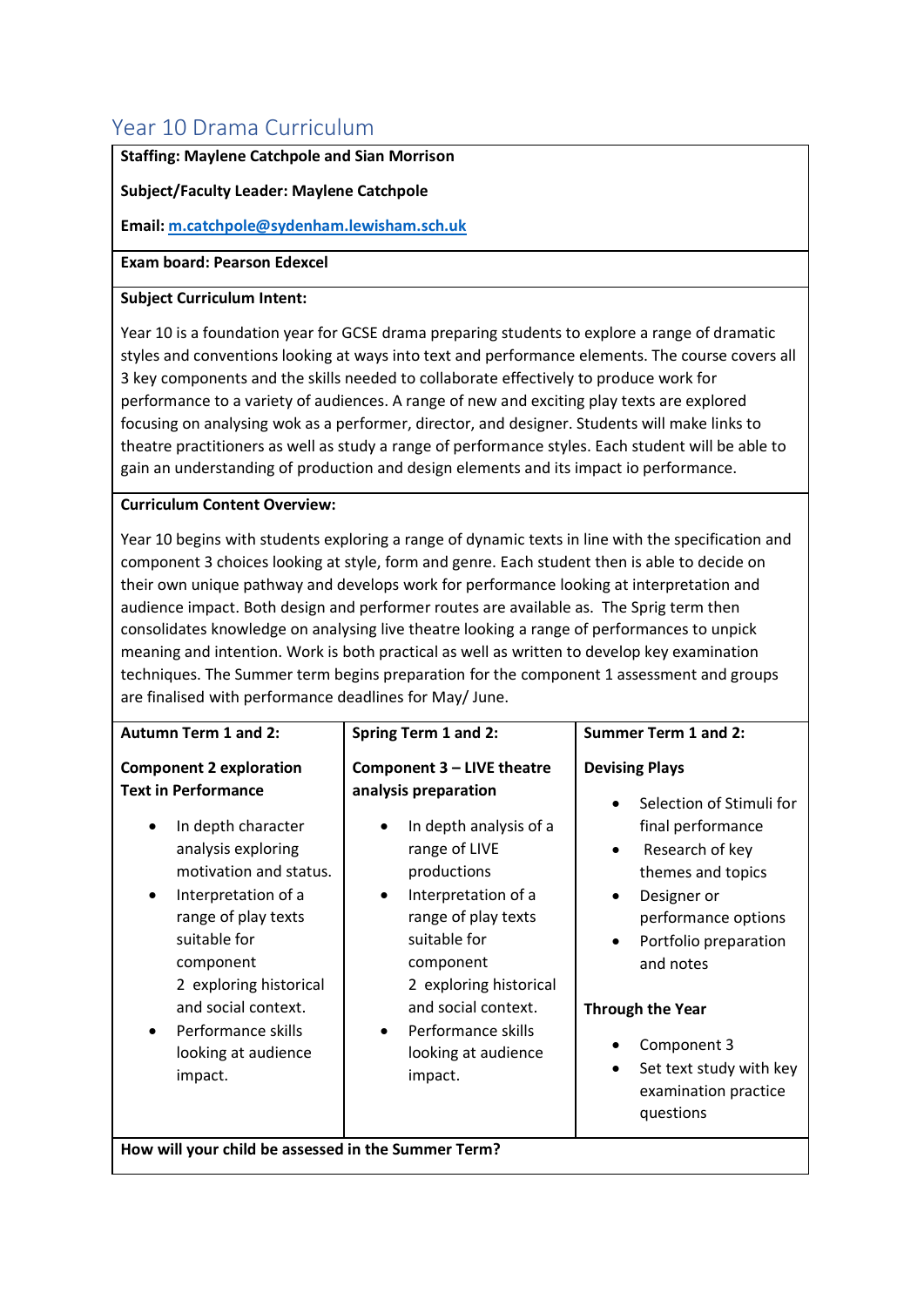# <span id="page-26-0"></span>Year 10 Drama Curriculum

#### **Staffing: Maylene Catchpole and Sian Morrison**

#### **Subject/Faculty Leader: Maylene Catchpole**

**Email[: m.catchpole@sydenham.lewisham.sch.uk](mailto:m.catchpole@sydenham.lewisham.sch.uk)**

#### **Exam board: Pearson Edexcel**

#### **Subject Curriculum Intent:**

Year 10 is a foundation year for GCSE drama preparing students to explore a range of dramatic styles and conventions looking at ways into text and performance elements. The course covers all 3 key components and the skills needed to collaborate effectively to produce work for performance to a variety of audiences. A range of new and exciting play texts are explored focusing on analysing wok as a performer, director, and designer. Students will make links to theatre practitioners as well as study a range of performance styles. Each student will be able to gain an understanding of production and design elements and its impact io performance.

#### **Curriculum Content Overview:**

Year 10 begins with students exploring a range of dynamic texts in line with the specification and component 3 choices looking at style, form and genre. Each student then is able to decide on their own unique pathway and develops work for performance looking at interpretation and audience impact. Both design and performer routes are available as. The Sprig term then consolidates knowledge on analysing live theatre looking a range of performances to unpick meaning and intention. Work is both practical as well as written to develop key examination techniques. The Summer term begins preparation for the component 1 assessment and groups are finalised with performance deadlines for May/ June.

| <b>Autumn Term 1 and 2:</b>                                                                                                                                                                                                                                                                                                              | <b>Spring Term 1 and 2:</b>                                                                                                                                                                                                                                                                      | <b>Summer Term 1 and 2:</b>                                                                                                                                                                                                                                                                                                                              |
|------------------------------------------------------------------------------------------------------------------------------------------------------------------------------------------------------------------------------------------------------------------------------------------------------------------------------------------|--------------------------------------------------------------------------------------------------------------------------------------------------------------------------------------------------------------------------------------------------------------------------------------------------|----------------------------------------------------------------------------------------------------------------------------------------------------------------------------------------------------------------------------------------------------------------------------------------------------------------------------------------------------------|
| <b>Component 2 exploration</b><br><b>Text in Performance</b><br>In depth character<br>$\bullet$<br>analysis exploring<br>motivation and status.<br>Interpretation of a<br>٠<br>range of play texts<br>suitable for<br>component<br>2 exploring historical<br>and social context.<br>Performance skills<br>looking at audience<br>impact. | Component 3 - LIVE theatre<br>analysis preparation<br>In depth analysis of a<br>range of LIVE<br>productions<br>Interpretation of a<br>range of play texts<br>suitable for<br>component<br>2 exploring historical<br>and social context.<br>Performance skills<br>looking at audience<br>impact. | <b>Devising Plays</b><br>Selection of Stimuli for<br>final performance<br>Research of key<br>$\bullet$<br>themes and topics<br>Designer or<br>$\bullet$<br>performance options<br>Portfolio preparation<br>$\bullet$<br>and notes<br><b>Through the Year</b><br>Component 3<br>Set text study with key<br>$\bullet$<br>examination practice<br>questions |
| How will your child be assessed in the Summer Term?                                                                                                                                                                                                                                                                                      |                                                                                                                                                                                                                                                                                                  |                                                                                                                                                                                                                                                                                                                                                          |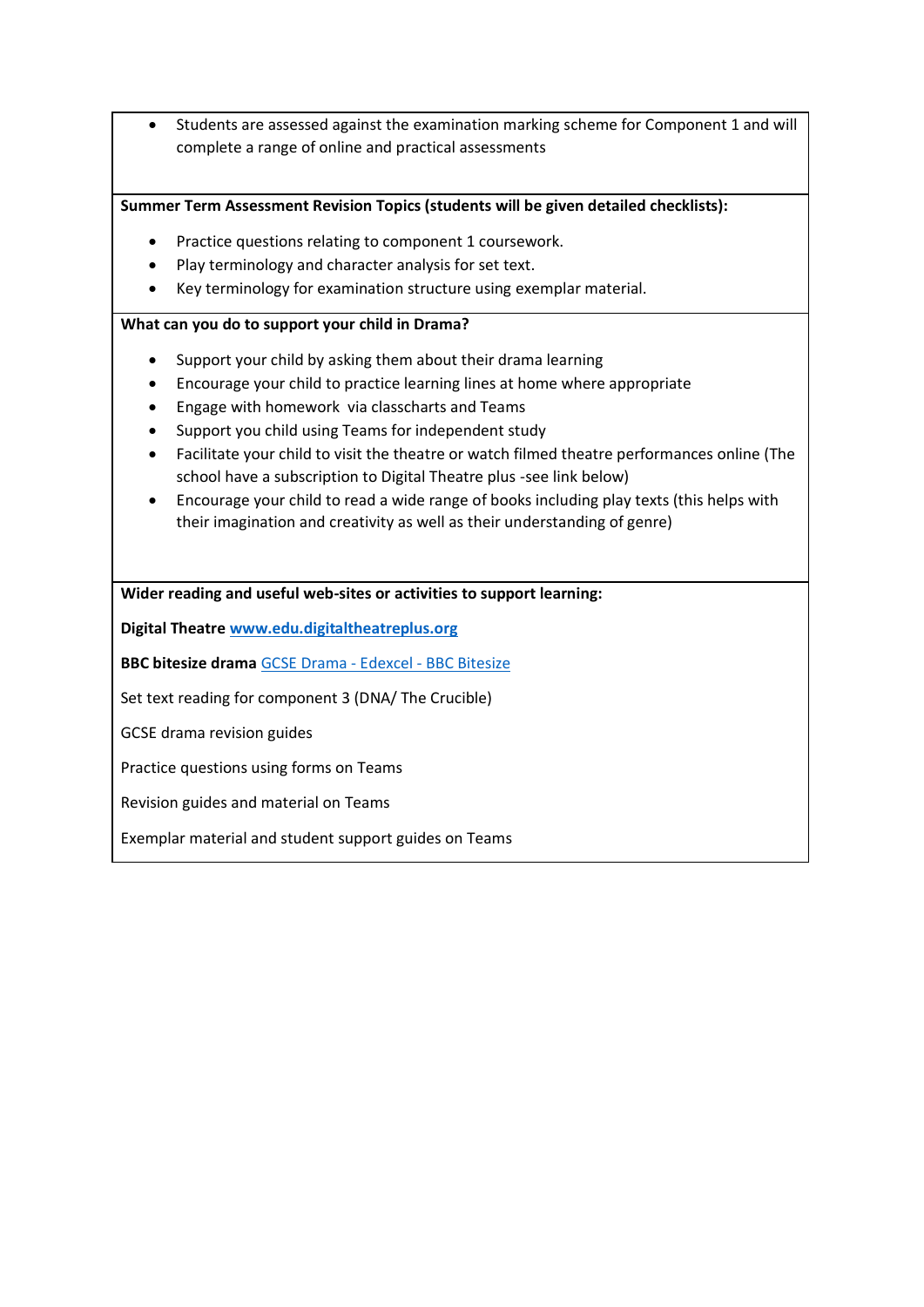• Students are assessed against the examination marking scheme for Component 1 and will complete a range of online and practical assessments

**Summer Term Assessment Revision Topics (students will be given detailed checklists):**

- Practice questions relating to component 1 coursework.
- Play terminology and character analysis for set text.
- Key terminology for examination structure using exemplar material.

#### **What can you do to support your child in Drama?**

- Support your child by asking them about their drama learning
- Encourage your child to practice learning lines at home where appropriate
- Engage with homework via classcharts and Teams
- Support you child using Teams for independent study
- Facilitate your child to visit the theatre or watch filmed theatre performances online (The school have a subscription to Digital Theatre plus -see link below)
- Encourage your child to read a wide range of books including play texts (this helps with their imagination and creativity as well as their understanding of genre)

**Wider reading and useful web-sites or activities to support learning:**

**Digital Theatre [www.edu.digitaltheatreplus.org](http://www.edu.digitaltheatreplus.org/)**

**BBC bitesize drama** [GCSE Drama -](https://www.bbc.co.uk/bitesize/examspecs/zkvm2sg) Edexcel - BBC Bitesize

Set text reading for component 3 (DNA/ The Crucible)

GCSE drama revision guides

Practice questions using forms on Teams

Revision guides and material on Teams

Exemplar material and student support guides on Teams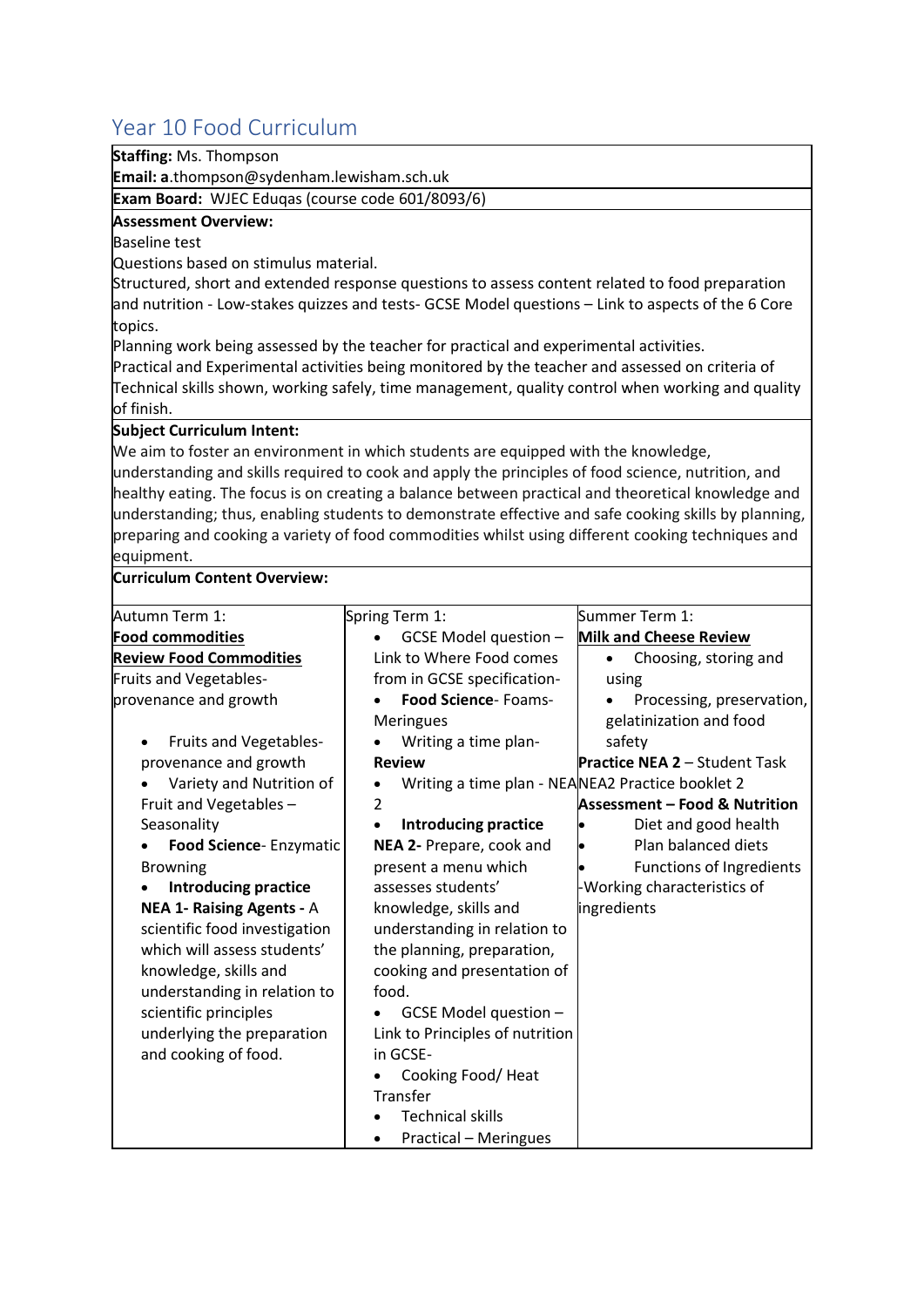# <span id="page-28-0"></span>Year 10 Food Curriculum

|  |  | Staffing: Ms. Thompson |
|--|--|------------------------|
|--|--|------------------------|

**Email: a**.thompson@sydenham.lewisham.sch.uk

**Exam Board:** WJEC Eduqas (course code 601/8093/6)

#### **Assessment Overview:**

Baseline test

Questions based on stimulus material.

Structured, short and extended response questions to assess content related to food preparation and nutrition - Low-stakes quizzes and tests- GCSE Model questions – Link to aspects of the 6 Core topics.

Planning work being assessed by the teacher for practical and experimental activities.

Practical and Experimental activities being monitored by the teacher and assessed on criteria of Technical skills shown, working safely, time management, quality control when working and quality of finish.

#### **Subject Curriculum Intent:**

We aim to foster an environment in which students are equipped with the knowledge, understanding and skills required to cook and apply the principles of food science, nutrition, and healthy eating. The focus is on creating a balance between practical and theoretical knowledge and understanding; thus, enabling students to demonstrate effective and safe cooking skills by planning, preparing and cooking a variety of food commodities whilst using different cooking techniques and equipment.

#### **Curriculum Content Overview:**

| Autumn Term 1:                   | Spring Term 1:                                   | Summer Term 1:                       |
|----------------------------------|--------------------------------------------------|--------------------------------------|
| <b>Food commodities</b>          | GCSE Model question -                            | <b>Milk and Cheese Review</b>        |
| <b>Review Food Commodities</b>   | Link to Where Food comes                         | Choosing, storing and<br>$\bullet$   |
| Fruits and Vegetables-           | from in GCSE specification-                      | using                                |
| provenance and growth            | Food Science- Foams-                             | Processing, preservation,            |
|                                  | <b>Meringues</b>                                 | gelatinization and food              |
| <b>Fruits and Vegetables-</b>    | Writing a time plan-                             | safety                               |
| provenance and growth            | <b>Review</b>                                    | <b>Practice NEA 2 - Student Task</b> |
| Variety and Nutrition of         | Writing a time plan - NEANEA2 Practice booklet 2 |                                      |
| Fruit and Vegetables -           | 2                                                | Assessment – Food & Nutrition        |
| Seasonality                      | Introducing practice<br>$\bullet$                | Diet and good health                 |
| <b>Food Science-Enzymatic</b>    | NEA 2- Prepare, cook and                         | Plan balanced diets                  |
| <b>Browning</b>                  | present a menu which                             | Functions of Ingredients             |
| <b>Introducing practice</b>      | assesses students'                               | Working characteristics of           |
| <b>NEA 1- Raising Agents - A</b> | knowledge, skills and                            | ingredients                          |
| scientific food investigation    | understanding in relation to                     |                                      |
| which will assess students'      | the planning, preparation,                       |                                      |
| knowledge, skills and            | cooking and presentation of                      |                                      |
| understanding in relation to     | food.                                            |                                      |
| scientific principles            | GCSE Model question -                            |                                      |
| underlying the preparation       | Link to Principles of nutrition                  |                                      |
| and cooking of food.             | in GCSE-                                         |                                      |
|                                  | Cooking Food/Heat                                |                                      |
|                                  | Transfer                                         |                                      |
|                                  | <b>Technical skills</b>                          |                                      |
|                                  | <b>Practical - Meringues</b><br>$\bullet$        |                                      |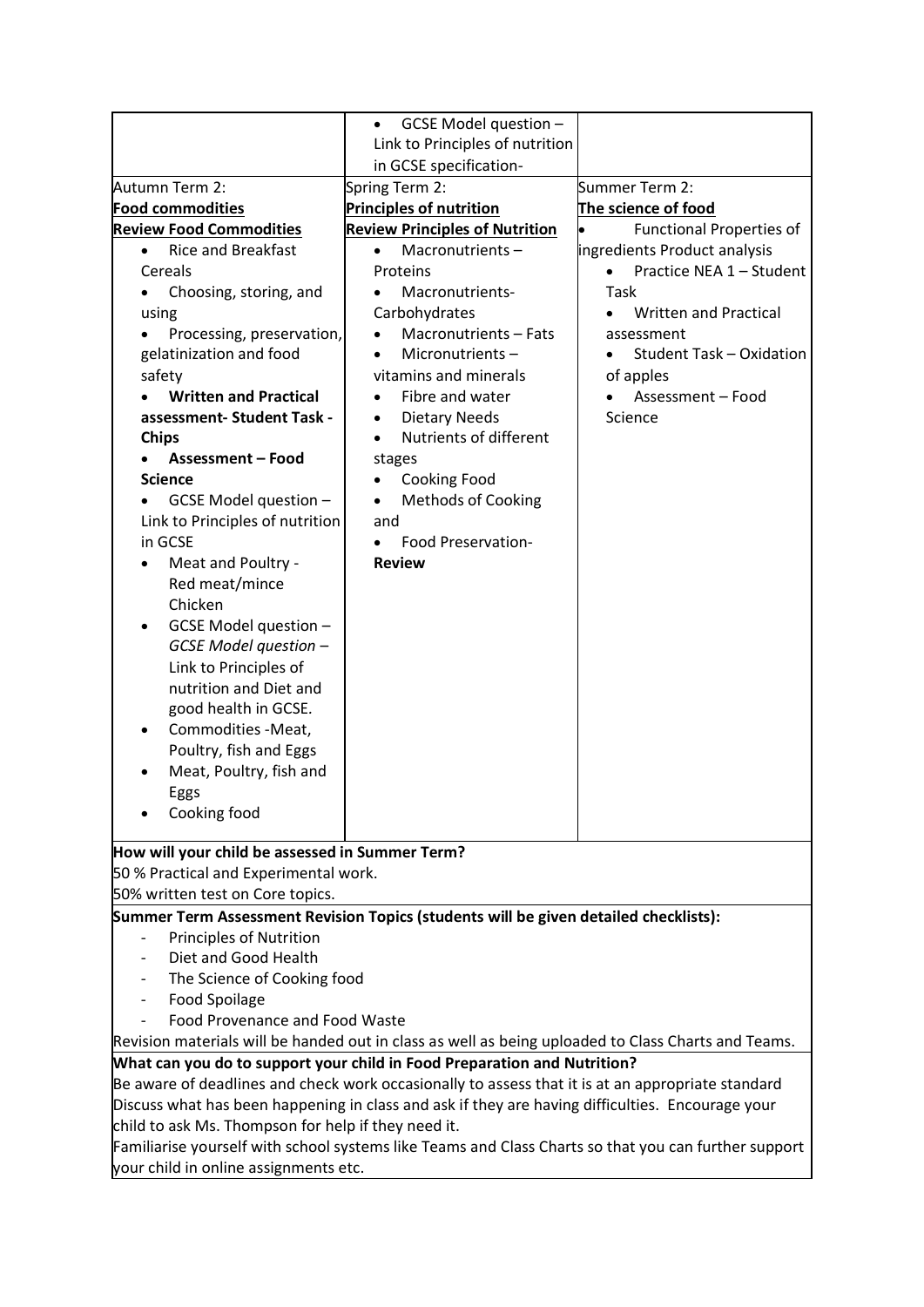|                                                                                                     | GCSE Model question -<br>$\bullet$                                                                   |                                       |  |
|-----------------------------------------------------------------------------------------------------|------------------------------------------------------------------------------------------------------|---------------------------------------|--|
|                                                                                                     | Link to Principles of nutrition                                                                      |                                       |  |
|                                                                                                     | in GCSE specification-                                                                               |                                       |  |
| Autumn Term 2:                                                                                      | Spring Term 2:                                                                                       | Summer Term 2:                        |  |
| <b>Food commodities</b>                                                                             | <b>Principles of nutrition</b>                                                                       | The science of food                   |  |
| <b>Review Food Commodities</b>                                                                      | <b>Review Principles of Nutrition</b>                                                                | <b>Functional Properties of</b>       |  |
| <b>Rice and Breakfast</b><br>$\bullet$                                                              | Macronutrients-<br>$\bullet$                                                                         | ingredients Product analysis          |  |
| Cereals                                                                                             | Proteins                                                                                             | Practice NEA 1 - Student<br>$\bullet$ |  |
| Choosing, storing, and<br>$\bullet$                                                                 | Macronutrients-                                                                                      | Task                                  |  |
| using                                                                                               | Carbohydrates                                                                                        | Written and Practical                 |  |
| Processing, preservation,                                                                           | Macronutrients - Fats                                                                                | assessment                            |  |
| gelatinization and food                                                                             | Micronutrients-<br>$\bullet$                                                                         | <b>Student Task - Oxidation</b><br>٠  |  |
| safety                                                                                              | vitamins and minerals                                                                                | of apples                             |  |
| <b>Written and Practical</b>                                                                        | Fibre and water                                                                                      | Assessment - Food                     |  |
| assessment- Student Task -                                                                          | <b>Dietary Needs</b>                                                                                 | Science                               |  |
| <b>Chips</b>                                                                                        | Nutrients of different<br>$\bullet$                                                                  |                                       |  |
| <b>Assessment - Food</b>                                                                            | stages                                                                                               |                                       |  |
| <b>Science</b>                                                                                      | Cooking Food<br>$\bullet$                                                                            |                                       |  |
| GCSE Model question -                                                                               | <b>Methods of Cooking</b><br>$\bullet$                                                               |                                       |  |
| Link to Principles of nutrition                                                                     | and                                                                                                  |                                       |  |
| in GCSE                                                                                             | Food Preservation-                                                                                   |                                       |  |
| Meat and Poultry -                                                                                  | <b>Review</b>                                                                                        |                                       |  |
| Red meat/mince                                                                                      |                                                                                                      |                                       |  |
| Chicken                                                                                             |                                                                                                      |                                       |  |
| GCSE Model question -                                                                               |                                                                                                      |                                       |  |
| GCSE Model question -                                                                               |                                                                                                      |                                       |  |
| Link to Principles of                                                                               |                                                                                                      |                                       |  |
| nutrition and Diet and                                                                              |                                                                                                      |                                       |  |
| good health in GCSE.                                                                                |                                                                                                      |                                       |  |
| Commodities - Meat,                                                                                 |                                                                                                      |                                       |  |
| Poultry, fish and Eggs                                                                              |                                                                                                      |                                       |  |
| Meat, Poultry, fish and                                                                             |                                                                                                      |                                       |  |
| Eggs                                                                                                |                                                                                                      |                                       |  |
| Cooking food                                                                                        |                                                                                                      |                                       |  |
|                                                                                                     |                                                                                                      |                                       |  |
| How will your child be assessed in Summer Term?                                                     |                                                                                                      |                                       |  |
| 50 % Practical and Experimental work.                                                               |                                                                                                      |                                       |  |
| 50% written test on Core topics.                                                                    |                                                                                                      |                                       |  |
| Summer Term Assessment Revision Topics (students will be given detailed checklists):                |                                                                                                      |                                       |  |
| <b>Principles of Nutrition</b>                                                                      |                                                                                                      |                                       |  |
| Diet and Good Health                                                                                |                                                                                                      |                                       |  |
| The Science of Cooking food                                                                         |                                                                                                      |                                       |  |
| Food Spoilage                                                                                       |                                                                                                      |                                       |  |
| Food Provenance and Food Waste                                                                      |                                                                                                      |                                       |  |
| Revision materials will be handed out in class as well as being uploaded to Class Charts and Teams. |                                                                                                      |                                       |  |
| What can you do to support your child in Food Preparation and Nutrition?                            |                                                                                                      |                                       |  |
| Be aware of deadlines and check work occasionally to assess that it is at an appropriate standard   |                                                                                                      |                                       |  |
| Discuss what has been happening in class and ask if they are having difficulties. Encourage your    |                                                                                                      |                                       |  |
| child to ask Ms. Thompson for help if they need it.                                                 |                                                                                                      |                                       |  |
|                                                                                                     | Familiarise yourself with school systems like Teams and Class Charts so that you can further support |                                       |  |
| your child in online assignments etc.                                                               |                                                                                                      |                                       |  |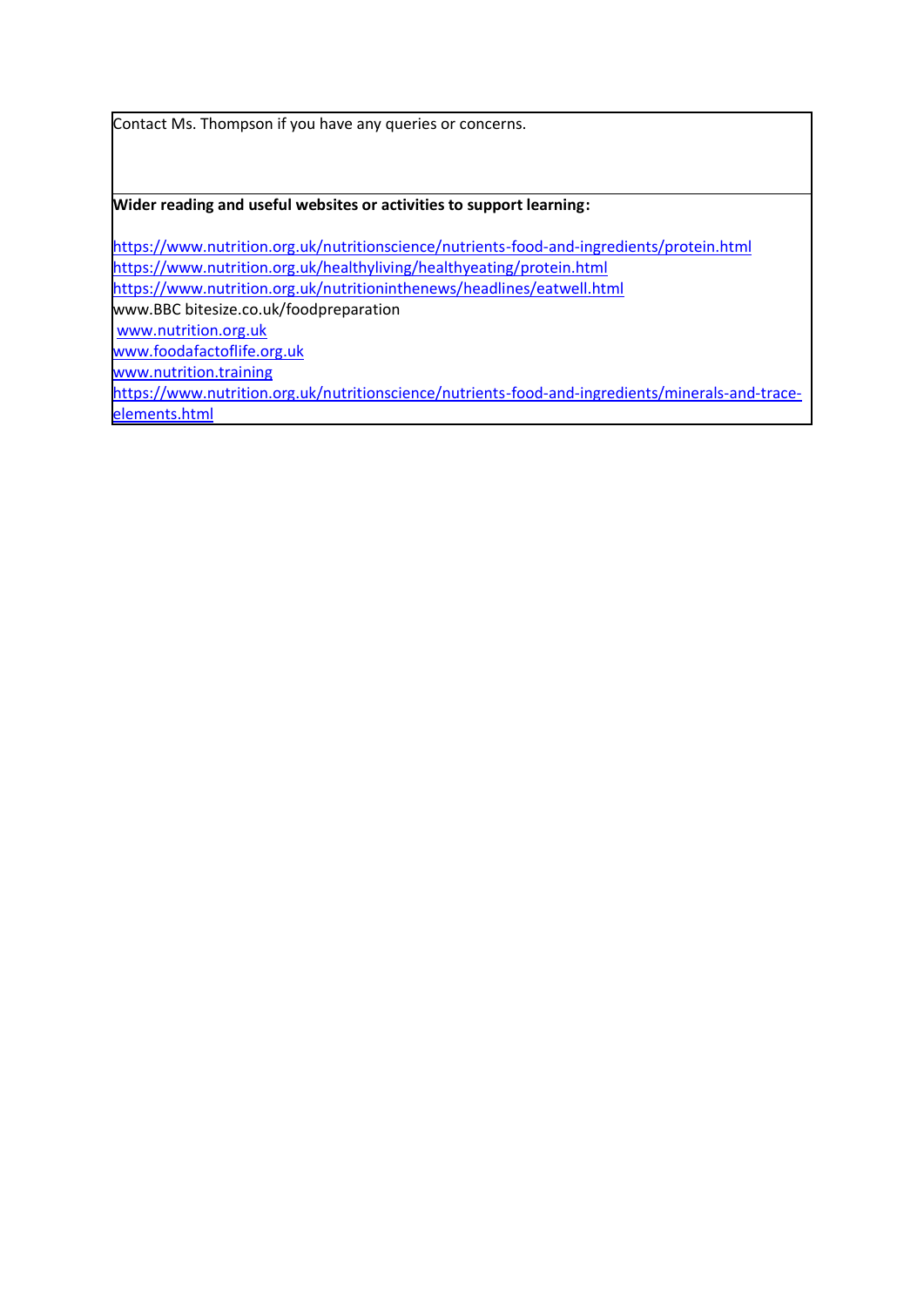Contact Ms. Thompson if you have any queries or concerns.

**Wider reading and useful websites or activities to support learning:**

<https://www.nutrition.org.uk/nutritionscience/nutrients-food-and-ingredients/protein.html> <https://www.nutrition.org.uk/healthyliving/healthyeating/protein.html> <https://www.nutrition.org.uk/nutritioninthenews/headlines/eatwell.html> www.BBC bitesize.co.uk/foodpreparation [www.nutrition.org.uk](http://www.nutrition.org.uk/)  [www.foodafactoflife.org.uk](http://www.foodafactoflife.org.uk/) [www.nutrition.training](http://www.nutrition.training/) [https://www.nutrition.org.uk/nutritionscience/nutrients-food-and-ingredients/minerals-and-trace](https://www.nutrition.org.uk/nutritionscience/nutrients-food-and-ingredients/minerals-and-trace-elements.html)[elements.html](https://www.nutrition.org.uk/nutritionscience/nutrients-food-and-ingredients/minerals-and-trace-elements.html)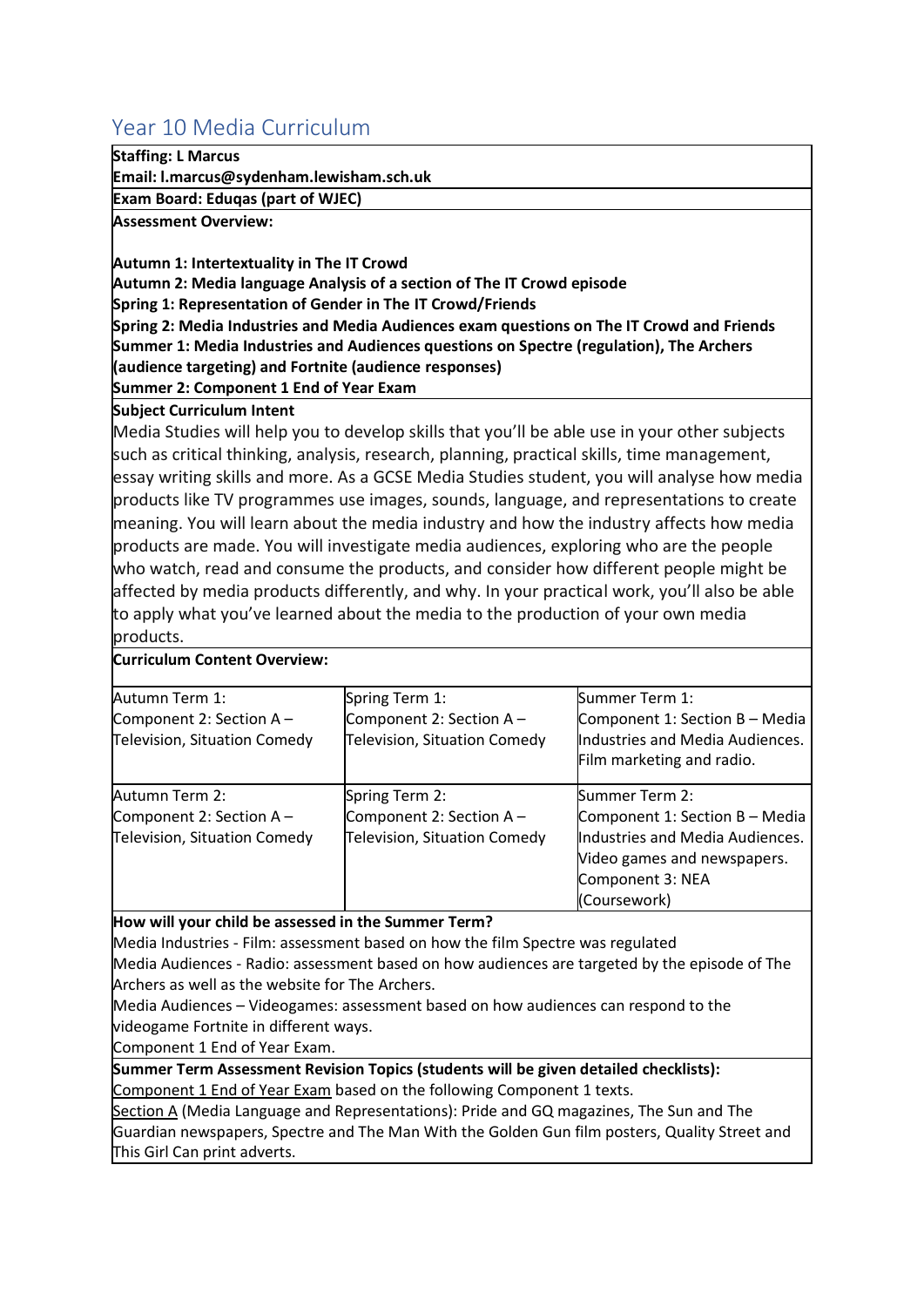## <span id="page-31-0"></span>Year 10 Media Curriculum

### **Staffing: L Marcus**

**Email: l.marcus@sydenham.lewisham.sch.uk**

**Exam Board: Eduqas (part of WJEC)**

**Assessment Overview:**

**Autumn 1: Intertextuality in The IT Crowd**

**Autumn 2: Media language Analysis of a section of The IT Crowd episode**

**Spring 1: Representation of Gender in The IT Crowd/Friends**

**Spring 2: Media Industries and Media Audiences exam questions on The IT Crowd and Friends Summer 1: Media Industries and Audiences questions on Spectre (regulation), The Archers (audience targeting) and Fortnite (audience responses)**

**Summer 2: Component 1 End of Year Exam** 

#### **Subject Curriculum Intent**

Media Studies will help you to develop skills that you'll be able use in your other subjects such as critical thinking, analysis, research, planning, practical skills, time management, essay writing skills and more. As a GCSE Media Studies student, you will analyse how media products like TV programmes use images, sounds, language, and representations to create meaning. You will learn about the media industry and how the industry affects how media products are made. You will investigate media audiences, exploring who are the people who watch, read and consume the products, and consider how different people might be affected by media products differently, and why. In your practical work, you'll also be able to apply what you've learned about the media to the production of your own media products.

#### **Curriculum Content Overview:**

| Autumn Term 1:                      | Spring Term 1:                      | Summer Term 1:                  |
|-------------------------------------|-------------------------------------|---------------------------------|
| Component 2: Section $A -$          | Component 2: Section $A -$          | Component 1: Section B - Media  |
| Television, Situation Comedy        | Television, Situation Comedy        | Industries and Media Audiences. |
|                                     |                                     | Film marketing and radio.       |
| Autumn Term 2:                      | Spring Term 2:                      | Summer Term 2:                  |
| Component 2: Section $A -$          | Component 2: Section A -            | Component 1: Section B - Media  |
| <b>Television, Situation Comedy</b> | <b>Television, Situation Comedy</b> | Industries and Media Audiences. |
|                                     |                                     | Video games and newspapers.     |
|                                     |                                     | Component 3: NEA                |
|                                     |                                     | (Coursework)                    |

**How will your child be assessed in the Summer Term?**

Media Industries - Film: assessment based on how the film Spectre was regulated Media Audiences - Radio: assessment based on how audiences are targeted by the episode of The Archers as well as the website for The Archers.

Media Audiences – Videogames: assessment based on how audiences can respond to the videogame Fortnite in different ways.

Component 1 End of Year Exam.

**Summer Term Assessment Revision Topics (students will be given detailed checklists):** Component 1 End of Year Exam based on the following Component 1 texts.

Section A (Media Language and Representations): Pride and GQ magazines, The Sun and The Guardian newspapers, Spectre and The Man With the Golden Gun film posters, Quality Street and This Girl Can print adverts.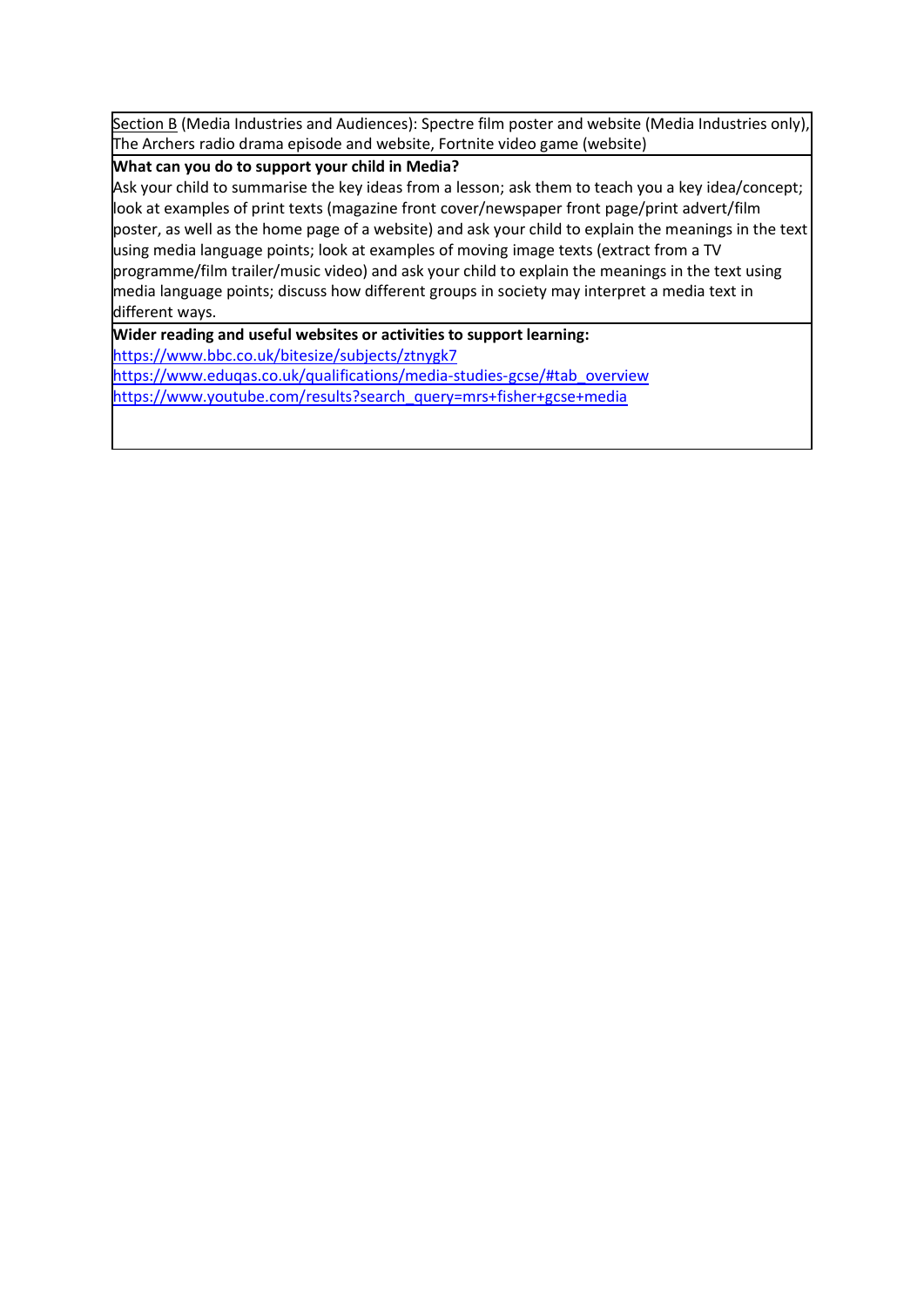Section B (Media Industries and Audiences): Spectre film poster and website (Media Industries only), The Archers radio drama episode and website, Fortnite video game (website)

#### **What can you do to support your child in Media?**

Ask your child to summarise the key ideas from a lesson; ask them to teach you a key idea/concept; look at examples of print texts (magazine front cover/newspaper front page/print advert/film poster, as well as the home page of a website) and ask your child to explain the meanings in the text using media language points; look at examples of moving image texts (extract from a TV programme/film trailer/music video) and ask your child to explain the meanings in the text using media language points; discuss how different groups in society may interpret a media text in different ways.

**Wider reading and useful websites or activities to support learning:**

<https://www.bbc.co.uk/bitesize/subjects/ztnygk7>

[https://www.eduqas.co.uk/qualifications/media-studies-gcse/#tab\\_overview](https://www.eduqas.co.uk/qualifications/media-studies-gcse/#tab_overview) [https://www.youtube.com/results?search\\_query=mrs+fisher+gcse+media](https://www.youtube.com/results?search_query=mrs+fisher+gcse+media)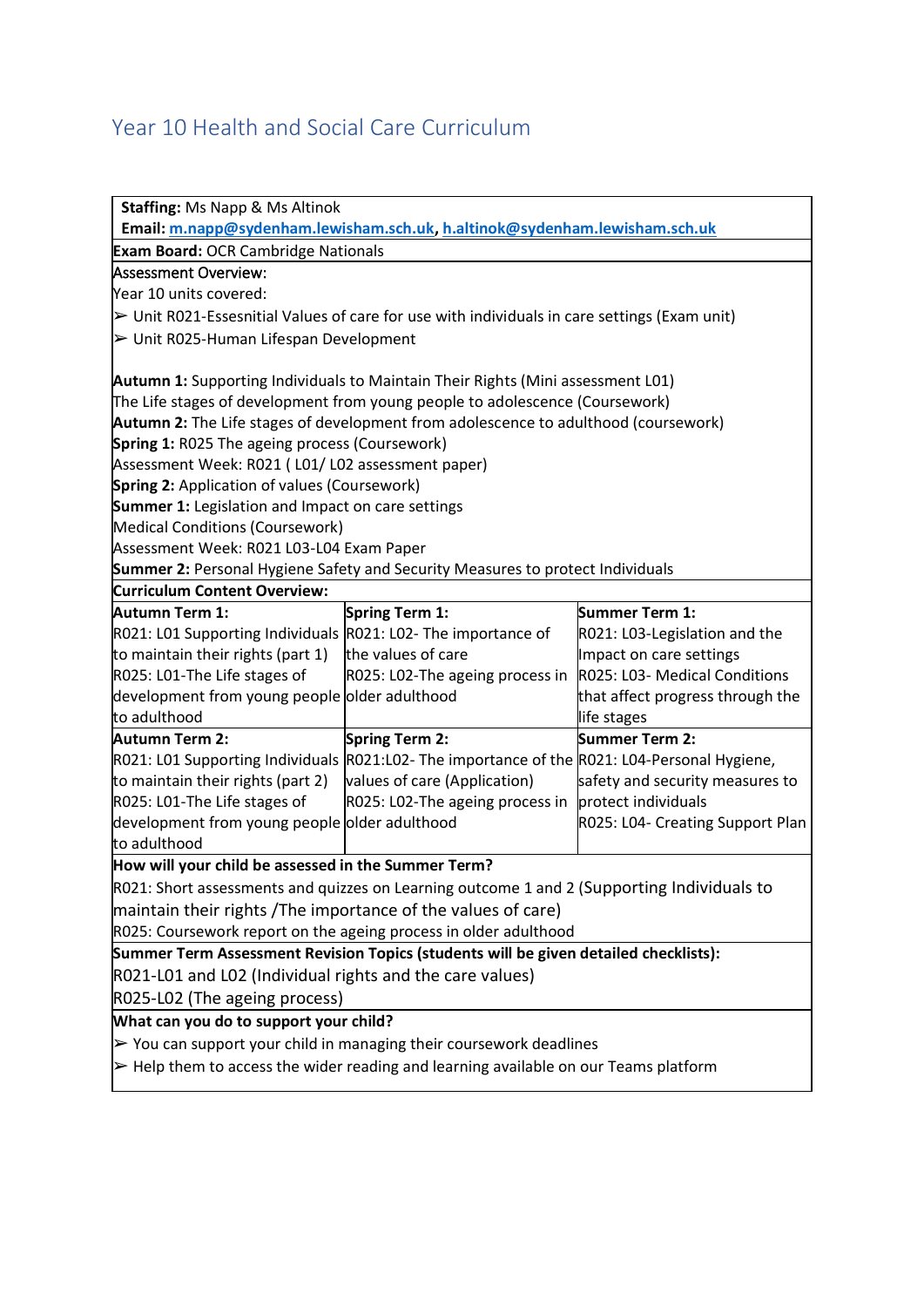# <span id="page-33-0"></span>Year 10 Health and Social Care Curriculum

| <b>Staffing: Ms Napp &amp; Ms Altinok</b>                                                                   |                                 |                                  |
|-------------------------------------------------------------------------------------------------------------|---------------------------------|----------------------------------|
| Email: m.napp@sydenham.lewisham.sch.uk, h.altinok@sydenham.lewisham.sch.uk                                  |                                 |                                  |
| <b>Exam Board: OCR Cambridge Nationals</b>                                                                  |                                 |                                  |
| <b>Assessment Overview:</b>                                                                                 |                                 |                                  |
| Year 10 units covered:                                                                                      |                                 |                                  |
| $\triangleright$ Unit R021-Essesnitial Values of care for use with individuals in care settings (Exam unit) |                                 |                                  |
| > Unit R025-Human Lifespan Development                                                                      |                                 |                                  |
| <b>Autumn 1:</b> Supporting Individuals to Maintain Their Rights (Mini assessment L01)                      |                                 |                                  |
| The Life stages of development from young people to adolescence (Coursework)                                |                                 |                                  |
| Autumn 2: The Life stages of development from adolescence to adulthood (coursework)                         |                                 |                                  |
| <b>Spring 1: R025 The ageing process (Coursework)</b>                                                       |                                 |                                  |
| Assessment Week: R021 (L01/L02 assessment paper)                                                            |                                 |                                  |
| <b>Spring 2:</b> Application of values (Coursework)                                                         |                                 |                                  |
| <b>Summer 1:</b> Legislation and Impact on care settings                                                    |                                 |                                  |
| <b>Medical Conditions (Coursework)</b>                                                                      |                                 |                                  |
| Assessment Week: R021 L03-L04 Exam Paper                                                                    |                                 |                                  |
| <b>Summer 2:</b> Personal Hygiene Safety and Security Measures to protect Individuals                       |                                 |                                  |
| <b>Curriculum Content Overview:</b>                                                                         |                                 |                                  |
| Autumn Term 1:                                                                                              | Spring Term 1:                  | Summer Term 1:                   |
| R021: L01 Supporting Individuals R021: L02- The importance of                                               |                                 | R021: L03-Legislation and the    |
| to maintain their rights (part 1)                                                                           | the values of care              | Impact on care settings          |
| R025: L01-The Life stages of                                                                                | R025: L02-The ageing process in | R025: L03- Medical Conditions    |
| development from young people older adulthood                                                               |                                 | that affect progress through the |
| to adulthood                                                                                                |                                 | life stages                      |
| <b>Autumn Term 2:</b>                                                                                       | <b>Spring Term 2:</b>           | Summer Term 2:                   |
| R021: L01 Supporting Individuals R021:L02- The importance of the R021: L04-Personal Hygiene,                |                                 |                                  |
| to maintain their rights (part 2)                                                                           | values of care (Application)    | safety and security measures to  |
| R025: L01-The Life stages of                                                                                | R025: L02-The ageing process in | protect individuals              |
| development from young people older adulthood                                                               |                                 | R025: L04- Creating Support Plan |
| to adulthood                                                                                                |                                 |                                  |
| How will your child be assessed in the Summer Term?                                                         |                                 |                                  |
| R021: Short assessments and quizzes on Learning outcome 1 and 2 (Supporting Individuals to                  |                                 |                                  |
| maintain their rights /The importance of the values of care)                                                |                                 |                                  |
| R025: Coursework report on the ageing process in older adulthood                                            |                                 |                                  |
| Summer Term Assessment Revision Topics (students will be given detailed checklists):                        |                                 |                                  |
| R021-L01 and L02 (Individual rights and the care values)                                                    |                                 |                                  |
| R025-L02 (The ageing process)                                                                               |                                 |                                  |
| What can you do to support your child?                                                                      |                                 |                                  |
| $\triangleright$ You can support your child in managing their coursework deadlines                          |                                 |                                  |
|                                                                                                             |                                 |                                  |
| $\triangleright$ Help them to access the wider reading and learning available on our Teams platform         |                                 |                                  |
|                                                                                                             |                                 |                                  |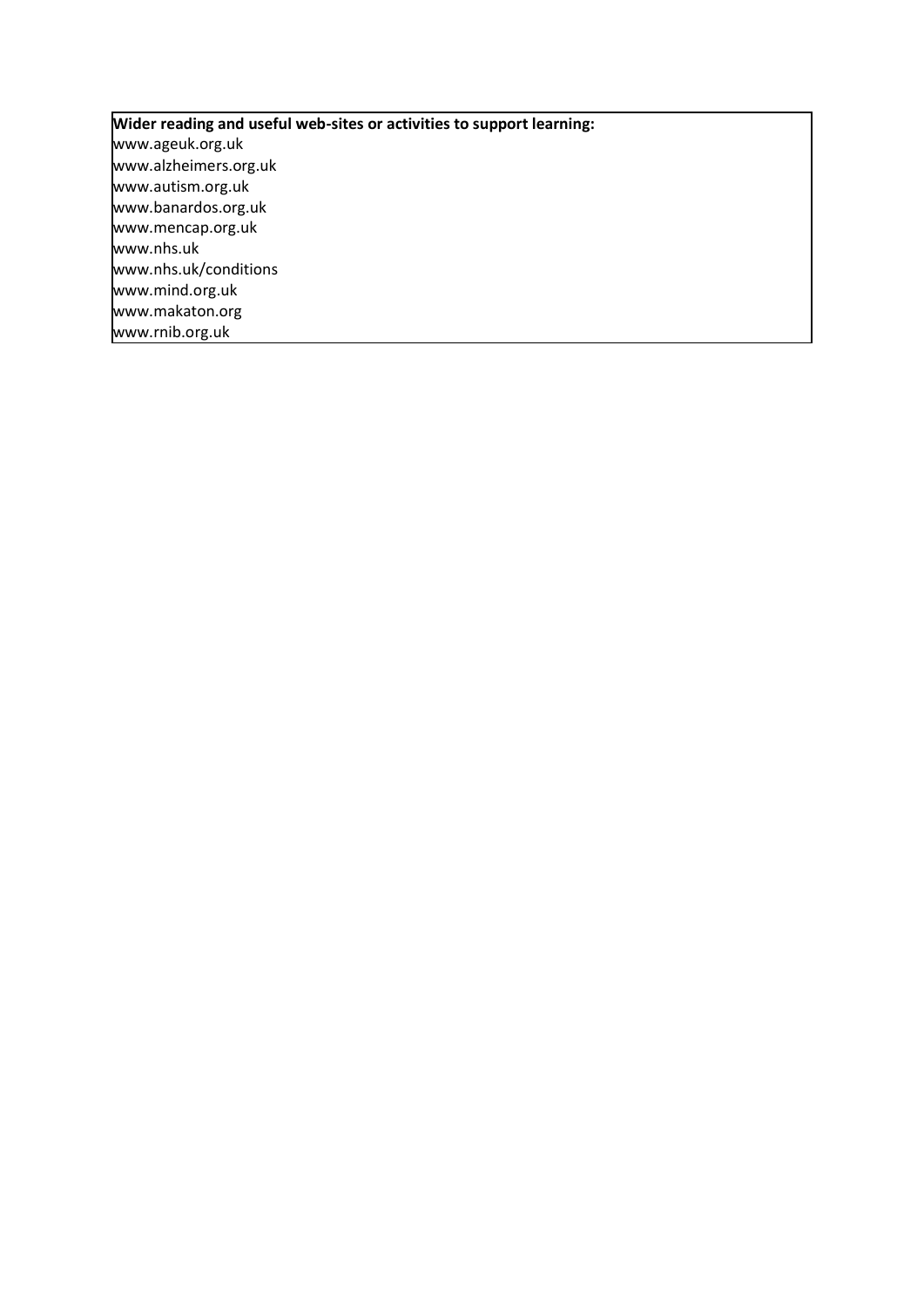**Wider reading and useful web-sites or activities to support learning:** www.ageuk.org.uk www.alzheimers.org.uk www.autism.org.uk www.banardos.org.uk www.mencap.org.uk www.nhs.uk www.nhs.uk/conditions www.mind.org.uk www.makaton.org www.rnib.org.uk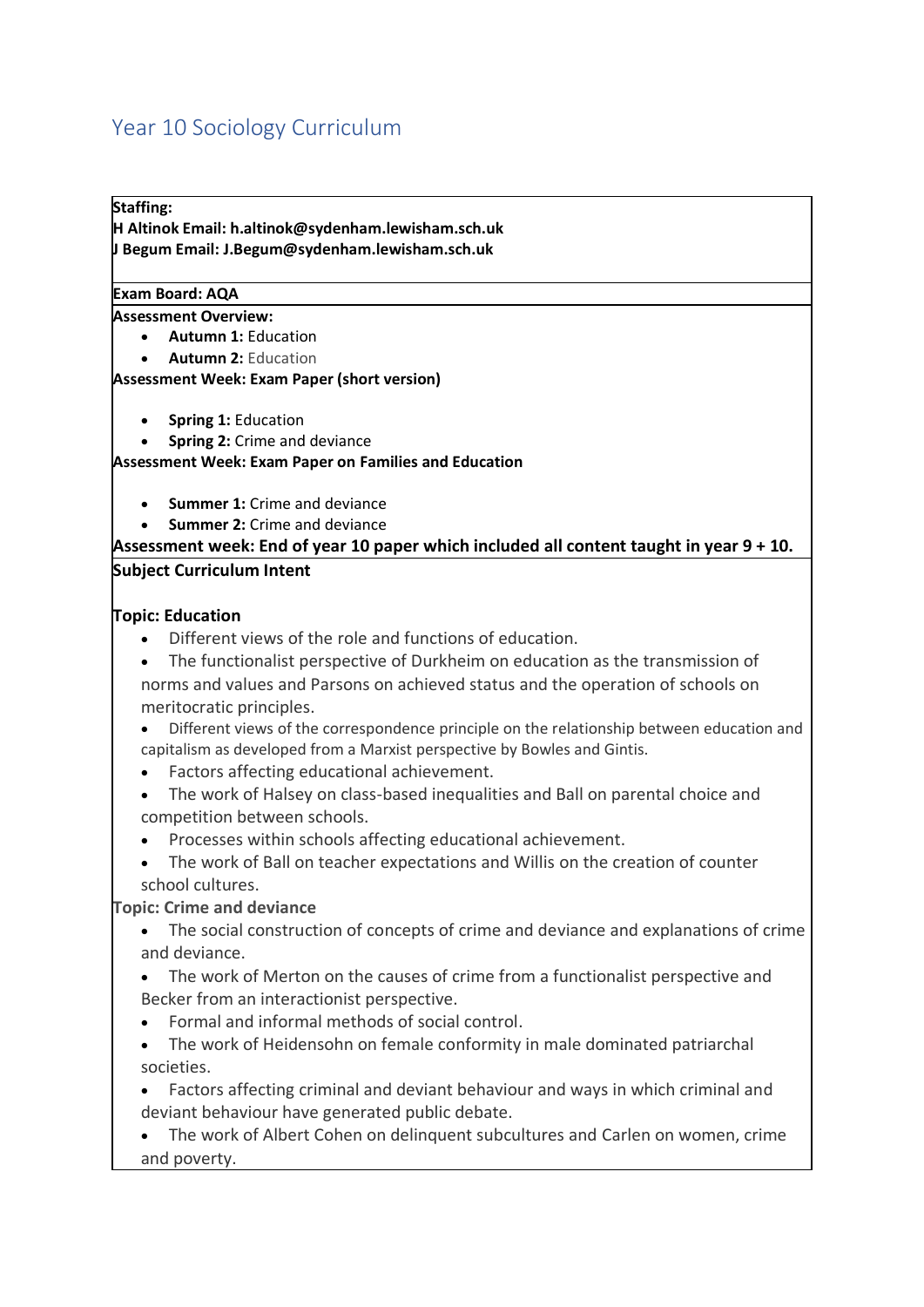# <span id="page-35-0"></span>Year 10 Sociology Curriculum

#### **Staffing:**

**H Altinok Email: h.altinok@sydenham.lewisham.sch.uk J Begum Email: J.Begum@sydenham.lewisham.sch.uk**

#### **Exam Board: AQA**

**Assessment Overview:**

- **Autumn 1:**Education
- **Autumn 2:** Education

**Assessment Week: Exam Paper (short version)**

- **Spring 1:**Education
- **Spring 2:**Crime and deviance

**Assessment Week: Exam Paper on Families and Education** 

- **Summer 1:** Crime and deviance
- **Summer 2:**Crime and deviance

#### **Assessment week: End of year 10 paper which included all content taught in year 9 + 10. Subject Curriculum Intent**

#### **Topic: Education**

- Different views of the role and functions of education.
- The functionalist perspective of Durkheim on education as the transmission of norms and values and Parsons on achieved status and the operation of schools on meritocratic principles.
- Different views of the correspondence principle on the relationship between education and capitalism as developed from a Marxist perspective by Bowles and Gintis.
- Factors affecting educational achievement.
- The work of Halsey on class-based inequalities and Ball on parental choice and competition between schools.
- Processes within schools affecting educational achievement.
- The work of Ball on teacher expectations and Willis on the creation of counter school cultures.

#### **Topic: Crime and deviance**

- The social construction of concepts of crime and deviance and explanations of crime and deviance.
- The work of Merton on the causes of crime from a functionalist perspective and Becker from an interactionist perspective.
- Formal and informal methods of social control.
- The work of Heidensohn on female conformity in male dominated patriarchal societies.
- Factors affecting criminal and deviant behaviour and ways in which criminal and deviant behaviour have generated public debate.
- The work of Albert Cohen on delinquent subcultures and Carlen on women, crime and poverty.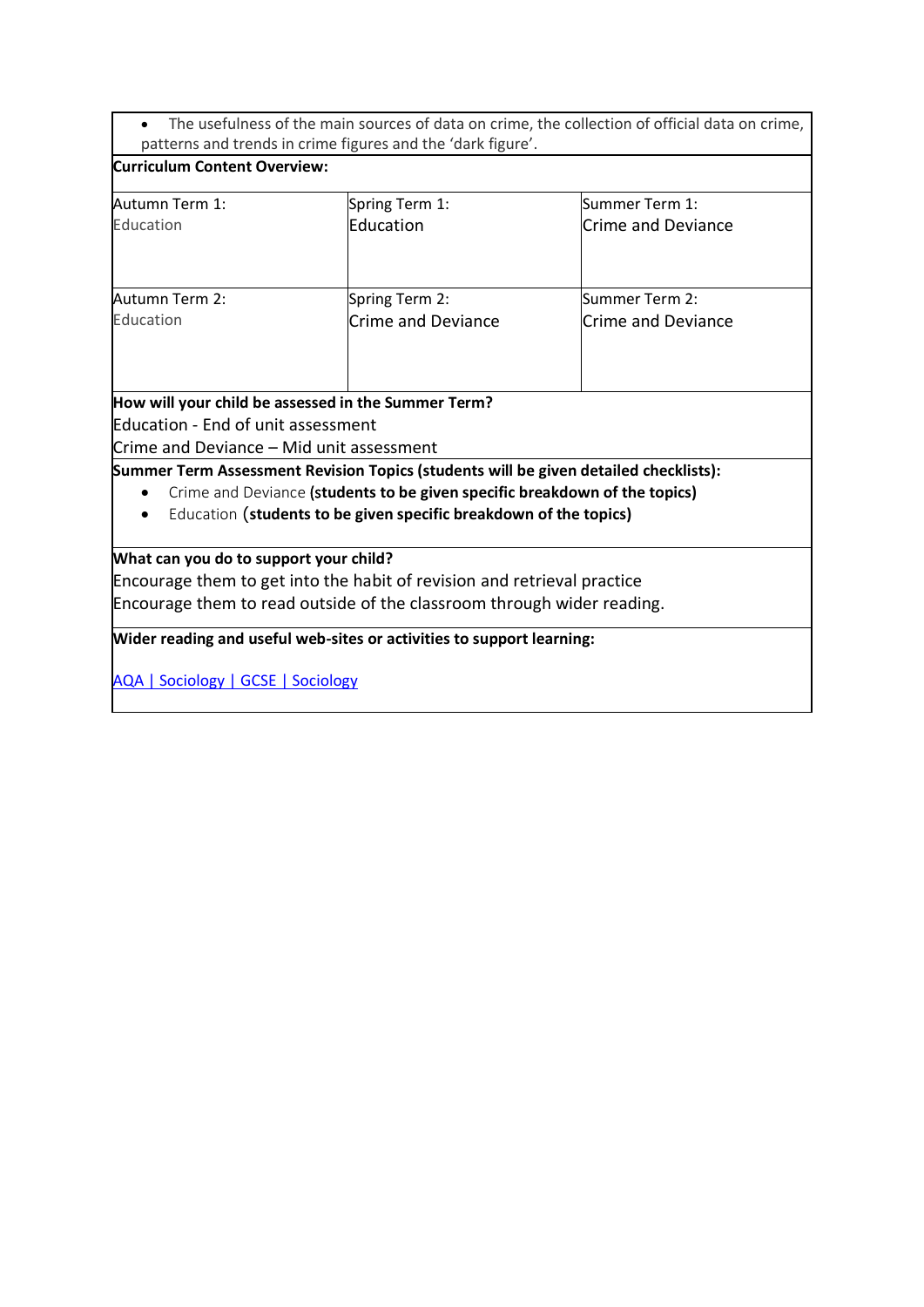• The usefulness of the main sources of data on crime, the collection of official data on crime, patterns and trends in crime figures and the 'dark figure'.

| <b>Curriculum Content Overview:</b>                                            |                                                                                                                                                                                                                                         |                                             |
|--------------------------------------------------------------------------------|-----------------------------------------------------------------------------------------------------------------------------------------------------------------------------------------------------------------------------------------|---------------------------------------------|
| Autumn Term 1:<br>Education                                                    | Spring Term 1:<br>Education                                                                                                                                                                                                             | Summer Term 1:<br><b>Crime and Deviance</b> |
| Autumn Term 2:<br>Education                                                    | Spring Term 2:<br><b>Crime and Deviance</b>                                                                                                                                                                                             | Summer Term 2:<br><b>Crime and Deviance</b> |
| Education - End of unit assessment<br>Crime and Deviance - Mid unit assessment | How will your child be assessed in the Summer Term?                                                                                                                                                                                     |                                             |
|                                                                                | Summer Term Assessment Revision Topics (students will be given detailed checklists):<br>Crime and Deviance (students to be given specific breakdown of the topics)<br>Education (students to be given specific breakdown of the topics) |                                             |
| What can you do to support your child?                                         | Encourage them to get into the habit of revision and retrieval practice<br>Encourage them to read outside of the classroom through wider reading.                                                                                       |                                             |
| <b>AQA   Sociology   GCSE   Sociology</b>                                      | Wider reading and useful web-sites or activities to support learning:                                                                                                                                                                   |                                             |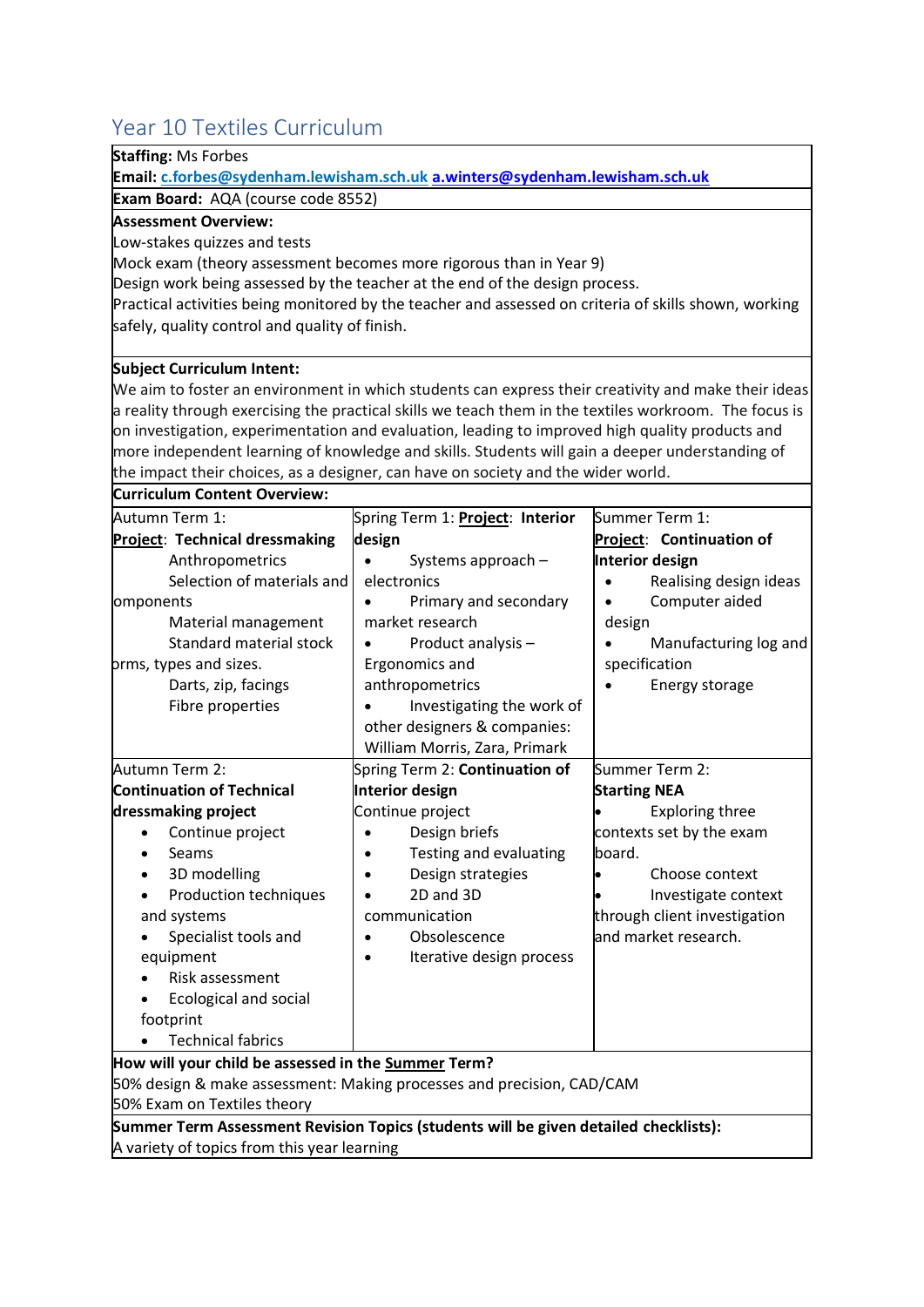# <span id="page-37-0"></span>Year 10 Textiles Curriculum

**Exam Board:** AQA (course code 8552)

**Staffing:** Ms Forbes

**Assessment Overview:**

| Low-stakes quizzes and tests                                                                           |                                         |                                     |
|--------------------------------------------------------------------------------------------------------|-----------------------------------------|-------------------------------------|
| Mock exam (theory assessment becomes more rigorous than in Year 9)                                     |                                         |                                     |
| Design work being assessed by the teacher at the end of the design process.                            |                                         |                                     |
| Practical activities being monitored by the teacher and assessed on criteria of skills shown, working  |                                         |                                     |
| safely, quality control and quality of finish.                                                         |                                         |                                     |
|                                                                                                        |                                         |                                     |
| <b>Subject Curriculum Intent:</b>                                                                      |                                         |                                     |
| We aim to foster an environment in which students can express their creativity and make their ideas    |                                         |                                     |
| a reality through exercising the practical skills we teach them in the textiles workroom. The focus is |                                         |                                     |
| on investigation, experimentation and evaluation, leading to improved high quality products and        |                                         |                                     |
| more independent learning of knowledge and skills. Students will gain a deeper understanding of        |                                         |                                     |
| the impact their choices, as a designer, can have on society and the wider world.                      |                                         |                                     |
| <b>Curriculum Content Overview:</b>                                                                    |                                         |                                     |
| Autumn Term 1:                                                                                         | Spring Term 1: <b>Project: Interior</b> | Summer Term 1:                      |
| Project: Technical dressmaking                                                                         | design                                  | Project: Continuation of            |
| Anthropometrics                                                                                        | Systems approach -                      | <b>Interior design</b>              |
| Selection of materials and                                                                             | electronics                             | Realising design ideas<br>$\bullet$ |
| omponents                                                                                              | Primary and secondary                   | Computer aided<br>$\bullet$         |
| Material management                                                                                    | market research                         | design                              |
| Standard material stock                                                                                | Product analysis -                      | Manufacturing log and               |
| prms, types and sizes.                                                                                 | Ergonomics and                          | specification                       |
| Darts, zip, facings                                                                                    | anthropometrics                         | Energy storage                      |
| Fibre properties                                                                                       | Investigating the work of               |                                     |
|                                                                                                        | other designers & companies:            |                                     |
|                                                                                                        | William Morris, Zara, Primark           |                                     |
| Autumn Term 2:                                                                                         | Spring Term 2: Continuation of          | Summer Term 2:                      |
| <b>Continuation of Technical</b>                                                                       | <b>Interior design</b>                  | <b>Starting NEA</b>                 |
| dressmaking project                                                                                    | Continue project                        | <b>Exploring three</b>              |
| Continue project<br>$\bullet$                                                                          | Design briefs                           | contexts set by the exam            |
| Seams                                                                                                  | Testing and evaluating                  | board.                              |
| 3D modelling<br>$\bullet$                                                                              | Design strategies                       | Choose context                      |
| Production techniques                                                                                  | 2D and 3D                               | Investigate context                 |
| and systems                                                                                            | communication                           | through client investigation        |
| Specialist tools and                                                                                   | Obsolescence                            | and market research.                |
| equipment                                                                                              | Iterative design process                |                                     |
| Risk assessment                                                                                        |                                         |                                     |
| Ecological and social                                                                                  |                                         |                                     |
| footprint                                                                                              |                                         |                                     |
| <b>Technical fabrics</b>                                                                               |                                         |                                     |
| How will your child be assessed in the Summer Term?                                                    |                                         |                                     |
| 50% design & make assessment: Making processes and precision, CAD/CAM                                  |                                         |                                     |
| 50% Exam on Textiles theory                                                                            |                                         |                                     |
| Summer Term Assessment Revision Topics (students will be given detailed checklists):                   |                                         |                                     |
| A variety of topics from this year learning                                                            |                                         |                                     |

**Email: c.forbes@sydenham.lewisham.sch.uk [a.winters@sydenham.lewisham.sch.uk](mailto:a.winters@sydenham.lewisham.sch.uk)**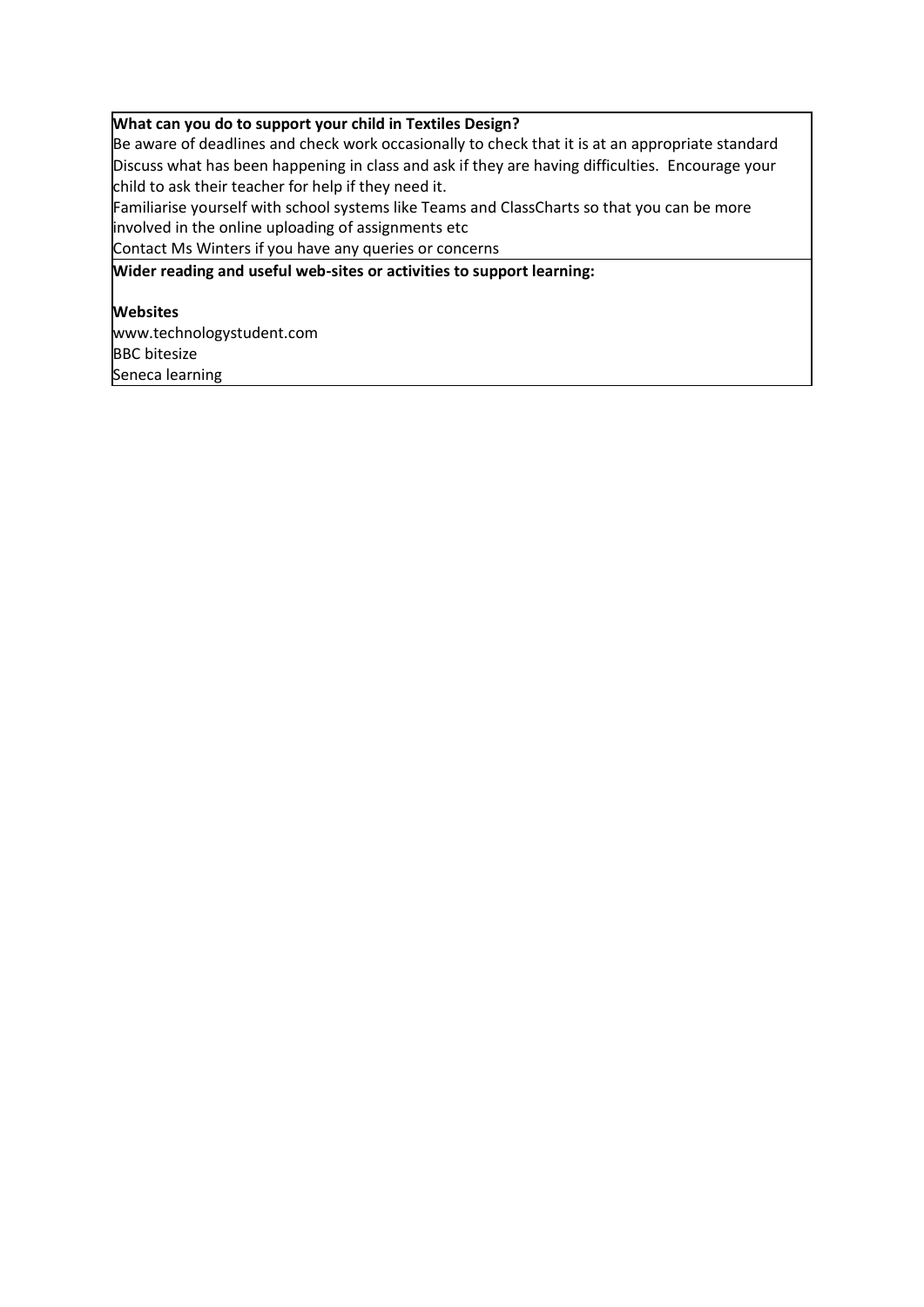#### **What can you do to support your child in Textiles Design?**

Be aware of deadlines and check work occasionally to check that it is at an appropriate standard Discuss what has been happening in class and ask if they are having difficulties. Encourage your child to ask their teacher for help if they need it.

Familiarise yourself with school systems like Teams and ClassCharts so that you can be more involved in the online uploading of assignments etc

Contact Ms Winters if you have any queries or concerns

**Wider reading and useful web-sites or activities to support learning:**

#### **Websites**

www.technologystudent.com BBC bitesize Seneca learning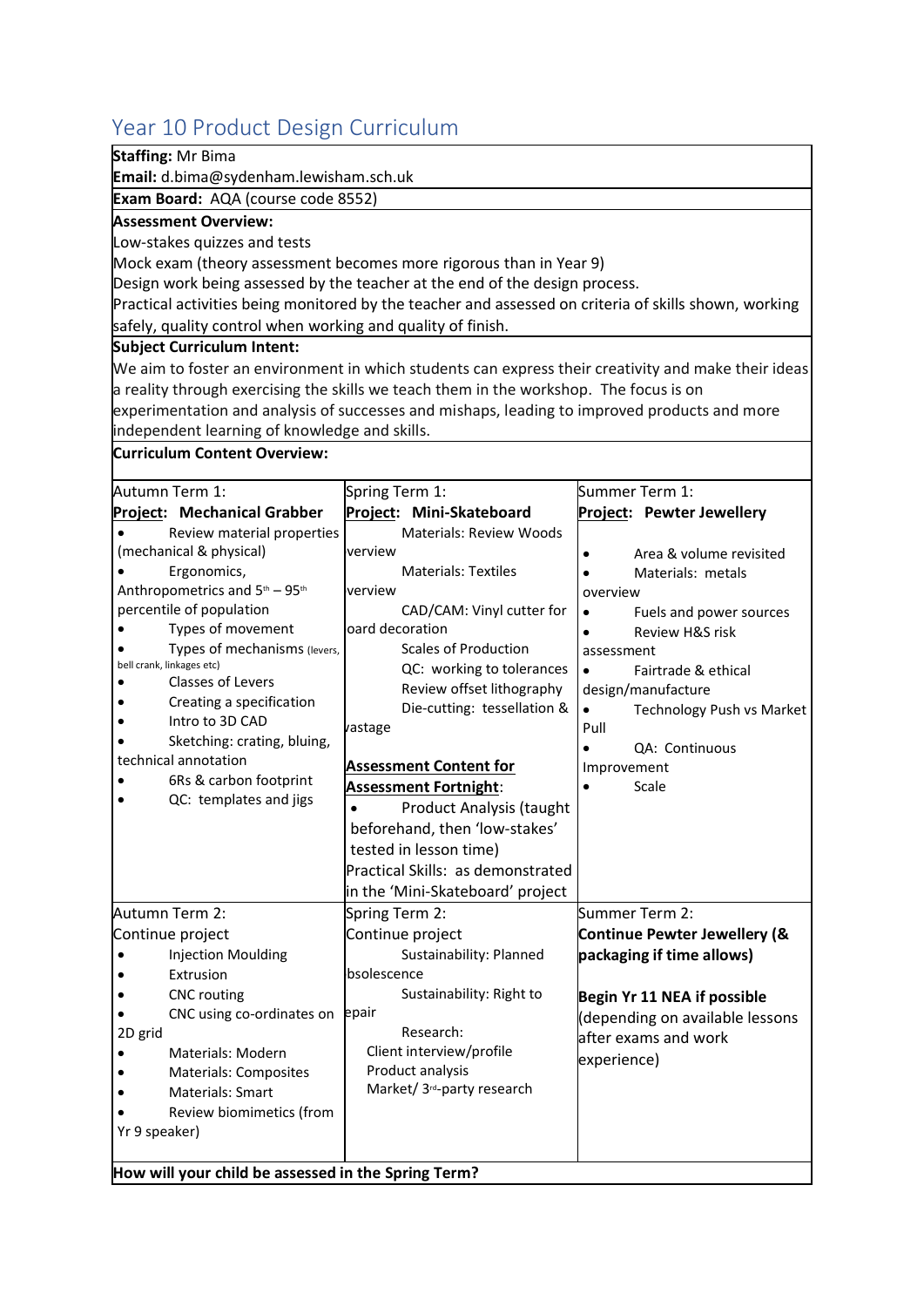# <span id="page-39-0"></span>Year 10 Product Design Curriculum

| <b>Staffing: Mr Bima</b>                                    |                                                                                                       |                                                                                                     |  |
|-------------------------------------------------------------|-------------------------------------------------------------------------------------------------------|-----------------------------------------------------------------------------------------------------|--|
| Email: d.bima@sydenham.lewisham.sch.uk                      |                                                                                                       |                                                                                                     |  |
| Exam Board: AQA (course code 8552)                          |                                                                                                       |                                                                                                     |  |
| <b>Assessment Overview:</b>                                 |                                                                                                       |                                                                                                     |  |
| Low-stakes quizzes and tests                                |                                                                                                       |                                                                                                     |  |
|                                                             | Mock exam (theory assessment becomes more rigorous than in Year 9)                                    |                                                                                                     |  |
|                                                             | Design work being assessed by the teacher at the end of the design process.                           |                                                                                                     |  |
|                                                             | Practical activities being monitored by the teacher and assessed on criteria of skills shown, working |                                                                                                     |  |
| safely, quality control when working and quality of finish. |                                                                                                       |                                                                                                     |  |
| <b>Subject Curriculum Intent:</b>                           |                                                                                                       |                                                                                                     |  |
|                                                             |                                                                                                       | We aim to foster an environment in which students can express their creativity and make their ideas |  |
|                                                             | a reality through exercising the skills we teach them in the workshop. The focus is on                |                                                                                                     |  |
|                                                             | experimentation and analysis of successes and mishaps, leading to improved products and more          |                                                                                                     |  |
| independent learning of knowledge and skills.               |                                                                                                       |                                                                                                     |  |
| Curriculum Content Overview:                                |                                                                                                       |                                                                                                     |  |
| Autumn Term 1:                                              | Spring Term 1:                                                                                        | Summer Term 1:                                                                                      |  |
| Project: Mechanical Grabber                                 | Project: Mini-Skateboard                                                                              | Project: Pewter Jewellery                                                                           |  |
| Review material properties                                  | <b>Materials: Review Woods</b>                                                                        |                                                                                                     |  |
| (mechanical & physical)                                     | verview                                                                                               | Area & volume revisited<br>$\bullet$                                                                |  |
| Ergonomics,                                                 | <b>Materials: Textiles</b>                                                                            | Materials: metals<br>$\bullet$                                                                      |  |
| Anthropometrics and 5th - 95th                              | verview                                                                                               | overview                                                                                            |  |
| percentile of population                                    | CAD/CAM: Vinyl cutter for                                                                             | Fuels and power sources                                                                             |  |
| Types of movement                                           | oard decoration                                                                                       | Review H&S risk                                                                                     |  |
| Types of mechanisms (levers,<br>bell crank, linkages etc)   | <b>Scales of Production</b>                                                                           | assessment                                                                                          |  |
| Classes of Levers                                           | QC: working to tolerances                                                                             | Fairtrade & ethical                                                                                 |  |
| Creating a specification                                    | Review offset lithography                                                                             | design/manufacture                                                                                  |  |
| Intro to 3D CAD                                             | Die-cutting: tessellation &<br>vastage                                                                | <b>Technology Push vs Market</b><br>Pull                                                            |  |
| Sketching: crating, bluing,                                 |                                                                                                       | QA: Continuous                                                                                      |  |
| technical annotation                                        | <b>Assessment Content for</b>                                                                         | Improvement                                                                                         |  |
| 6Rs & carbon footprint                                      | <b>Assessment Fortnight:</b>                                                                          | Scale<br>$\bullet$                                                                                  |  |
| QC: templates and jigs                                      | <b>Product Analysis (taught</b>                                                                       |                                                                                                     |  |
|                                                             | beforehand, then 'low-stakes'                                                                         |                                                                                                     |  |
|                                                             | tested in lesson time)                                                                                |                                                                                                     |  |
|                                                             | Practical Skills: as demonstrated                                                                     |                                                                                                     |  |
|                                                             | in the 'Mini-Skateboard' project                                                                      |                                                                                                     |  |
| Autumn Term 2:                                              | Spring Term 2:                                                                                        | Summer Term 2:                                                                                      |  |
| Continue project                                            | Continue project                                                                                      | <b>Continue Pewter Jewellery (&amp;</b>                                                             |  |
| <b>Injection Moulding</b>                                   | Sustainability: Planned                                                                               | packaging if time allows)                                                                           |  |
| Extrusion                                                   | bsolescence                                                                                           |                                                                                                     |  |
| <b>CNC</b> routing                                          | Sustainability: Right to                                                                              | Begin Yr 11 NEA if possible                                                                         |  |
| CNC using co-ordinates on                                   | epair                                                                                                 | (depending on available lessons                                                                     |  |
| 2D grid                                                     | Research:                                                                                             | after exams and work                                                                                |  |
| <b>Materials: Modern</b>                                    | Client interview/profile                                                                              | experience)                                                                                         |  |
| <b>Materials: Composites</b>                                | Product analysis                                                                                      |                                                                                                     |  |
| <b>Materials: Smart</b>                                     | Market/ 3 <sup>rd</sup> -party research                                                               |                                                                                                     |  |
| Review biomimetics (from                                    |                                                                                                       |                                                                                                     |  |
| Yr 9 speaker)                                               |                                                                                                       |                                                                                                     |  |
|                                                             |                                                                                                       |                                                                                                     |  |
| How will your child be assessed in the Spring Term?         |                                                                                                       |                                                                                                     |  |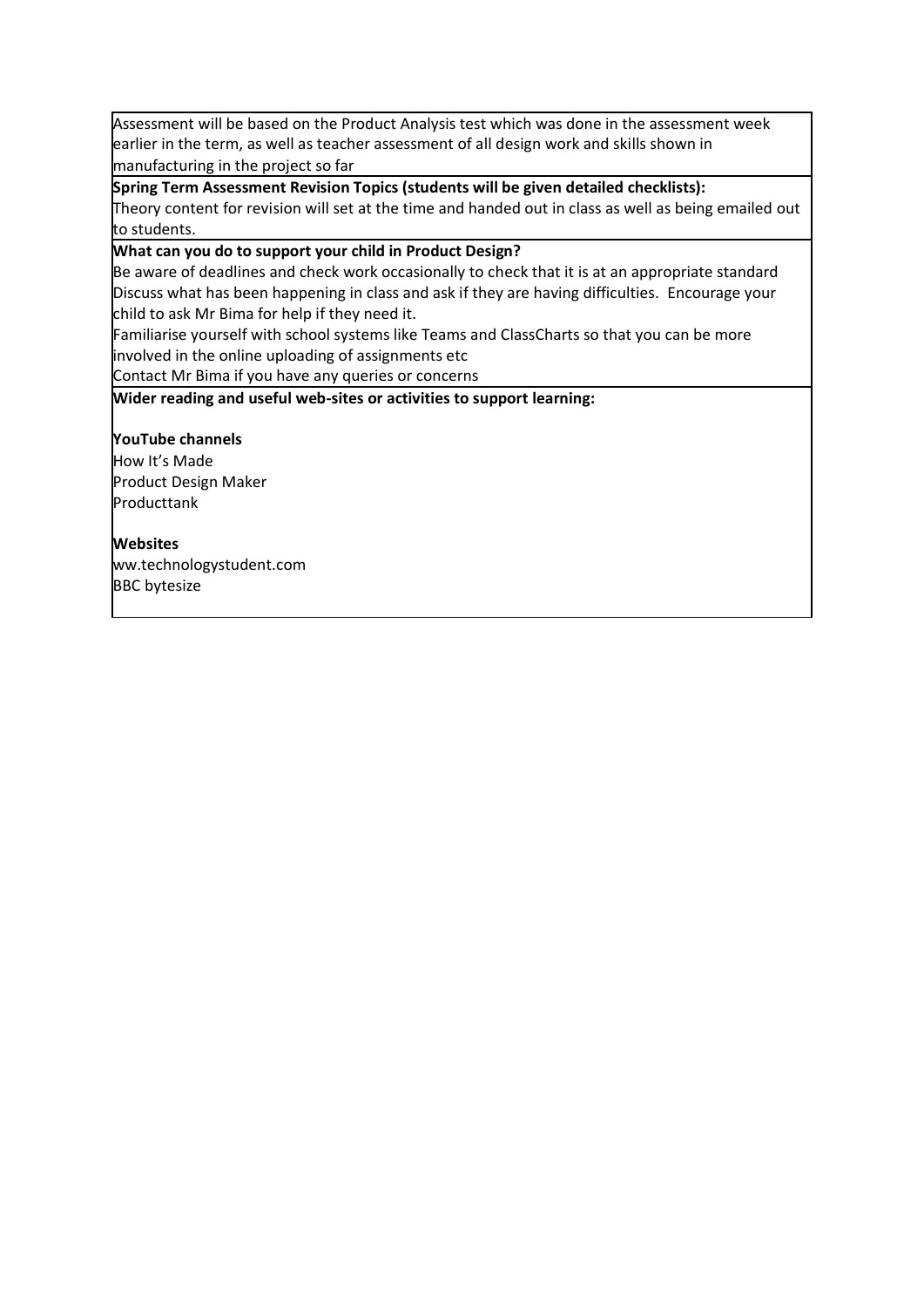Assessment will be based on the Product Analysis test which was done in the assessment week earlier in the term, as well as teacher assessment of all design work and skills shown in manufacturing in the project so far

**Spring Term Assessment Revision Topics (students will be given detailed checklists):** Theory content for revision will set at the time and handed out in class as well as being emailed out to students.

**What can you do to support your child in Product Design?**

Be aware of deadlines and check work occasionally to check that it is at an appropriate standard Discuss what has been happening in class and ask if they are having difficulties. Encourage your child to ask Mr Bima for help if they need it.

Familiarise yourself with school systems like Teams and ClassCharts so that you can be more involved in the online uploading of assignments etc

Contact Mr Bima if you have any queries or concerns

**Wider reading and useful web-sites or activities to support learning:**

#### **YouTube channels**

How It's Made Product Design Maker Producttank

#### **Websites**

ww.technologystudent.com BBC bytesize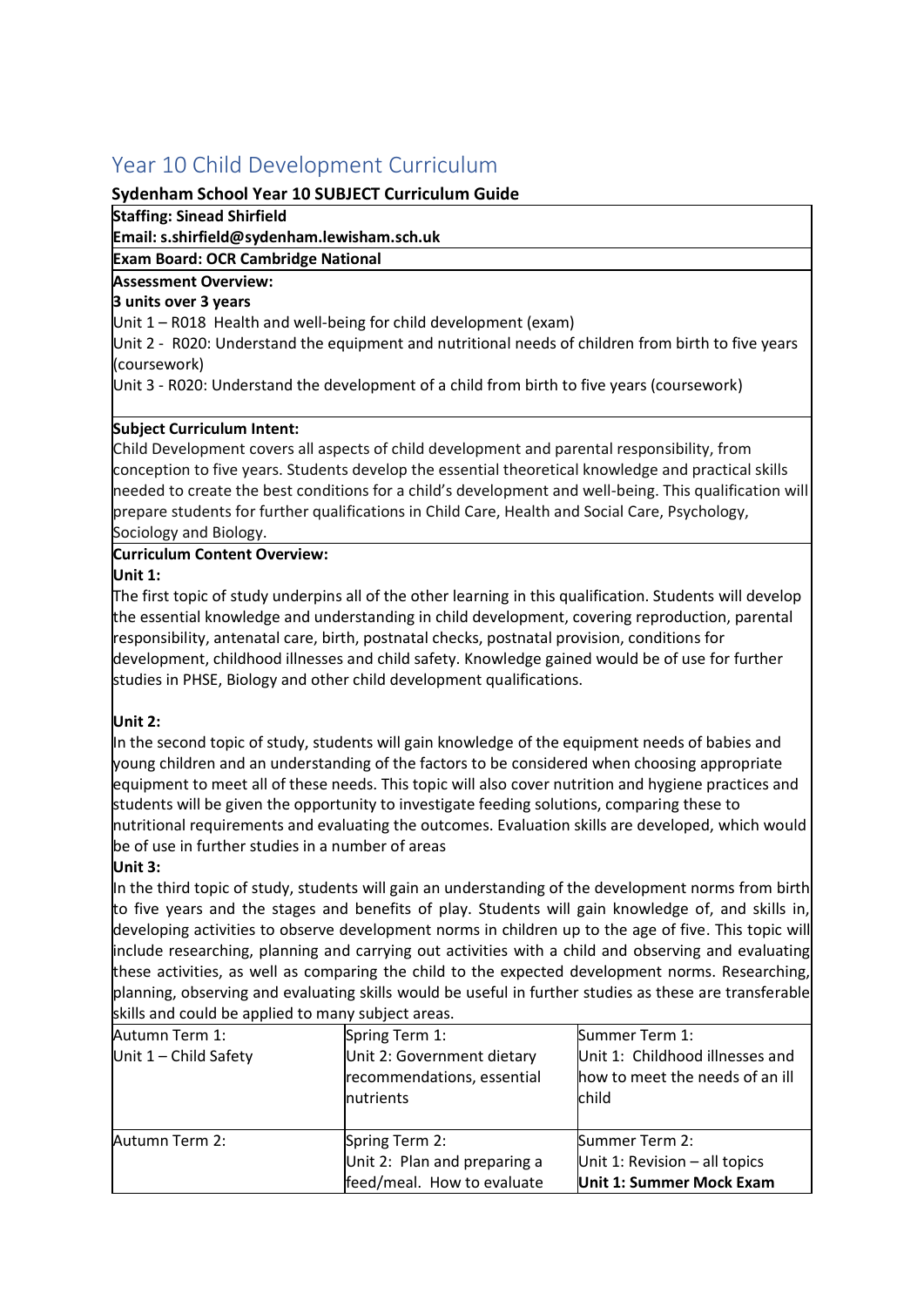# <span id="page-41-0"></span>Year 10 Child Development Curriculum

#### **Sydenham School Year 10 SUBJECT Curriculum Guide**

**Staffing: Sinead Shirfield**

**Email: s.shirfield@sydenham.lewisham.sch.uk**

**Exam Board: OCR Cambridge National**

#### **Assessment Overview:**

#### **3 units over 3 years**

Unit 1 – R018 Health and well-being for child development (exam)

Unit 2 - R020: Understand the equipment and nutritional needs of children from birth to five years (coursework)

Unit 3 - R020: Understand the development of a child from birth to five years (coursework)

#### **Subject Curriculum Intent:**

Child Development covers all aspects of child development and parental responsibility, from conception to five years. Students develop the essential theoretical knowledge and practical skills needed to create the best conditions for a child's development and well-being. This qualification will prepare students for further qualifications in Child Care, Health and Social Care, Psychology, Sociology and Biology.

#### **Curriculum Content Overview:**

#### **Unit 1:**

The first topic of study underpins all of the other learning in this qualification. Students will develop the essential knowledge and understanding in child development, covering reproduction, parental responsibility, antenatal care, birth, postnatal checks, postnatal provision, conditions for development, childhood illnesses and child safety. Knowledge gained would be of use for further studies in PHSE, Biology and other child development qualifications.

#### **Unit 2:**

In the second topic of study, students will gain knowledge of the equipment needs of babies and young children and an understanding of the factors to be considered when choosing appropriate equipment to meet all of these needs. This topic will also cover nutrition and hygiene practices and students will be given the opportunity to investigate feeding solutions, comparing these to nutritional requirements and evaluating the outcomes. Evaluation skills are developed, which would be of use in further studies in a number of areas

#### **Unit 3:**

In the third topic of study, students will gain an understanding of the development norms from birth to five years and the stages and benefits of play. Students will gain knowledge of, and skills in, developing activities to observe development norms in children up to the age of five. This topic will include researching, planning and carrying out activities with a child and observing and evaluating these activities, as well as comparing the child to the expected development norms. Researching, planning, observing and evaluating skills would be useful in further studies as these are transferable skills and could be applied to many subject areas.

| Autumn Term 1:          | Spring Term 1:                                                                | Summer Term 1:                                                                |
|-------------------------|-------------------------------------------------------------------------------|-------------------------------------------------------------------------------|
| Unit $1$ – Child Safety | Unit 2: Government dietary<br>recommendations, essential<br><b>Inutrients</b> | Unit 1: Childhood illnesses and<br>how to meet the needs of an ill<br>child   |
| Autumn Term 2:          | Spring Term 2:<br>Unit 2: Plan and preparing a<br>feed/meal. How to evaluate  | Summer Term 2:<br>Unit 1: Revision $-$ all topics<br>Unit 1: Summer Mock Exam |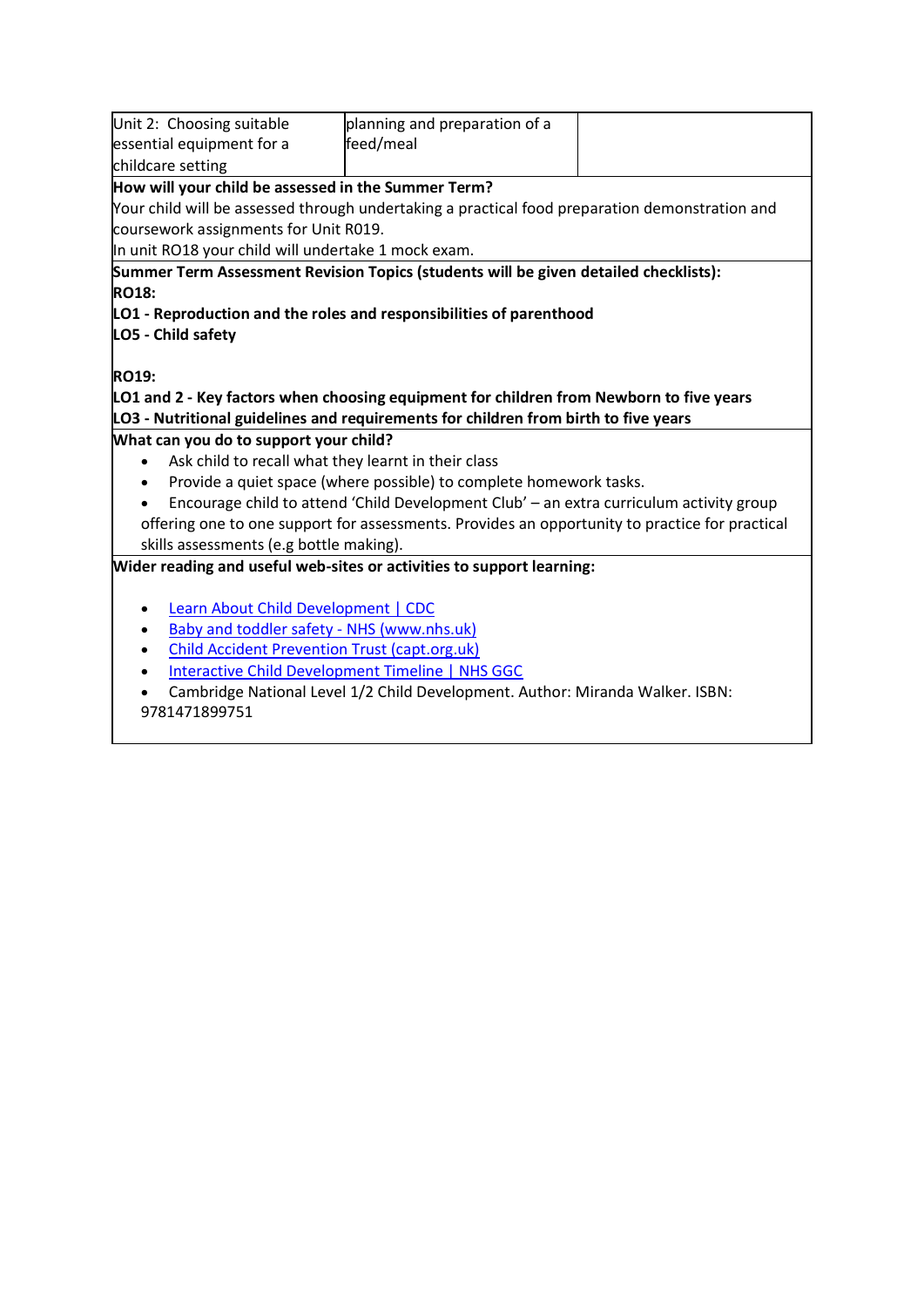| Unit 2: Choosing suitable                                                                      | planning and preparation of a                                                                  |  |  |
|------------------------------------------------------------------------------------------------|------------------------------------------------------------------------------------------------|--|--|
| essential equipment for a                                                                      | feed/meal                                                                                      |  |  |
| childcare setting                                                                              |                                                                                                |  |  |
| How will your child be assessed in the Summer Term?                                            |                                                                                                |  |  |
|                                                                                                | Your child will be assessed through undertaking a practical food preparation demonstration and |  |  |
| coursework assignments for Unit R019.                                                          |                                                                                                |  |  |
| In unit RO18 your child will undertake 1 mock exam.                                            |                                                                                                |  |  |
|                                                                                                | Summer Term Assessment Revision Topics (students will be given detailed checklists):           |  |  |
| <b>RO18:</b>                                                                                   |                                                                                                |  |  |
|                                                                                                | LO1 - Reproduction and the roles and responsibilities of parenthood                            |  |  |
| LO5 - Child safety                                                                             |                                                                                                |  |  |
|                                                                                                |                                                                                                |  |  |
| <b>RO19:</b>                                                                                   |                                                                                                |  |  |
|                                                                                                | LO1 and 2 - Key factors when choosing equipment for children from Newborn to five years        |  |  |
|                                                                                                | LO3 - Nutritional guidelines and requirements for children from birth to five years            |  |  |
| What can you do to support your child?                                                         |                                                                                                |  |  |
|                                                                                                | Ask child to recall what they learnt in their class                                            |  |  |
|                                                                                                | Provide a quiet space (where possible) to complete homework tasks.                             |  |  |
| Encourage child to attend 'Child Development Club' - an extra curriculum activity group        |                                                                                                |  |  |
| offering one to one support for assessments. Provides an opportunity to practice for practical |                                                                                                |  |  |
| skills assessments (e.g bottle making).                                                        |                                                                                                |  |  |
|                                                                                                | Wider reading and useful web-sites or activities to support learning:                          |  |  |
|                                                                                                |                                                                                                |  |  |
| Learn About Child Development   CDC                                                            |                                                                                                |  |  |
| Baby and toddler safety - NHS (www.nhs.uk)                                                     |                                                                                                |  |  |
| <b>Child Accident Prevention Trust (capt.org.uk)</b>                                           |                                                                                                |  |  |
| Interactive Child Development Timeline   NHS GGC                                               |                                                                                                |  |  |
| Cambridge National Level 1/2 Child Development. Author: Miranda Walker. ISBN:                  |                                                                                                |  |  |
| 9781471899751                                                                                  |                                                                                                |  |  |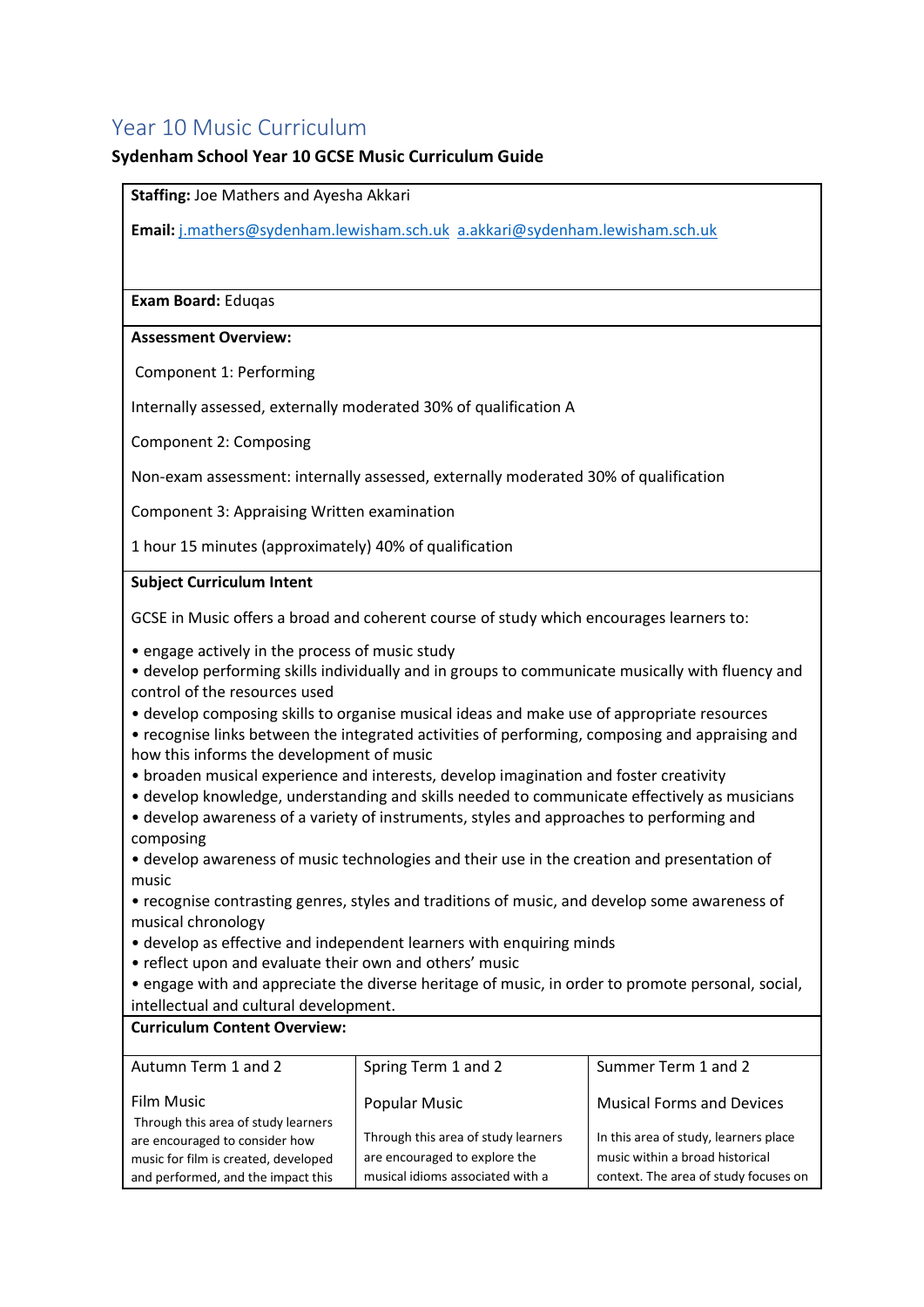# <span id="page-43-0"></span>Year 10 Music Curriculum

#### **Sydenham School Year 10 GCSE Music Curriculum Guide**

**Staffing:** Joe Mathers and Ayesha Akkari

**Email:** [j.mathers@sydenham.lewisham.sch.uk](mailto:a.fullilove@sydenham.lewisham.sch.uk) [a.akkari@sydenham.lewisham.sch.uk](mailto:a.akkari@sydenham.lewisham.sch.uk)

**Exam Board:** Eduqas

#### **Assessment Overview:**

Component 1: Performing

Internally assessed, externally moderated 30% of qualification A

Component 2: Composing

Non-exam assessment: internally assessed, externally moderated 30% of qualification

Component 3: Appraising Written examination

1 hour 15 minutes (approximately) 40% of qualification

#### **Subject Curriculum Intent**

GCSE in Music offers a broad and coherent course of study which encourages learners to:

• engage actively in the process of music study

- develop performing skills individually and in groups to communicate musically with fluency and control of the resources used
- develop composing skills to organise musical ideas and make use of appropriate resources
- recognise links between the integrated activities of performing, composing and appraising and how this informs the development of music
- broaden musical experience and interests, develop imagination and foster creativity
- develop knowledge, understanding and skills needed to communicate effectively as musicians
- develop awareness of a variety of instruments, styles and approaches to performing and composing

• develop awareness of music technologies and their use in the creation and presentation of music

• recognise contrasting genres, styles and traditions of music, and develop some awareness of musical chronology

- develop as effective and independent learners with enquiring minds
- reflect upon and evaluate their own and others' music
- engage with and appreciate the diverse heritage of music, in order to promote personal, social, intellectual and cultural development.

#### **Curriculum Content Overview:**

| Autumn Term 1 and 2                               | Spring Term 1 and 2                 | Summer Term 1 and 2                   |
|---------------------------------------------------|-------------------------------------|---------------------------------------|
| Film Music<br>Through this area of study learners | <b>Popular Music</b>                | <b>Musical Forms and Devices</b>      |
| are encouraged to consider how                    | Through this area of study learners | In this area of study, learners place |
| music for film is created, developed              | are encouraged to explore the       | music within a broad historical       |
| and performed, and the impact this                | musical idioms associated with a    | context. The area of study focuses on |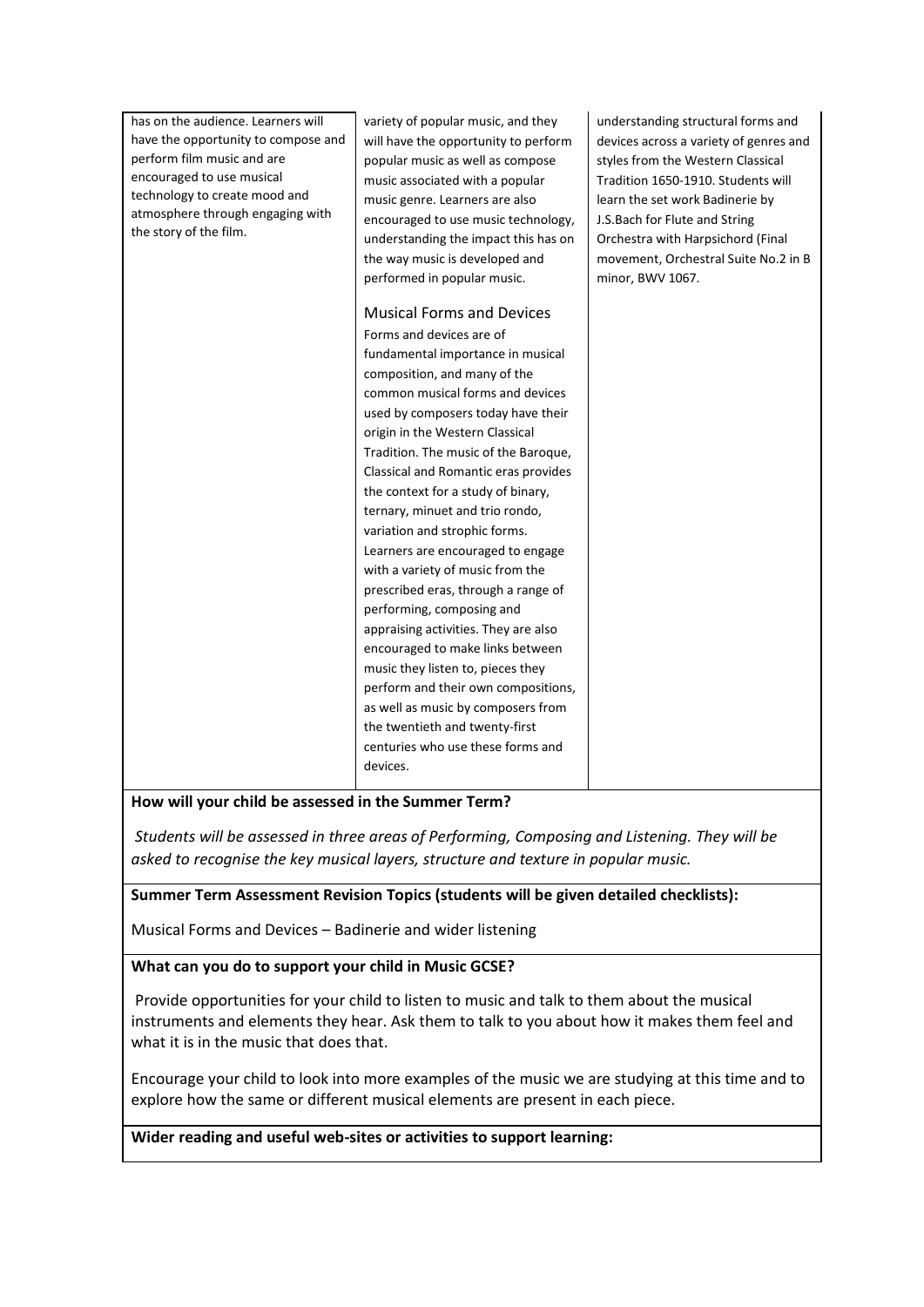| has on the audience. Learners will                                | variety of popular music, and they   | understanding structural forms and     |
|-------------------------------------------------------------------|--------------------------------------|----------------------------------------|
| have the opportunity to compose and                               | will have the opportunity to perform | devices across a variety of genres and |
| perform film music and are                                        | popular music as well as compose     | styles from the Western Classical      |
| encouraged to use musical                                         | music associated with a popular      | Tradition 1650-1910. Students will     |
| technology to create mood and<br>atmosphere through engaging with | music genre. Learners are also       | learn the set work Badinerie by        |
| the story of the film.                                            | encouraged to use music technology,  | J.S.Bach for Flute and String          |
|                                                                   | understanding the impact this has on | Orchestra with Harpsichord (Final      |
|                                                                   | the way music is developed and       | movement, Orchestral Suite No.2 in B   |
|                                                                   | performed in popular music.          | minor, BWV 1067.                       |
|                                                                   | <b>Musical Forms and Devices</b>     |                                        |
|                                                                   | Forms and devices are of             |                                        |
|                                                                   | fundamental importance in musical    |                                        |
|                                                                   | composition, and many of the         |                                        |
|                                                                   | common musical forms and devices     |                                        |
|                                                                   | used by composers today have their   |                                        |
|                                                                   | origin in the Western Classical      |                                        |
|                                                                   | Tradition. The music of the Baroque, |                                        |
|                                                                   | Classical and Romantic eras provides |                                        |
|                                                                   | the context for a study of binary,   |                                        |
|                                                                   | ternary, minuet and trio rondo,      |                                        |
|                                                                   | variation and strophic forms.        |                                        |
|                                                                   | Learners are encouraged to engage    |                                        |
|                                                                   | with a variety of music from the     |                                        |
|                                                                   | prescribed eras, through a range of  |                                        |
|                                                                   | performing, composing and            |                                        |
|                                                                   | appraising activities. They are also |                                        |
|                                                                   | encouraged to make links between     |                                        |
|                                                                   | music they listen to, pieces they    |                                        |
|                                                                   | perform and their own compositions,  |                                        |
|                                                                   | as well as music by composers from   |                                        |
|                                                                   | the twentieth and twenty-first       |                                        |
|                                                                   | centuries who use these forms and    |                                        |
|                                                                   | devices.                             |                                        |
|                                                                   |                                      |                                        |

#### **How will your child be assessed in the Summer Term?**

*Students will be assessed in three areas of Performing, Composing and Listening. They will be asked to recognise the key musical layers, structure and texture in popular music.*

#### **Summer Term Assessment Revision Topics (students will be given detailed checklists):**

Musical Forms and Devices – Badinerie and wider listening

#### **What can you do to support your child in Music GCSE?**

Provide opportunities for your child to listen to music and talk to them about the musical instruments and elements they hear. Ask them to talk to you about how it makes them feel and what it is in the music that does that.

Encourage your child to look into more examples of the music we are studying at this time and to explore how the same or different musical elements are present in each piece.

**Wider reading and useful web-sites or activities to support learning:**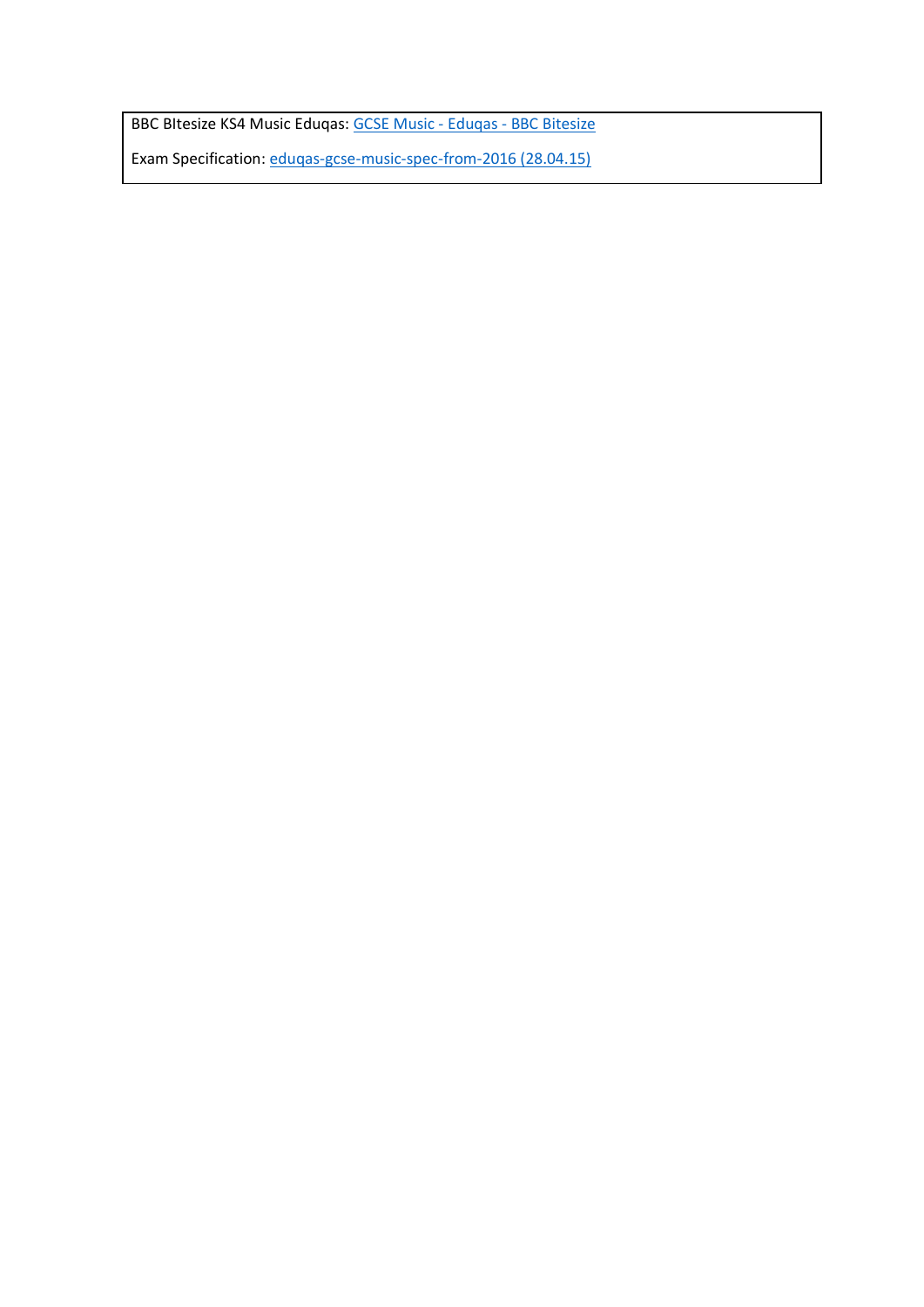BBC BItesize KS4 Music Eduqas[: GCSE Music -](https://www.bbc.co.uk/bitesize/examspecs/zbmct39) Eduqas - BBC Bitesize

Exam Specification[: eduqas-gcse-music-spec-from-2016 \(28.04.15\)](https://www.eduqas.co.uk/media/by5boopf/eduqas-gcse-music-spec-from-2016-d.pdf)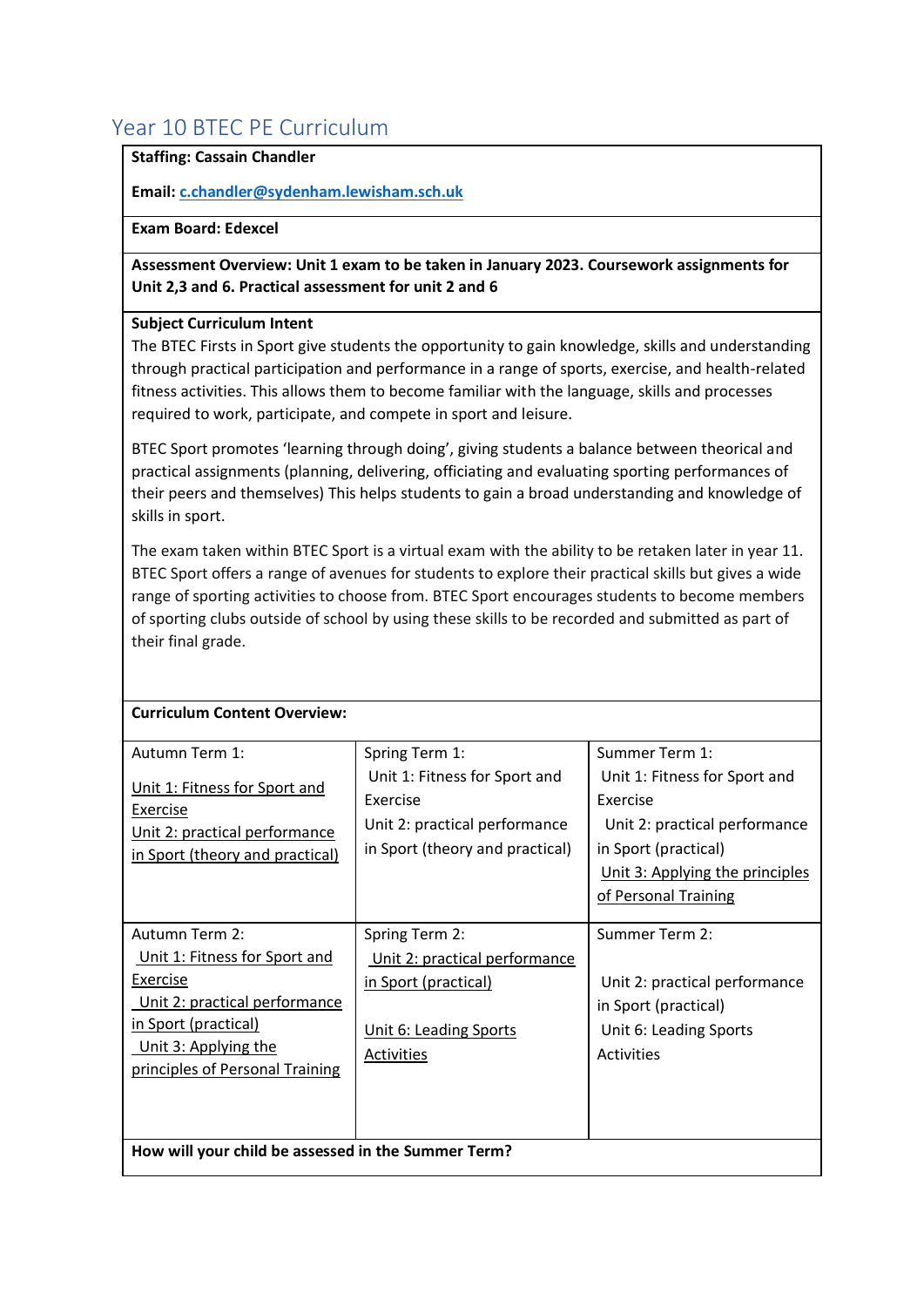# <span id="page-46-0"></span>Year 10 BTEC PE Curriculum

#### **Staffing: Cassain Chandler**

**Email[: c.chandler@sydenham.lewisham.sch.uk](mailto:c.chandler@sydenham.lewisham.sch.uk)**

#### **Exam Board: Edexcel**

**Assessment Overview: Unit 1 exam to be taken in January 2023. Coursework assignments for Unit 2,3 and 6. Practical assessment for unit 2 and 6** 

#### **Subject Curriculum Intent**

The BTEC Firsts in Sport give students the opportunity to gain knowledge, skills and understanding through practical participation and performance in a range of sports, exercise, and health-related fitness activities. This allows them to become familiar with the language, skills and processes required to work, participate, and compete in sport and leisure.

BTEC Sport promotes 'learning through doing', giving students a balance between theorical and practical assignments (planning, delivering, officiating and evaluating sporting performances of their peers and themselves) This helps students to gain a broad understanding and knowledge of skills in sport.

The exam taken within BTEC Sport is a virtual exam with the ability to be retaken later in year 11. BTEC Sport offers a range of avenues for students to explore their practical skills but gives a wide range of sporting activities to choose from. BTEC Sport encourages students to become members of sporting clubs outside of school by using these skills to be recorded and submitted as part of their final grade.

| Autumn Term 1:                                                                                                | Spring Term 1:                                                                                                | Summer Term 1:                                                                                                                                                |
|---------------------------------------------------------------------------------------------------------------|---------------------------------------------------------------------------------------------------------------|---------------------------------------------------------------------------------------------------------------------------------------------------------------|
| Unit 1: Fitness for Sport and<br>Exercise<br>Unit 2: practical performance<br>in Sport (theory and practical) | Unit 1: Fitness for Sport and<br>Exercise<br>Unit 2: practical performance<br>in Sport (theory and practical) | Unit 1: Fitness for Sport and<br>Exercise<br>Unit 2: practical performance<br>in Sport (practical)<br>Unit 3: Applying the principles<br>of Personal Training |
| Autumn Term 2:                                                                                                | Spring Term 2:                                                                                                | Summer Term 2:                                                                                                                                                |
| Unit 1: Fitness for Sport and                                                                                 | Unit 2: practical performance                                                                                 |                                                                                                                                                               |
| Exercise                                                                                                      | in Sport (practical)                                                                                          | Unit 2: practical performance                                                                                                                                 |
| Unit 2: practical performance                                                                                 |                                                                                                               | in Sport (practical)                                                                                                                                          |
| in Sport (practical)                                                                                          | Unit 6: Leading Sports                                                                                        | Unit 6: Leading Sports                                                                                                                                        |
| Unit 3: Applying the                                                                                          | Activities                                                                                                    | <b>Activities</b>                                                                                                                                             |
| principles of Personal Training                                                                               |                                                                                                               |                                                                                                                                                               |
|                                                                                                               |                                                                                                               |                                                                                                                                                               |
|                                                                                                               |                                                                                                               |                                                                                                                                                               |
| How will your child be assessed in the Summer Term?                                                           |                                                                                                               |                                                                                                                                                               |

#### **Curriculum Content Overview:**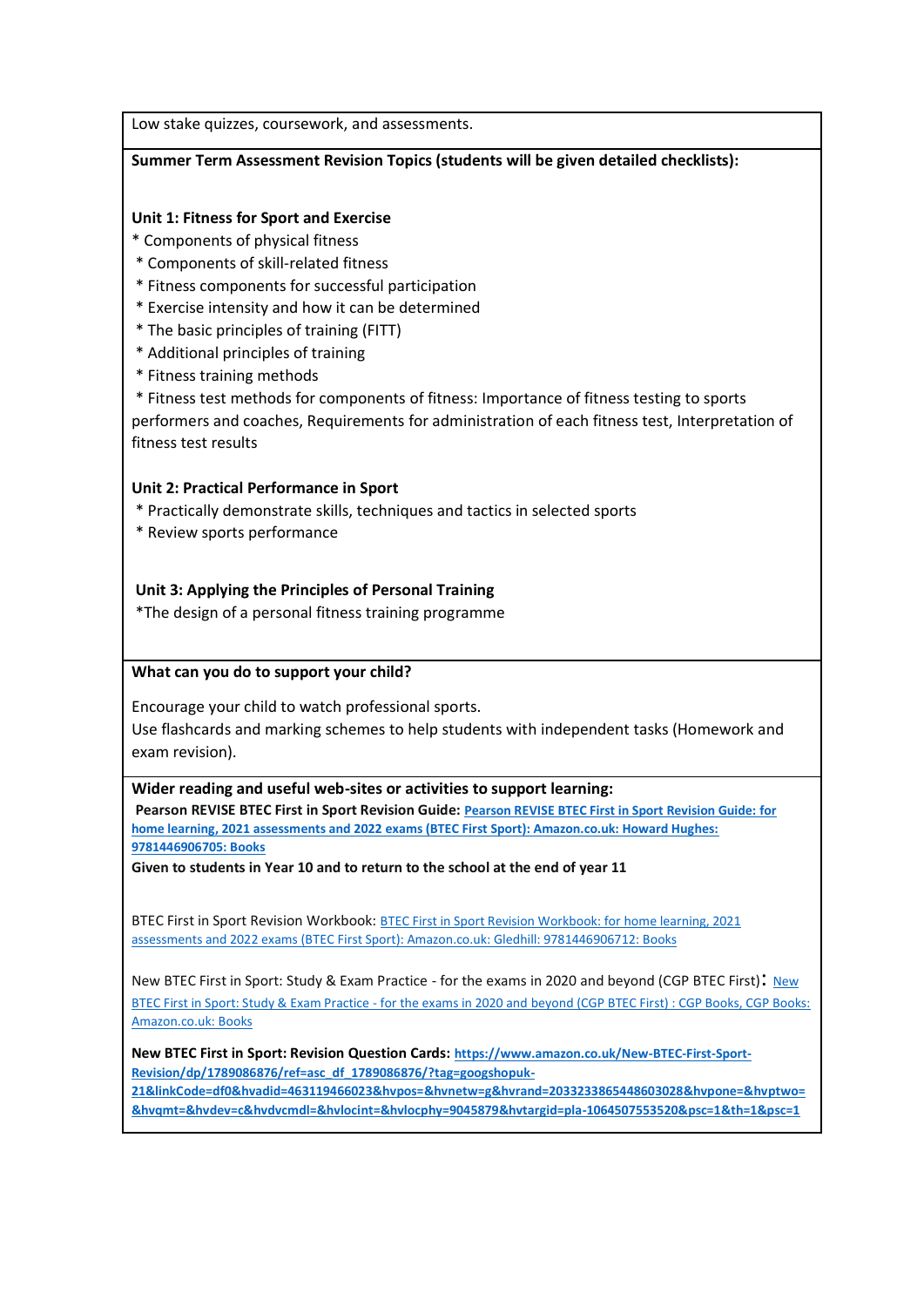Low stake quizzes, coursework, and assessments.

#### **Summer Term Assessment Revision Topics (students will be given detailed checklists):**

#### **Unit 1: Fitness for Sport and Exercise**

- \* Components of physical fitness
- \* Components of skill-related fitness
- \* Fitness components for successful participation
- \* Exercise intensity and how it can be determined
- \* The basic principles of training (FITT)
- \* Additional principles of training
- \* Fitness training methods

\* Fitness test methods for components of fitness: Importance of fitness testing to sports performers and coaches, Requirements for administration of each fitness test, Interpretation of fitness test results

#### **Unit 2: Practical Performance in Sport**

- \* Practically demonstrate skills, techniques and tactics in selected sports
- \* Review sports performance

#### **Unit 3: Applying the Principles of Personal Training**

\*The design of a personal fitness training programme

#### **What can you do to support your child?**

Encourage your child to watch professional sports. Use flashcards and marking schemes to help students with independent tasks (Homework and exam revision).

#### **Wider reading and useful web-sites or activities to support learning:**

**Pearson REVISE BTEC First in Sport Revision Guide: [Pearson REVISE BTEC First in Sport Revision Guide: for](https://www.amazon.co.uk/BTEC-First-Sport-Revision-Guide/dp/1446906701/ref=asc_df_1446906701/?tag=googshopuk-21&linkCode=df0&hvadid=311011848126&hvpos=&hvnetw=g&hvrand=2033233865448603028&hvpone=&hvptwo=&hvqmt=&hvdev=c&hvdvcmdl=&hvlocint=&hvlocphy=9045879&hvtargid=pla-566173836228&psc=1&th=1&psc=1)  [home learning, 2021 assessments and 2022 exams \(BTEC First Sport\): Amazon.co.uk: Howard Hughes:](https://www.amazon.co.uk/BTEC-First-Sport-Revision-Guide/dp/1446906701/ref=asc_df_1446906701/?tag=googshopuk-21&linkCode=df0&hvadid=311011848126&hvpos=&hvnetw=g&hvrand=2033233865448603028&hvpone=&hvptwo=&hvqmt=&hvdev=c&hvdvcmdl=&hvlocint=&hvlocphy=9045879&hvtargid=pla-566173836228&psc=1&th=1&psc=1)  [9781446906705: Books](https://www.amazon.co.uk/BTEC-First-Sport-Revision-Guide/dp/1446906701/ref=asc_df_1446906701/?tag=googshopuk-21&linkCode=df0&hvadid=311011848126&hvpos=&hvnetw=g&hvrand=2033233865448603028&hvpone=&hvptwo=&hvqmt=&hvdev=c&hvdvcmdl=&hvlocint=&hvlocphy=9045879&hvtargid=pla-566173836228&psc=1&th=1&psc=1)**

**Given to students in Year 10 and to return to the school at the end of year 11**

BTEC First in Sport Revision Workbook: [BTEC First in Sport Revision Workbook: for home learning, 2021](https://www.amazon.co.uk/BTEC-First-Sport-Revision-Workbook/dp/144690671X/ref=asc_df_144690671X/?tag=googshopuk-21&linkCode=df0&hvadid=310977458808&hvpos=&hvnetw=g&hvrand=2033233865448603028&hvpone=&hvptwo=&hvqmt=&hvdev=c&hvdvcmdl=&hvlocint=&hvlocphy=9045879&hvtargid=pla-565384758916&psc=1&th=1&psc=1)  assessments and 2022 exams (BTEC [First Sport\): Amazon.co.uk: Gledhill: 9781446906712: Books](https://www.amazon.co.uk/BTEC-First-Sport-Revision-Workbook/dp/144690671X/ref=asc_df_144690671X/?tag=googshopuk-21&linkCode=df0&hvadid=310977458808&hvpos=&hvnetw=g&hvrand=2033233865448603028&hvpone=&hvptwo=&hvqmt=&hvdev=c&hvdvcmdl=&hvlocint=&hvlocphy=9045879&hvtargid=pla-565384758916&psc=1&th=1&psc=1)

New BTEC First in Sport: Study & Exam Practice - for the exams in 2020 and beyond (CGP BTEC First): [New](https://www.amazon.co.uk/BTEC-First-Sport-Practice-CD-ROM/dp/1847624618/ref=asc_df_1847624618/?tag=googshopuk-21&linkCode=df0&hvadid=310775890077&hvpos=&hvnetw=g&hvrand=2033233865448603028&hvpone=&hvptwo=&hvqmt=&hvdev=c&hvdvcmdl=&hvlocint=&hvlocphy=9045879&hvtargid=pla-563158826299&psc=1&th=1&psc=1)  BTEC First in Sport: Study & Exam Practice - [for the exams in 2020 and beyond \(CGP BTEC First\) : CGP Books, CGP Books:](https://www.amazon.co.uk/BTEC-First-Sport-Practice-CD-ROM/dp/1847624618/ref=asc_df_1847624618/?tag=googshopuk-21&linkCode=df0&hvadid=310775890077&hvpos=&hvnetw=g&hvrand=2033233865448603028&hvpone=&hvptwo=&hvqmt=&hvdev=c&hvdvcmdl=&hvlocint=&hvlocphy=9045879&hvtargid=pla-563158826299&psc=1&th=1&psc=1)  [Amazon.co.uk: Books](https://www.amazon.co.uk/BTEC-First-Sport-Practice-CD-ROM/dp/1847624618/ref=asc_df_1847624618/?tag=googshopuk-21&linkCode=df0&hvadid=310775890077&hvpos=&hvnetw=g&hvrand=2033233865448603028&hvpone=&hvptwo=&hvqmt=&hvdev=c&hvdvcmdl=&hvlocint=&hvlocphy=9045879&hvtargid=pla-563158826299&psc=1&th=1&psc=1)

**New BTEC First in Sport: Revision Question Cards: [https://www.amazon.co.uk/New-BTEC-First-Sport-](https://www.amazon.co.uk/New-BTEC-First-Sport-Revision/dp/1789086876/ref=asc_df_1789086876/?tag=googshopuk-21&linkCode=df0&hvadid=463119466023&hvpos=&hvnetw=g&hvrand=2033233865448603028&hvpone=&hvptwo=&hvqmt=&hvdev=c&hvdvcmdl=&hvlocint=&hvlocphy=9045879&hvtargid=pla-1064507553520&psc=1&th=1&psc=1)[Revision/dp/1789086876/ref=asc\\_df\\_1789086876/?tag=googshopuk-](https://www.amazon.co.uk/New-BTEC-First-Sport-Revision/dp/1789086876/ref=asc_df_1789086876/?tag=googshopuk-21&linkCode=df0&hvadid=463119466023&hvpos=&hvnetw=g&hvrand=2033233865448603028&hvpone=&hvptwo=&hvqmt=&hvdev=c&hvdvcmdl=&hvlocint=&hvlocphy=9045879&hvtargid=pla-1064507553520&psc=1&th=1&psc=1)**

**[21&linkCode=df0&hvadid=463119466023&hvpos=&hvnetw=g&hvrand=2033233865448603028&hvpone=&hvptwo=](https://www.amazon.co.uk/New-BTEC-First-Sport-Revision/dp/1789086876/ref=asc_df_1789086876/?tag=googshopuk-21&linkCode=df0&hvadid=463119466023&hvpos=&hvnetw=g&hvrand=2033233865448603028&hvpone=&hvptwo=&hvqmt=&hvdev=c&hvdvcmdl=&hvlocint=&hvlocphy=9045879&hvtargid=pla-1064507553520&psc=1&th=1&psc=1) [&hvqmt=&hvdev=c&hvdvcmdl=&hvlocint=&hvlocphy=9045879&hvtargid=pla-1064507553520&psc=1&th=1&psc=1](https://www.amazon.co.uk/New-BTEC-First-Sport-Revision/dp/1789086876/ref=asc_df_1789086876/?tag=googshopuk-21&linkCode=df0&hvadid=463119466023&hvpos=&hvnetw=g&hvrand=2033233865448603028&hvpone=&hvptwo=&hvqmt=&hvdev=c&hvdvcmdl=&hvlocint=&hvlocphy=9045879&hvtargid=pla-1064507553520&psc=1&th=1&psc=1)**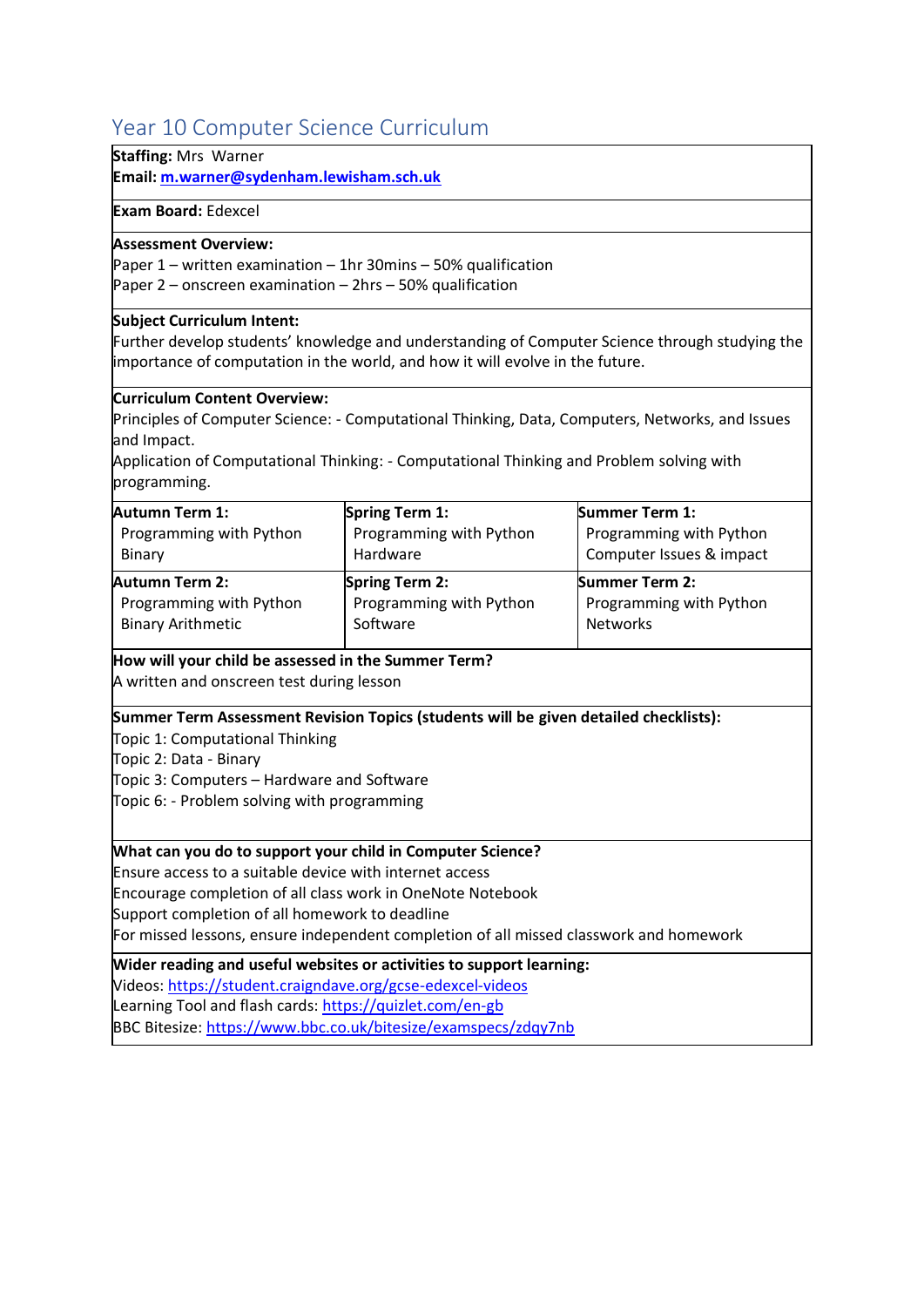# <span id="page-49-0"></span>Year 10 Computer Science Curriculum

#### **Staffing:** Mrs Warner

**Email[: m.warner@sydenham.lewisham.sch.uk](mailto:m.warner@sydenham.lewisham.sch.uk)**

#### **Exam Board:** Edexcel

#### **Assessment Overview:**

Paper 1 – written examination – 1hr 30mins – 50% qualification Paper 2 – onscreen examination – 2hrs – 50% qualification

#### **Subject Curriculum Intent:**

Further develop students' knowledge and understanding of Computer Science through studying the importance of computation in the world, and how it will evolve in the future.

#### **Curriculum Content Overview:**

Principles of Computer Science: - Computational Thinking, Data, Computers, Networks, and Issues and Impact.

Application of Computational Thinking: - Computational Thinking and Problem solving with programming.

| <b>Autumn Term 1:</b>    | <b>Spring Term 1:</b>   | <b>Summer Term 1:</b>    |
|--------------------------|-------------------------|--------------------------|
| Programming with Python  | Programming with Python | Programming with Python  |
| Binary                   | Hardware                | Computer Issues & impact |
| <b>Autumn Term 2:</b>    | <b>Spring Term 2:</b>   | <b>Summer Term 2:</b>    |
| Programming with Python  | Programming with Python | Programming with Python  |
| <b>Binary Arithmetic</b> | Software                | <b>Networks</b>          |

#### **How will your child be assessed in the Summer Term?**

A written and onscreen test during lesson

**Summer Term Assessment Revision Topics (students will be given detailed checklists):**

Topic 1: Computational Thinking

Topic 2: Data - Binary

Topic 3: Computers – Hardware and Software

Topic 6: - Problem solving with programming

#### **What can you do to support your child in Computer Science?**

Ensure access to a suitable device with internet access

Encourage completion of all class work in OneNote Notebook

Support completion of all homework to deadline

For missed lessons, ensure independent completion of all missed classwork and homework

**Wider reading and useful websites or activities to support learning:**

Videos:<https://student.craigndave.org/gcse-edexcel-videos>

Learning Tool and flash cards:<https://quizlet.com/en-gb>

BBC Bitesize:<https://www.bbc.co.uk/bitesize/examspecs/zdqy7nb>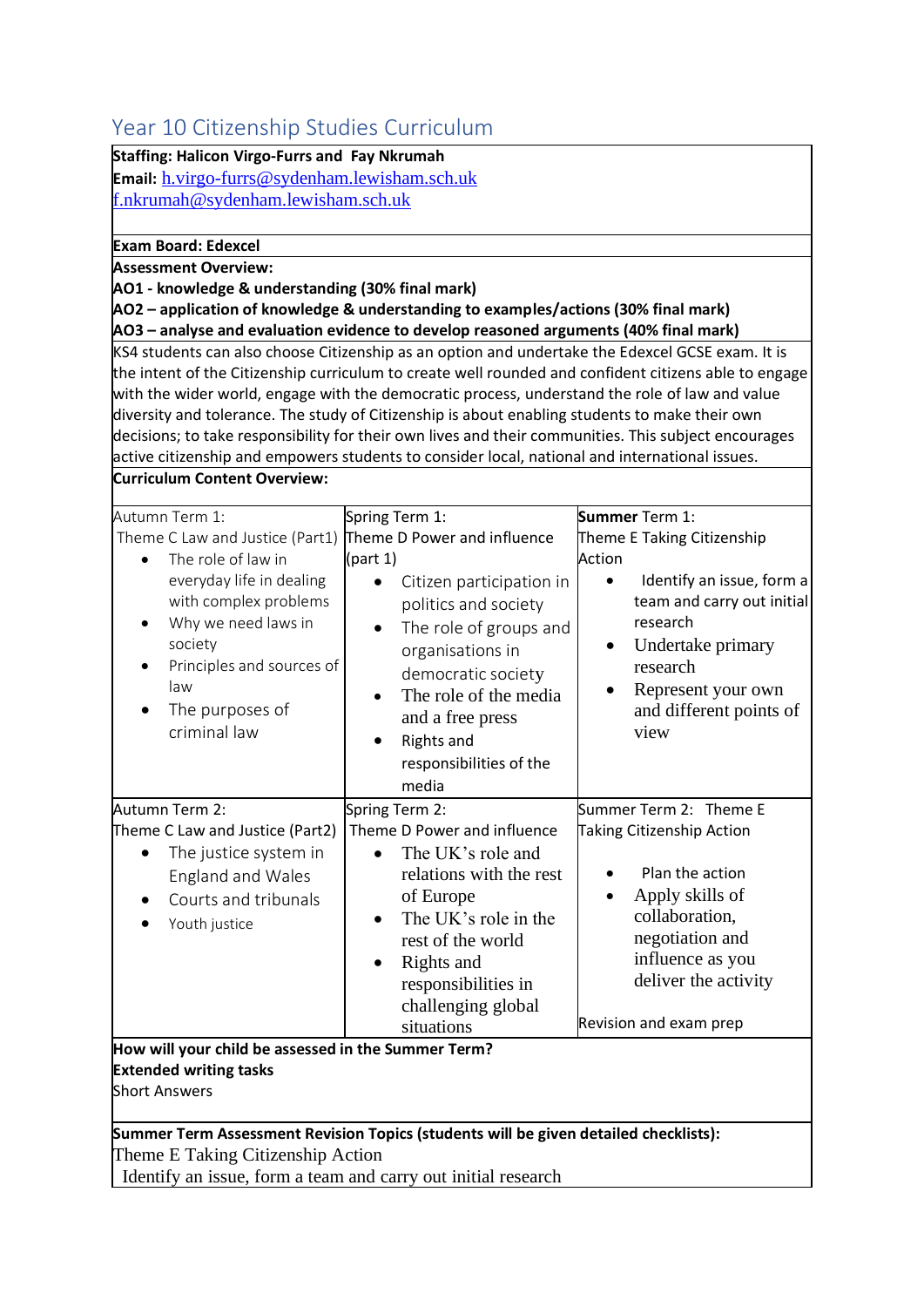# <span id="page-50-0"></span>Year 10 Citizenship Studies Curriculum

| <b>Fear to chaze is my studies curriculum</b>                 |                                                                                                       |                            |
|---------------------------------------------------------------|-------------------------------------------------------------------------------------------------------|----------------------------|
| Staffing: Halicon Virgo-Furrs and Fay Nkrumah                 |                                                                                                       |                            |
| <b>Email:</b> h.virgo-furrs@sydenham.lewisham.sch.uk          |                                                                                                       |                            |
| f.nkrumah@sydenham.lewisham.sch.uk                            |                                                                                                       |                            |
| <b>Exam Board: Edexcel</b>                                    |                                                                                                       |                            |
| <b>Assessment Overview:</b>                                   |                                                                                                       |                            |
| AO1 - knowledge & understanding (30% final mark)              |                                                                                                       |                            |
|                                                               | AO2 - application of knowledge & understanding to examples/actions (30% final mark)                   |                            |
|                                                               | AO3 - analyse and evaluation evidence to develop reasoned arguments (40% final mark)                  |                            |
|                                                               | KS4 students can also choose Citizenship as an option and undertake the Edexcel GCSE exam. It is      |                            |
|                                                               | the intent of the Citizenship curriculum to create well rounded and confident citizens able to engage |                            |
|                                                               | with the wider world, engage with the democratic process, understand the role of law and value        |                            |
|                                                               | diversity and tolerance. The study of Citizenship is about enabling students to make their own        |                            |
|                                                               | decisions; to take responsibility for their own lives and their communities. This subject encourages  |                            |
|                                                               | active citizenship and empowers students to consider local, national and international issues.        |                            |
| Curriculum Content Overview:                                  |                                                                                                       |                            |
| Autumn Term 1:                                                | Spring Term 1:                                                                                        | Summer Term 1:             |
| Theme C Law and Justice (Part1) Theme D Power and influence   |                                                                                                       | Theme E Taking Citizenship |
| The role of law in                                            | (part 1)                                                                                              | Action                     |
| everyday life in dealing                                      | Citizen participation in<br>$\bullet$                                                                 | Identify an issue, form a  |
| with complex problems                                         | politics and society                                                                                  | team and carry out initial |
| Why we need laws in                                           | The role of groups and<br>$\bullet$                                                                   | research                   |
| society                                                       | organisations in                                                                                      | Undertake primary          |
| Principles and sources of                                     | democratic society                                                                                    | research                   |
| law                                                           | The role of the media                                                                                 | Represent your own         |
| The purposes of                                               | and a free press                                                                                      | and different points of    |
| criminal law                                                  | <b>Rights and</b><br>$\bullet$                                                                        | view                       |
|                                                               | responsibilities of the                                                                               |                            |
|                                                               | media                                                                                                 |                            |
| Autumn Term 2:                                                | Spring Term 2:                                                                                        | Summer Term 2: Theme E     |
| Theme C Law and Justice (Part2)                               | Theme D Power and influence                                                                           | Taking Citizenship Action  |
| The justice system in                                         | The UK's role and                                                                                     |                            |
| <b>England and Wales</b>                                      | relations with the rest                                                                               | Plan the action            |
| Courts and tribunals                                          | of Europe                                                                                             | Apply skills of            |
| Youth justice                                                 | The UK's role in the<br>٠                                                                             | collaboration,             |
|                                                               | rest of the world                                                                                     | negotiation and            |
|                                                               | Rights and                                                                                            | influence as you           |
|                                                               | responsibilities in                                                                                   | deliver the activity       |
|                                                               | challenging global                                                                                    |                            |
|                                                               | situations                                                                                            | Revision and exam prep     |
| How will your child be assessed in the Summer Term?           |                                                                                                       |                            |
| <b>Extended writing tasks</b>                                 |                                                                                                       |                            |
| <b>Short Answers</b>                                          |                                                                                                       |                            |
|                                                               |                                                                                                       |                            |
|                                                               | Summer Term Assessment Revision Topics (students will be given detailed checklists):                  |                            |
| Theme E Taking Citizenship Action                             |                                                                                                       |                            |
| Identify an issue, form a team and carry out initial research |                                                                                                       |                            |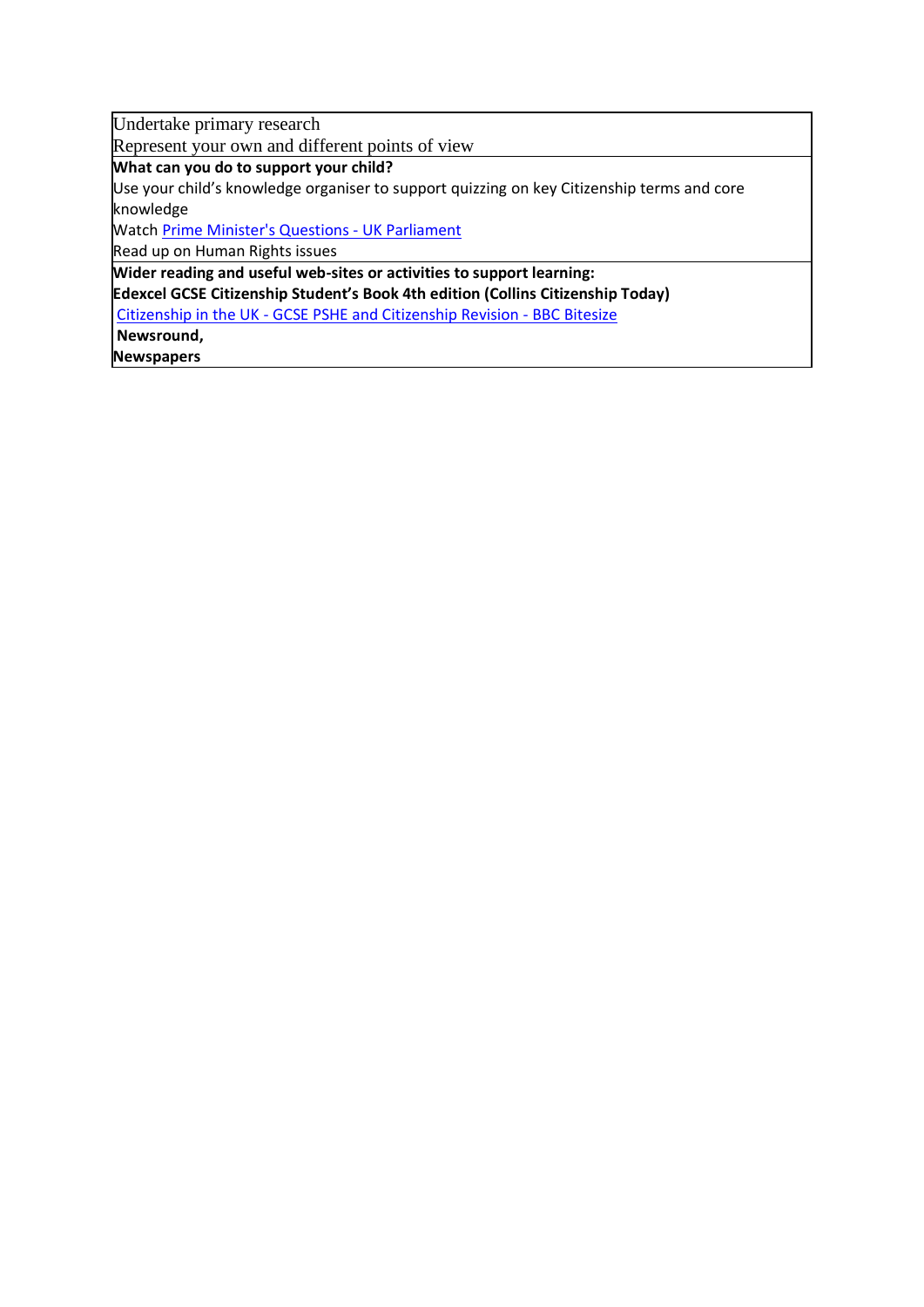Undertake primary research

Represent your own and different points of view

**What can you do to support your child?**

Use your child's knowledge organiser to support quizzing on key Citizenship terms and core knowledge

Watc[h Prime Minister's Questions -](https://www.parliament.uk/visiting/visiting-and-tours/watch-committees-and-debates/prime-ministers-questions/) UK Parliament

Read up on Human Rights issues

**Wider reading and useful web-sites or activities to support learning: Edexcel GCSE Citizenship Student's Book 4th edition (Collins Citizenship Today)** Citizenship in the UK - [GCSE PSHE and Citizenship Revision -](https://www.bbc.co.uk/bitesize/topics/zdqmsbk) BBC Bitesize **Newsround,**

**Newspapers**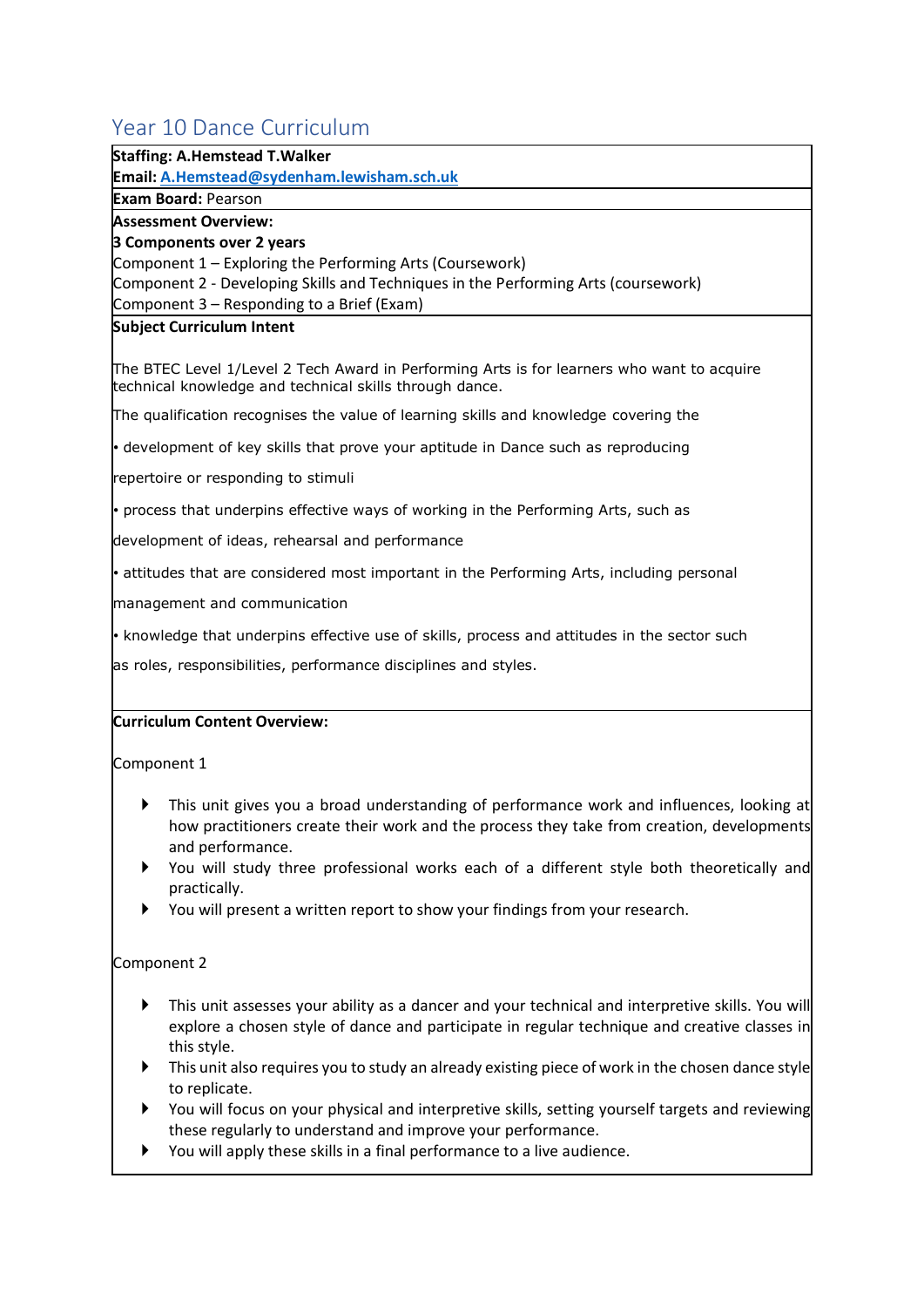# <span id="page-52-0"></span>Year 10 Dance Curriculum

#### **Staffing: A.Hemstead T.Walker**

**Email[: A.Hemstead@sydenham.lewisham.sch.uk](mailto:A.Hemstead@sydenham.lewisham.sch.uk)**

**Exam Board:** Pearson

**Assessment Overview:**

#### **3 Components over 2 years**

Component 1 – Exploring the Performing Arts (Coursework)

Component 2 - Developing Skills and Techniques in the Performing Arts (coursework)

Component 3 – Responding to a Brief (Exam)

#### **Subject Curriculum Intent**

The BTEC Level 1/Level 2 Tech Award in Performing Arts is for learners who want to acquire technical knowledge and technical skills through dance.

The qualification recognises the value of learning skills and knowledge covering the

• development of key skills that prove your aptitude in Dance such as reproducing

repertoire or responding to stimuli

• process that underpins effective ways of working in the Performing Arts, such as

development of ideas, rehearsal and performance

• attitudes that are considered most important in the Performing Arts, including personal

management and communication

• knowledge that underpins effective use of skills, process and attitudes in the sector such

as roles, responsibilities, performance disciplines and styles.

#### **Curriculum Content Overview:**

Component 1

- This unit gives you a broad understanding of performance work and influences, looking at how practitioners create their work and the process they take from creation, developments and performance.
- You will study three professional works each of a different style both theoretically and practically.
- You will present a written report to show your findings from your research.

#### Component 2

- This unit assesses your ability as a dancer and your technical and interpretive skills. You will explore a chosen style of dance and participate in regular technique and creative classes in this style.
- $\blacktriangleright$  This unit also requires you to study an already existing piece of work in the chosen dance style to replicate.
- You will focus on your physical and interpretive skills, setting yourself targets and reviewing these regularly to understand and improve your performance.
- You will apply these skills in a final performance to a live audience.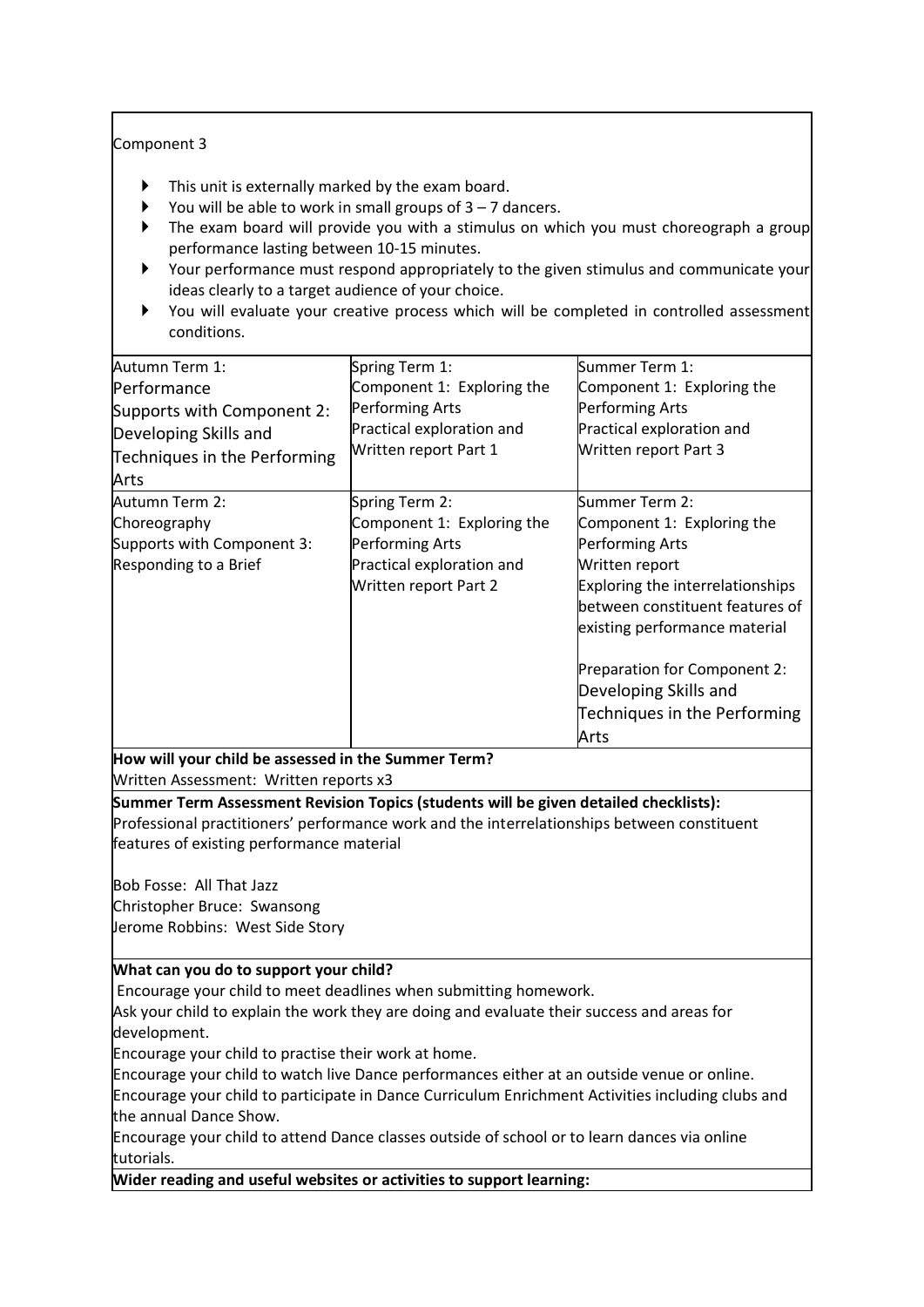#### Component 3

- This unit is externally marked by the exam board.
- You will be able to work in small groups of  $3 7$  dancers.
- The exam board will provide you with a stimulus on which you must choreograph a group performance lasting between 10-15 minutes.
- Your performance must respond appropriately to the given stimulus and communicate your ideas clearly to a target audience of your choice.
- You will evaluate your creative process which will be completed in controlled assessment conditions.

| Autumn Term 1:               | Spring Term 1:             | Summer Term 1:                          |
|------------------------------|----------------------------|-----------------------------------------|
| Performance                  | Component 1: Exploring the | Component 1: Exploring the              |
| Supports with Component 2:   | Performing Arts            | Performing Arts                         |
| Developing Skills and        | Practical exploration and  | Practical exploration and               |
| Techniques in the Performing | Written report Part 1      | Written report Part 3                   |
| Arts                         |                            |                                         |
| Autumn Term 2:               | Spring Term 2:             | Summer Term 2:                          |
| Choreography                 | Component 1: Exploring the | Component 1: Exploring the              |
| Supports with Component 3:   | <b>Performing Arts</b>     | <b>Performing Arts</b>                  |
| Responding to a Brief        | Practical exploration and  | Written report                          |
|                              | Written report Part 2      | <b>Exploring the interrelationships</b> |
|                              |                            | between constituent features of         |
|                              |                            | existing performance material           |
|                              |                            | Preparation for Component 2:            |
|                              |                            | Developing Skills and                   |
|                              |                            | Techniques in the Performing            |
|                              |                            | Arts                                    |

**How will your child be assessed in the Summer Term?** Written Assessment: Written reports x3

**Summer Term Assessment Revision Topics (students will be given detailed checklists):**

Professional practitioners' performance work and the interrelationships between constituent features of existing performance material

Bob Fosse: All That Jazz Christopher Bruce: Swansong Jerome Robbins: West Side Story

#### **What can you do to support your child?**

Encourage your child to meet deadlines when submitting homework.

Ask your child to explain the work they are doing and evaluate their success and areas for development.

Encourage your child to practise their work at home.

Encourage your child to watch live Dance performances either at an outside venue or online. Encourage your child to participate in Dance Curriculum Enrichment Activities including clubs and the annual Dance Show.

Encourage your child to attend Dance classes outside of school or to learn dances via online tutorials.

**Wider reading and useful websites or activities to support learning:**